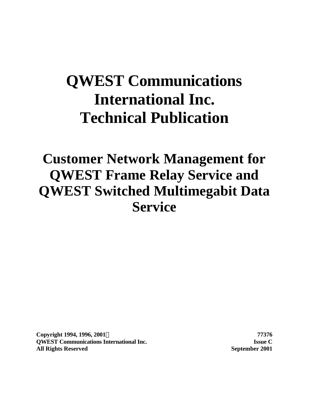# **QWEST Communications International Inc. Technical Publication**

# **Customer Network Management for QWEST Frame Relay Service and QWEST Switched Multimegabit Data Service**

**Copyright 1994, 1996, 2001Ó 77376 QWEST Communications International Inc. Issue C All Rights Reserved September 2001**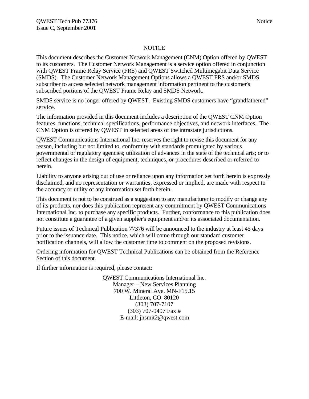#### **NOTICE**

This document describes the Customer Network Management (CNM) Option offered by QWEST to its customers. The Customer Network Management is a service option offered in conjunction with QWEST Frame Relay Service (FRS) and QWEST Switched Multimegabit Data Service (SMDS). The Customer Network Management Options allows a QWEST FRS and/or SMDS subscriber to access selected network management information pertinent to the customer's subscribed portions of the QWEST Frame Relay and SMDS Network.

SMDS service is no longer offered by QWEST. Existing SMDS customers have "grandfathered" service.

The information provided in this document includes a description of the QWEST CNM Option features, functions, technical specifications, performance objectives, and network interfaces. The CNM Option is offered by QWEST in selected areas of the intrastate jurisdictions.

QWEST Communications International Inc. reserves the right to revise this document for any reason, including but not limited to, conformity with standards promulgated by various governmental or regulatory agencies; utilization of advances in the state of the technical arts; or to reflect changes in the design of equipment, techniques, or procedures described or referred to herein.

Liability to anyone arising out of use or reliance upon any information set forth herein is expressly disclaimed, and no representation or warranties, expressed or implied, are made with respect to the accuracy or utility of any information set forth herein.

This document is not to be construed as a suggestion to any manufacturer to modify or change any of its products, nor does this publication represent any commitment by QWEST Communications International Inc. to purchase any specific products. Further, conformance to this publication does not constitute a guarantee of a given supplier's equipment and/or its associated documentation.

Future issues of Technical Publication 77376 will be announced to the industry at least 45 days prior to the issuance date. This notice, which will come through our standard customer notification channels, will allow the customer time to comment on the proposed revisions.

Ordering information for QWEST Technical Publications can be obtained from the Reference Section of this document.

If further information is required, please contact:

QWEST Communications International Inc. Manager – New Services Planning 700 W. Mineral Ave. MN-F15.15 Littleton, CO 80120 (303) 707-7107 (303) 707-9497 Fax # E-mail: jhsmit2@qwest.com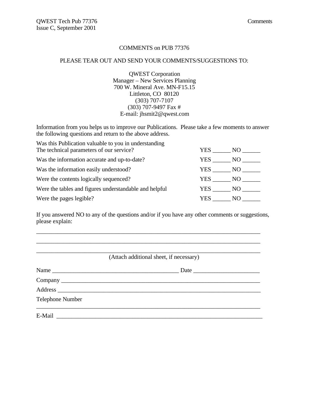#### COMMENTS on PUB 77376

#### PLEASE TEAR OUT AND SEND YOUR COMMENTS/SUGGESTIONS TO:

QWEST Corporation Manager – New Services Planning 700 W. Mineral Ave. MN-F15.15 Littleton, CO 80120 (303) 707-7107 (303) 707-9497 Fax # E-mail: jhsmit2@qwest.com

Information from you helps us to improve our Publications. Please take a few moments to answer the following questions and return to the above address.

| Was this Publication valuable to you in understanding  |        |      |
|--------------------------------------------------------|--------|------|
| The technical parameters of our service?               | YES    | NO - |
| Was the information accurate and up-to-date?           | YES    | NO   |
| Was the information easily understood?                 | YES NO |      |
| Were the contents logically sequenced?                 | YES NO |      |
| Were the tables and figures understandable and helpful | YES NO |      |
| Were the pages legible?                                | YES.   | NO.  |

If you answered NO to any of the questions and/or if you have any other comments or suggestions, please explain:

\_\_\_\_\_\_\_\_\_\_\_\_\_\_\_\_\_\_\_\_\_\_\_\_\_\_\_\_\_\_\_\_\_\_\_\_\_\_\_\_\_\_\_\_\_\_\_\_\_\_\_\_\_\_\_\_\_\_\_\_\_\_\_\_\_\_\_\_\_\_\_\_\_\_

|                         | (Attach additional sheet, if necessary) |
|-------------------------|-----------------------------------------|
| Name                    |                                         |
|                         |                                         |
|                         |                                         |
| <b>Telephone Number</b> |                                         |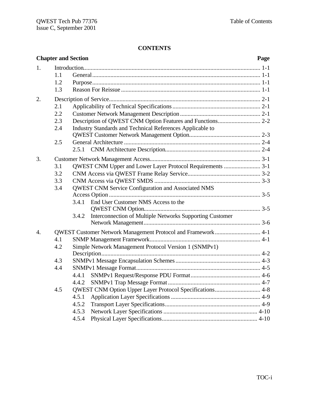# **CONTENTS**

|                  | <b>Chapter and Section</b> |       |                                                              | Page |
|------------------|----------------------------|-------|--------------------------------------------------------------|------|
| 1.               | 1.1                        |       |                                                              |      |
|                  | 1.2<br>1.3                 |       |                                                              |      |
| 2.               |                            |       |                                                              |      |
|                  | 2.1                        |       |                                                              |      |
|                  | 2.2                        |       |                                                              |      |
|                  | 2.3                        |       |                                                              |      |
|                  | 2.4                        |       | Industry Standards and Technical References Applicable to    |      |
|                  | 2.5                        |       |                                                              |      |
|                  |                            |       |                                                              |      |
| 3.               |                            |       |                                                              |      |
|                  | 3.1                        |       | QWEST CNM Upper and Lower Layer Protocol Requirements  3-1   |      |
|                  | 3.2                        |       |                                                              |      |
|                  | 3.3                        |       |                                                              |      |
|                  | 3.4                        |       | QWEST CNM Service Configuration and Associated NMS           |      |
|                  |                            |       |                                                              |      |
|                  |                            |       | 3.4.1 End User Customer NMS Access to the                    |      |
|                  |                            | 3.4.2 | Interconnection of Multiple Networks Supporting Customer     |      |
| $\overline{4}$ . |                            |       | QWEST Customer Network Management Protocol and Framework 4-1 |      |
|                  | 4.1                        |       |                                                              |      |
|                  | 4.2                        |       | Simple Network Management Protocol Version 1 (SNMPv1)        |      |
|                  |                            |       |                                                              |      |
|                  | 4.3                        |       |                                                              |      |
|                  | 4.4                        |       |                                                              |      |
|                  |                            | 4.4.1 |                                                              |      |
|                  |                            |       |                                                              |      |
|                  | 4.5                        |       | QWEST CNM Option Upper Layer Protocol Specifications 4-8     |      |
|                  |                            | 4.5.1 |                                                              |      |
|                  |                            | 4.5.2 |                                                              |      |
|                  |                            | 4.5.3 |                                                              |      |
|                  |                            | 4.5.4 |                                                              |      |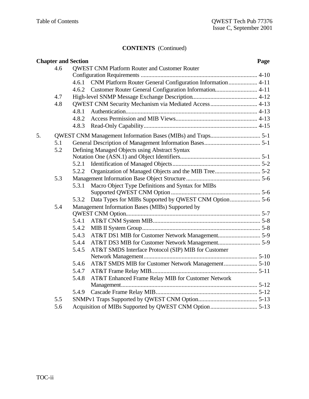# **CONTENTS** (Continued)

|    |     | <b>Chapter and Section</b> |                                                            | Page |
|----|-----|----------------------------|------------------------------------------------------------|------|
|    | 4.6 |                            | <b>OWEST CNM Platform Router and Customer Router</b>       |      |
|    |     |                            |                                                            |      |
|    |     | 4.6.1                      | CNM Platform Router General Configuration Information 4-11 |      |
|    |     | 4.6.2                      |                                                            |      |
|    | 4.7 |                            |                                                            |      |
|    | 4.8 |                            | QWEST CNM Security Mechanism via Mediated Access  4-13     |      |
|    |     | 4.8.1                      |                                                            |      |
|    |     | 4.8.2                      |                                                            |      |
|    |     | 4.8.3                      |                                                            |      |
| 5. |     |                            |                                                            |      |
|    | 5.1 |                            |                                                            |      |
|    | 5.2 |                            | Defining Managed Objects using Abstract Syntax             |      |
|    |     |                            |                                                            |      |
|    |     | 5.2.1                      |                                                            |      |
|    |     | 5.2.2                      |                                                            |      |
|    | 5.3 |                            |                                                            |      |
|    |     | 5.3.1                      | Macro Object Type Definitions and Syntax for MIBs          |      |
|    |     |                            |                                                            |      |
|    |     | 5.3.2                      | Data Types for MIBs Supported by QWEST CNM Option 5-6      |      |
|    | 5.4 |                            | Management Information Bases (MIBs) Supported by           |      |
|    |     |                            |                                                            |      |
|    |     | 5.4.1                      |                                                            |      |
|    |     | 5.4.2                      |                                                            |      |
|    |     | 5.4.3                      |                                                            |      |
|    |     | 5.4.4                      |                                                            |      |
|    |     | 5.4.5                      | AT&T SMDS Interface Protocol (SIP) MIB for Customer        |      |
|    |     |                            |                                                            |      |
|    |     | 5.4.6                      |                                                            |      |
|    |     | 5.4.7                      |                                                            |      |
|    |     | 5.4.8                      | AT&T Enhanced Frame Relay MIB for Customer Network         |      |
|    |     |                            |                                                            |      |
|    |     | 5.4.9                      |                                                            |      |
|    | 5.5 |                            |                                                            |      |
|    | 5.6 |                            |                                                            |      |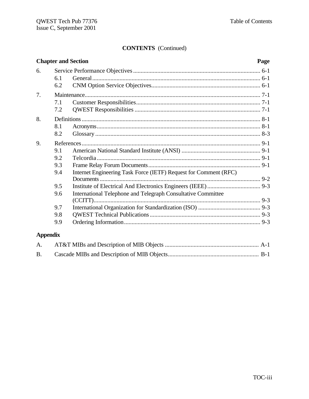# **CONTENTS** (Continued)

|                 |                          | <b>Chapter and Section</b>                                       | Page |
|-----------------|--------------------------|------------------------------------------------------------------|------|
| 6.              | 6.1<br>6.2               |                                                                  |      |
| 7.              | 7.1<br>7.2               |                                                                  |      |
| 8.              | 8.1<br>8.2               |                                                                  |      |
| 9.              | 9.1<br>9.2<br>9.3<br>9.4 | Internet Engineering Task Force (IETF) Request for Comment (RFC) |      |
|                 | 9.5<br>9.6               | International Telephone and Telegraph Consultative Committee     |      |
|                 | 9.7<br>9.8<br>9.9        |                                                                  |      |
| <b>Appendix</b> |                          |                                                                  |      |
| A.              |                          |                                                                  |      |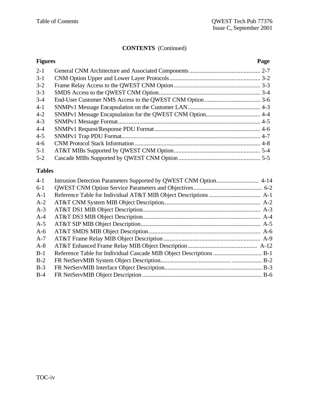# **CONTENTS** (Continued)

|         | <b>Figures</b><br>Page |  |
|---------|------------------------|--|
| $2 - 1$ |                        |  |
| $3-1$   |                        |  |
| $3 - 2$ |                        |  |
| $3 - 3$ |                        |  |
| $3 - 4$ |                        |  |
| $4 - 1$ |                        |  |
| $4 - 2$ |                        |  |
| $4 - 3$ |                        |  |
| $4 - 4$ |                        |  |
| $4 - 5$ |                        |  |
| $4 - 6$ |                        |  |
| $5 - 1$ |                        |  |
| $5 - 2$ |                        |  |

# **Tables**

| $4-1$ |  |
|-------|--|
| $6-1$ |  |
| $A-1$ |  |
| $A-2$ |  |
| $A-3$ |  |
| $A-4$ |  |
| $A-5$ |  |
| $A-6$ |  |
| $A-7$ |  |
| $A-8$ |  |
| $B-1$ |  |
| $B-2$ |  |
| $B-3$ |  |
| $B-4$ |  |
|       |  |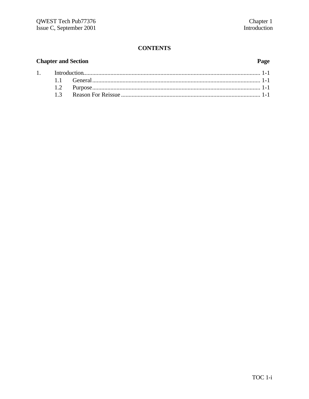# **CONTENTS**

#### **Chapter and Section**  $1.$  $1.1$ 1.2  $1.3$

#### Page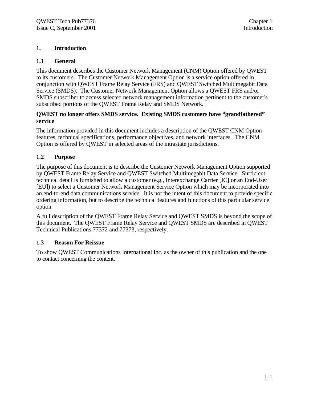# **1. Introduction**

### **1.1 General**

This document describes the Customer Network Management (CNM) Option offered by QWEST to its customers. The Customer Network Management Option is a service option offered in conjunction with QWEST Frame Relay Service (FRS) and QWEST Switched Multimegabit Data Service (SMDS). The Customer Network Management Option allows a QWEST FRS and/or SMDS subscriber to access selected network management information pertinent to the customer's subscribed portions of the QWEST Frame Relay and SMDS Network.

#### **QWEST no longer offers SMDS service. Existing SMDS customers have "grandfathered" service**

The information provided in this document includes a description of the QWEST CNM Option features, technical specifications, performance objectives, and network interfaces. The CNM Option is offered by QWEST in selected areas of the intrastate jurisdictions.

# **1.2 Purpose**

The purpose of this document is to describe the Customer Network Management Option supported by QWEST Frame Relay Service and QWEST Switched Multimegabit Data Service. Sufficient technical detail is furnished to allow a customer (e.g., Interexchange Carrier [IC] or an End-User [EU]) to select a Customer Network Management Service Option which may be incorporated into an end-to-end data communications service. It is not the intent of this document to provide specific ordering information, but to describe the technical features and functions of this particular service option.

A full description of the QWEST Frame Relay Service and QWEST SMDS is beyond the scope of this document. The QWEST Frame Relay Service and QWEST SMDS are described in QWEST Technical Publications 77372 and 77373, respectively.

### **1.3 Reason For Reissue**

To show QWEST Communications International Inc. as the owner of this publication and the one to contact concerning the content.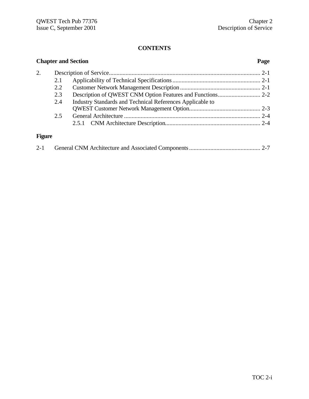# **CONTENTS**

|        | <b>Chapter and Section</b><br>Page |                                                           |  |
|--------|------------------------------------|-----------------------------------------------------------|--|
| 2.     |                                    |                                                           |  |
|        | 2.1                                |                                                           |  |
|        | 2.2                                |                                                           |  |
|        | 2.3                                |                                                           |  |
|        | 2.4                                | Industry Standards and Technical References Applicable to |  |
|        |                                    |                                                           |  |
|        | 2.5                                |                                                           |  |
|        |                                    |                                                           |  |
| Fimira |                                    |                                                           |  |

#### **Figure**

|--|--|--|--|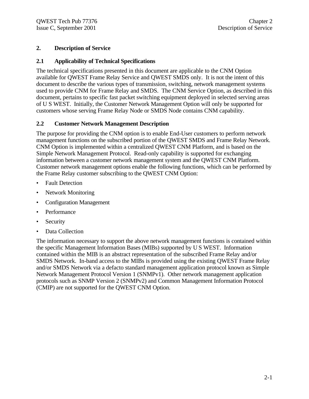# **2. Description of Service**

# **2.1 Applicability of Technical Specifications**

The technical specifications presented in this document are applicable to the CNM Option available for QWEST Frame Relay Service and QWEST SMDS only. It is not the intent of this document to describe the various types of transmission, switching, network management systems used to provide CNM for Frame Relay and SMDS. The CNM Service Option, as described in this document, pertains to specific fast packet switching equipment deployed in selected serving areas of U S WEST. Initially, the Customer Network Management Option will only be supported for customers whose serving Frame Relay Node or SMDS Node contains CNM capability.

# **2.2 Customer Network Management Description**

The purpose for providing the CNM option is to enable End-User customers to perform network management functions on the subscribed portion of the QWEST SMDS and Frame Relay Network. CNM Option is implemented within a centralized QWEST CNM Platform, and is based on the Simple Network Management Protocol. Read-only capability is supported for exchanging information between a customer network management system and the QWEST CNM Platform. Customer network management options enable the following functions, which can be performed by the Frame Relay customer subscribing to the QWEST CNM Option:

- **Fault Detection**
- Network Monitoring
- Configuration Management
- Performance
- Security
- Data Collection

The information necessary to support the above network management functions is contained within the specific Management Information Bases (MIBs) supported by U S WEST. Information contained within the MIB is an abstract representation of the subscribed Frame Relay and/or SMDS Network. In-band access to the MIBs is provided using the existing QWEST Frame Relay and/or SMDS Network via a defacto standard management application protocol known as Simple Network Management Protocol Version 1 (SNMPv1). Other network management application protocols such as SNMP Version 2 (SNMPv2) and Common Management Information Protocol (CMIP) are not supported for the QWEST CNM Option.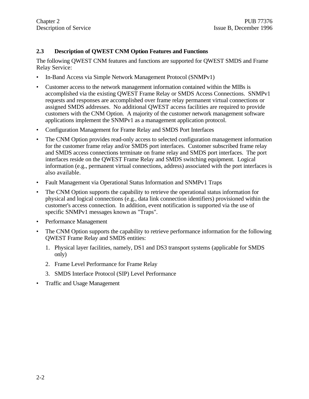# **2.3 Description of QWEST CNM Option Features and Functions**

The following QWEST CNM features and functions are supported for QWEST SMDS and Frame Relay Service:

- In-Band Access via Simple Network Management Protocol (SNMPv1)
- Customer access to the network management information contained within the MIBs is accomplished via the existing QWEST Frame Relay or SMDS Access Connections. SNMPv1 requests and responses are accomplished over frame relay permanent virtual connections or assigned SMDS addresses. No additional QWEST access facilities are required to provide customers with the CNM Option. A majority of the customer network management software applications implement the SNMPv1 as a management application protocol.
- Configuration Management for Frame Relay and SMDS Port Interfaces
- The CNM Option provides read-only access to selected configuration management information for the customer frame relay and/or SMDS port interfaces. Customer subscribed frame relay and SMDS access connections terminate on frame relay and SMDS port interfaces. The port interfaces reside on the QWEST Frame Relay and SMDS switching equipment. Logical information (e.g., permanent virtual connections, address) associated with the port interfaces is also available.
- Fault Management via Operational Status Information and SNMPv1 Traps
- The CNM Option supports the capability to retrieve the operational status information for physical and logical connections (e.g., data link connection identifiers) provisioned within the customer's access connection. In addition, event notification is supported via the use of specific SNMPv1 messages known as "Traps".
- Performance Management
- The CNM Option supports the capability to retrieve performance information for the following QWEST Frame Relay and SMDS entities:
	- 1. Physical layer facilities, namely, DS1 and DS3 transport systems (applicable for SMDS only)
	- 2. Frame Level Performance for Frame Relay
	- 3. SMDS Interface Protocol (SIP) Level Performance
- Traffic and Usage Management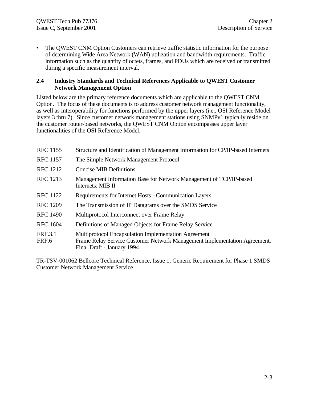• The QWEST CNM Option Customers can retrieve traffic statistic information for the purpose of determining Wide Area Network (WAN) utilization and bandwidth requirements. Traffic information such as the quantity of octets, frames, and PDUs which are received or transmitted during a specific measurement interval.

#### **2.4 Industry Standards and Technical References Applicable to QWEST Customer Network Management Option**

Listed below are the primary reference documents which are applicable to the QWEST CNM Option. The focus of these documents is to address customer network management functionality, as well as interoperability for functions performed by the upper layers (i.e., OSI Reference Model layers 3 thru 7). Since customer network management stations using SNMPv1 typically reside on the customer router-based networks, the QWEST CNM Option encompasses upper layer functionalities of the OSI Reference Model.

| <b>RFC</b> 1155         | Structure and Identification of Management Information for CP/IP-based Internets                                                                                |
|-------------------------|-----------------------------------------------------------------------------------------------------------------------------------------------------------------|
| <b>RFC</b> 1157         | The Simple Network Management Protocol                                                                                                                          |
| <b>RFC</b> 1212         | <b>Concise MIB Definitions</b>                                                                                                                                  |
| <b>RFC</b> 1213         | Management Information Base for Network Management of TCP/IP-based<br>Internets: MIB II                                                                         |
| <b>RFC</b> 1122         | Requirements for Internet Hosts - Communication Layers                                                                                                          |
| <b>RFC</b> 1209         | The Transmission of IP Datagrams over the SMDS Service                                                                                                          |
| <b>RFC 1490</b>         | Multiprotocol Interconnect over Frame Relay                                                                                                                     |
| <b>RFC 1604</b>         | Definitions of Managed Objects for Frame Relay Service                                                                                                          |
| <b>FRF.3.1</b><br>FRF.6 | Multiprotocol Encapsulation Implementation Agreement<br>Frame Relay Service Customer Network Management Implementation Agreement,<br>Final Draft - January 1994 |

TR-TSV-001062 Bellcore Technical Reference, Issue 1, Generic Requirement for Phase 1 SMDS Customer Network Management Service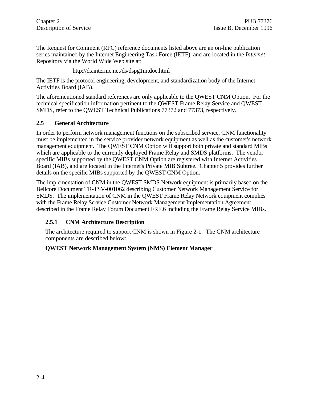The Request for Comment (RFC) reference documents listed above are an on-line publication series maintained by the Internet Engineering Task Force (IETF), and are located in the *Internet* Repository via the World Wide Web site at:

http://ds.internic.net/ds/dspg1intdoc.html

The IETF is the protocol engineering, development, and standardization body of the Internet Activities Board (IAB).

The aforementioned standard references are only applicable to the QWEST CNM Option. For the technical specification information pertinent to the QWEST Frame Relay Service and QWEST SMDS, refer to the QWEST Technical Publications 77372 and 77373, respectively.

# **2.5 General Architecture**

In order to perform network management functions on the subscribed service, CNM functionality must be implemented in the service provider network equipment as well as the customer's network management equipment. The QWEST CNM Option will support both private and standard MIBs which are applicable to the currently deployed Frame Relay and SMDS platforms. The vendor specific MIBs supported by the QWEST CNM Option are registered with Internet Activities Board (IAB), and are located in the Internet's Private MIB Subtree. Chapter 5 provides further details on the specific MIBs supported by the QWEST CNM Option.

The implementation of CNM in the QWEST SMDS Network equipment is primarily based on the Bellcore Document TR-TSV-001062 describing Customer Network Management Service for SMDS. The implementation of CNM in the QWEST Frame Relay Network equipment complies with the Frame Relay Service Customer Network Management Implementation Agreement described in the Frame Relay Forum Document FRF.6 including the Frame Relay Service MIBs.

# **2.5.1 CNM Architecture Description**

The architecture required to support CNM is shown in Figure 2-1. The CNM architecture components are described below:

### **QWEST Network Management System (NMS) Element Manager**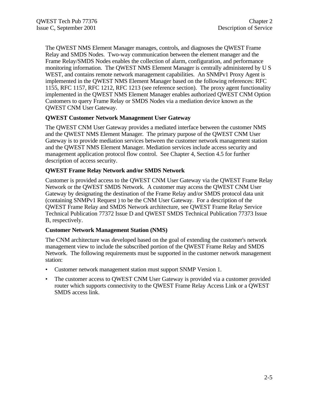The QWEST NMS Element Manager manages, controls, and diagnoses the QWEST Frame Relay and SMDS Nodes. Two-way communication between the element manager and the Frame Relay/SMDS Nodes enables the collection of alarm, configuration, and performance monitoring information. The QWEST NMS Element Manager is centrally administered by U S WEST, and contains remote network management capabilities. An SNMPv1 Proxy Agent is implemented in the QWEST NMS Element Manager based on the following references: RFC 1155, RFC 1157, RFC 1212, RFC 1213 (see reference section). The proxy agent functionality implemented in the QWEST NMS Element Manager enables authorized QWEST CNM Option Customers to query Frame Relay or SMDS Nodes via a mediation device known as the QWEST CNM User Gateway.

### **QWEST Customer Network Management User Gateway**

The QWEST CNM User Gateway provides a mediated interface between the customer NMS and the QWEST NMS Element Manager. The primary purpose of the QWEST CNM User Gateway is to provide mediation services between the customer network management station and the QWEST NMS Element Manager. Mediation services include access security and management application protocol flow control. See Chapter 4, Section 4.5 for further description of access security.

#### **QWEST Frame Relay Network and/or SMDS Network**

Customer is provided access to the QWEST CNM User Gateway via the QWEST Frame Relay Network or the QWEST SMDS Network. A customer may access the QWEST CNM User Gateway by designating the destination of the Frame Relay and/or SMDS protocol data unit (containing SNMPv1 Request ) to be the CNM User Gateway. For a description of the QWEST Frame Relay and SMDS Network architecture, see QWEST Frame Relay Service Technical Publication 77372 Issue D and QWEST SMDS Technical Publication 77373 Issue B, respectively.

#### **Customer Network Management Station (NMS)**

The CNM architecture was developed based on the goal of extending the customer's network management view to include the subscribed portion of the QWEST Frame Relay and SMDS Network. The following requirements must be supported in the customer network management station:

- Customer network management station must support SNMP Version 1.
- The customer access to QWEST CNM User Gateway is provided via a customer provided router which supports connectivity to the QWEST Frame Relay Access Link or a QWEST SMDS access link.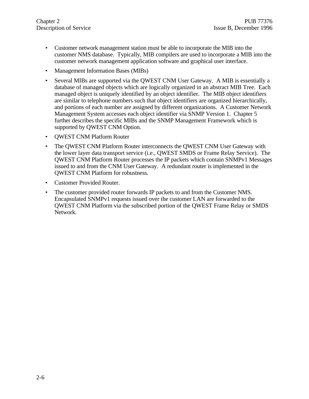- Customer network management station must be able to incorporate the MIB into the customer NMS database. Typically, MIB compilers are used to incorporate a MIB into the customer network management application software and graphical user interface.
- Management Information Bases (MIBs)
- Several MIBs are supported via the QWEST CNM User Gateway. A MIB is essentially a database of managed objects which are logically organized in an abstract MIB Tree. Each managed object is uniquely identified by an object identifier. The MIB object identifiers are similar to telephone numbers such that object identifiers are organized hierarchically, and portions of each number are assigned by different organizations. A Customer Network Management System accesses each object identifier via SNMP Version 1. Chapter 5 further describes the specific MIBs and the SNMP Management Framework which is supported by QWEST CNM Option.
- QWEST CNM Platform Router
- The QWEST CNM Platform Router interconnects the QWEST CNM User Gateway with the lower layer data transport service (i.e., QWEST SMDS or Frame Relay Service). The QWEST CNM Platform Router processes the IP packets which contain SNMPv1 Messages issued to and from the CNM User Gateway. A redundant router is implemented in the QWEST CNM Platform for robustness.
- Customer Provided Router.
- The customer provided router forwards IP packets to and from the Customer NMS. Encapsulated SNMPv1 requests issued over the customer LAN are forwarded to the QWEST CNM Platform via the subscribed portion of the QWEST Frame Relay or SMDS Network.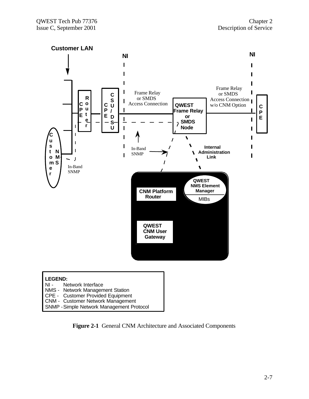

| <b>LEGEND:</b> |                                           |  |
|----------------|-------------------------------------------|--|
|                | NI - Network Interface                    |  |
|                | NMS - Network Management Station          |  |
|                | CPE - Customer Provided Equipment         |  |
|                | <b>CNM - Customer Network Management</b>  |  |
|                | SNMP - Simple Network Management Protocol |  |

**Figure 2-1** General CNM Architecture and Associated Components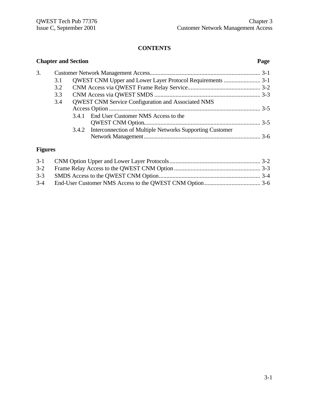# **CONTENTS**

| <b>Chapter and Section</b> |     |                                                                |  |
|----------------------------|-----|----------------------------------------------------------------|--|
| 3.                         |     |                                                                |  |
|                            | 3.1 |                                                                |  |
|                            | 3.2 |                                                                |  |
|                            | 3.3 |                                                                |  |
|                            | 3.4 | <b>OWEST CNM Service Configuration and Associated NMS</b>      |  |
|                            |     |                                                                |  |
|                            |     | 3.4.1 End User Customer NMS Access to the                      |  |
|                            |     |                                                                |  |
|                            |     | 3.4.2 Interconnection of Multiple Networks Supporting Customer |  |
|                            |     |                                                                |  |

# **Figures**

| $3 - 3$ |  |
|---------|--|
|         |  |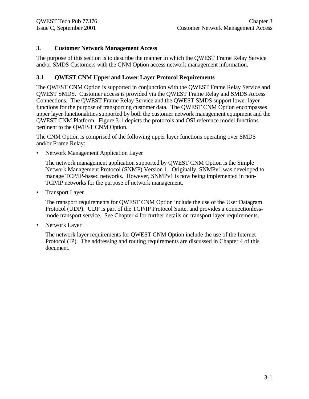# **3. Customer Network Management Access**

The purpose of this section is to describe the manner in which the QWEST Frame Relay Service and/or SMDS Customers with the CNM Option access network management information.

# **3.1 QWEST CNM Upper and Lower Layer Protocol Requirements**

The QWEST CNM Option is supported in conjunction with the QWEST Frame Relay Service and QWEST SMDS. Customer access is provided via the QWEST Frame Relay and SMDS Access Connections. The QWEST Frame Relay Service and the QWEST SMDS support lower layer functions for the purpose of transporting customer data. The QWEST CNM Option encompasses upper layer functionalities supported by both the customer network management equipment and the QWEST CNM Platform. Figure 3-1 depicts the protocols and OSI reference model functions pertinent to the QWEST CNM Option.

The CNM Option is comprised of the following upper layer functions operating over SMDS and/or Frame Relay:

• Network Management Application Layer

The network management application supported by QWEST CNM Option is the Simple Network Management Protocol (SNMP) Version 1. Originally, SNMPv1 was developed to manage TCP/IP-based networks. However, SNMPv1 is now being implemented in non-TCP/IP networks for the purpose of network management.

• Transport Layer

The transport requirements for QWEST CNM Option include the use of the User Datagram Protocol (UDP). UDP is part of the TCP/IP Protocol Suite, and provides a connectionlessmode transport service. See Chapter 4 for further details on transport layer requirements.

Network Layer

The network layer requirements for QWEST CNM Option include the use of the Internet Protocol (IP). The addressing and routing requirements are discussed in Chapter 4 of this document.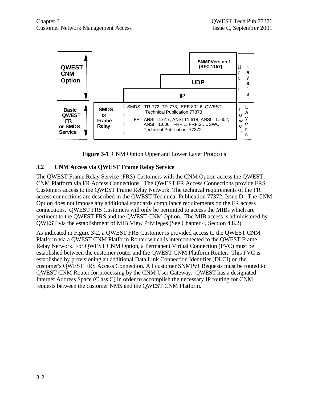

**Figure 3-1** CNM Option Upper and Lower Layer Protocols

### **3.2 CNM Access via QWEST Frame Relay Service**

The QWEST Frame Relay Service (FRS) Customers with the CNM Option access the QWEST CNM Platform via FR Access Connections. The QWEST FR Access Connections provide FRS Customers access to the QWEST Frame Relay Network. The technical requirements of the FR access connections are described in the QWEST Technical Publication 77372, Issue D. The CNM Option does not impose any additional standards compliance requirements on the FR access connections. QWEST FRS Customers will only be permitted to access the MIBs which are pertinent to the QWEST FRS and the QWEST CNM Option. The MIB access is administered by QWEST via the establishment of MIB View Privileges (See Chapter 4, Section 4.8.2).

As indicated in Figure 3-2, a QWEST FRS Customer is provided access to the QWEST CNM Platform via a QWEST CNM Platform Router which is interconnected to the QWEST Frame Relay Network. For QWEST CNM Option, a Permanent Virtual Connection (PVC) must be established between the customer router and the QWEST CNM Platform Router. This PVC is established by provisioning an additional Data Link Connection Identifier (DLCI) on the customer's QWEST FRS Access Connection. All customer SNMPv1 Requests must be routed to QWEST CNM Router for processing by the CNM User Gateway. QWEST has a designated Internet Address Space (Class C) in order to accomplish the necessary IP routing for CNM requests between the customer NMS and the QWEST CNM Platform.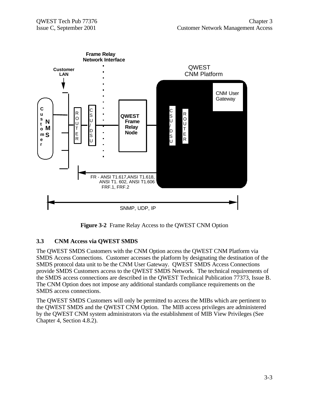

**Figure 3-2** Frame Relay Access to the QWEST CNM Option

# **3.3 CNM Access via QWEST SMDS**

The QWEST SMDS Customers with the CNM Option access the QWEST CNM Platform via SMDS Access Connections. Customer accesses the platform by designating the destination of the SMDS protocol data unit to be the CNM User Gateway. QWEST SMDS Access Connections provide SMDS Customers access to the QWEST SMDS Network. The technical requirements of the SMDS access connections are described in the QWEST Technical Publication 77373, Issue B. The CNM Option does not impose any additional standards compliance requirements on the SMDS access connections.

The QWEST SMDS Customers will only be permitted to access the MIBs which are pertinent to the QWEST SMDS and the QWEST CNM Option. The MIB access privileges are administered by the QWEST CNM system administrators via the establishment of MIB View Privileges (See Chapter 4, Section 4.8.2).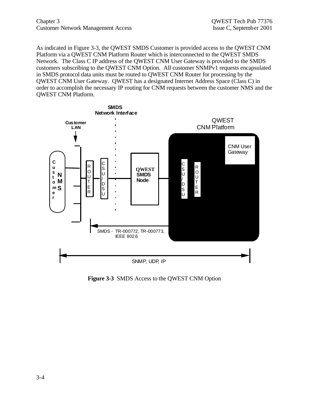Chapter 3 QWEST Tech Pub 77376 Customer Network Management Access Issue C, September 2001

As indicated in Figure 3-3, the QWEST SMDS Customer is provided access to the QWEST CNM Platform via a QWEST CNM Platform Router which is interconnected to the QWEST SMDS Network. The Class C IP address of the QWEST CNM User Gateway is provided to the SMDS customers subscribing to the QWEST CNM Option. All customer SNMPv1 requests encapsulated in SMDS protocol data units must be routed to QWEST CNM Router for processing by the QWEST CNM User Gateway. QWEST has a designated Internet Address Space (Class C) in order to accomplish the necessary IP routing for CNM requests between the customer NMS and the QWEST CNM Platform.



**Figure 3-3** SMDS Access to the QWEST CNM Option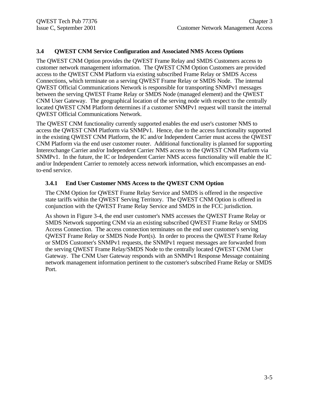# **3.4 QWEST CNM Service Configuration and Associated NMS Access Options**

The QWEST CNM Option provides the QWEST Frame Relay and SMDS Customers access to customer network management information. The QWEST CNM Option Customers are provided access to the QWEST CNM Platform via existing subscribed Frame Relay or SMDS Access Connections, which terminate on a serving QWEST Frame Relay or SMDS Node. The internal QWEST Official Communications Network is responsible for transporting SNMPv1 messages between the serving QWEST Frame Relay or SMDS Node (managed element) and the QWEST CNM User Gateway. The geographical location of the serving node with respect to the centrally located QWEST CNM Platform determines if a customer SNMPv1 request will transit the internal QWEST Official Communications Network.

The QWEST CNM functionality currently supported enables the end user's customer NMS to access the QWEST CNM Platform via SNMPv1. Hence, due to the access functionality supported in the existing QWEST CNM Platform, the IC and/or Independent Carrier must access the QWEST CNM Platform via the end user customer router. Additional functionality is planned for supporting Interexchange Carrier and/or Independent Carrier NMS access to the QWEST CNM Platform via SNMPv1. In the future, the IC or Independent Carrier NMS access functionality will enable the IC and/or Independent Carrier to remotely access network information, which encompasses an endto-end service.

### **3.4.1 End User Customer NMS Access to the QWEST CNM Option**

The CNM Option for QWEST Frame Relay Service and SMDS is offered in the respective state tariffs within the QWEST Serving Territory. The QWEST CNM Option is offered in conjunction with the QWEST Frame Relay Service and SMDS in the FCC jurisdiction.

As shown in Figure 3-4, the end user customer's NMS accesses the QWEST Frame Relay or SMDS Network supporting CNM via an existing subscribed QWEST Frame Relay or SMDS Access Connection. The access connection terminates on the end user customer's serving QWEST Frame Relay or SMDS Node Port(s). In order to process the QWEST Frame Relay or SMDS Customer's SNMPv1 requests, the SNMPv1 request messages are forwarded from the serving QWEST Frame Relay/SMDS Node to the centrally located QWEST CNM User Gateway. The CNM User Gateway responds with an SNMPv1 Response Message containing network management information pertinent to the customer's subscribed Frame Relay or SMDS Port.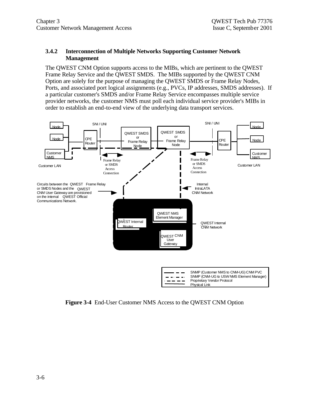#### **3.4.2 Interconnection of Multiple Networks Supporting Customer Network Management**

The QWEST CNM Option supports access to the MIBs, which are pertinent to the QWEST Frame Relay Service and the QWEST SMDS. The MIBs supported by the QWEST CNM Option are solely for the purpose of managing the QWEST SMDS or Frame Relay Nodes, Ports, and associated port logical assignments (e.g., PVCs, IP addresses, SMDS addresses). If a particular customer's SMDS and/or Frame Relay Service encompasses multiple service provider networks, the customer NMS must poll each individual service provider's MIBs in order to establish an end-to-end view of the underlying data transport services.



**Figure 3-4** End-User Customer NMS Access to the QWEST CNM Option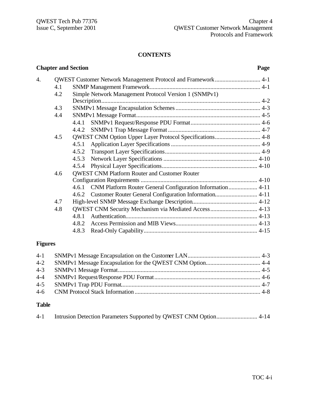#### **CONTENTS**

# **Chapter and Section Page** 4. QWEST Customer Network Management Protocol and Framework.............................. 4-1 4.1 SNMP Management Framework......................................................................... 4-1 4.2 Simple Network Management Protocol Version 1 (SNMPv1) Description......................................................................................................... 4-2 4.3 SNMPv1 Message Encapsulation Schemes........................................................ 4-3 4.4 SNMPv1 Message Format.................................................................................. 4-5 4.4.1 SNMPv1 Request/Response PDU Format.............................................. 4-6 4.4.2 SNMPv1 Trap Message Format ............................................................. 4-7 4.5 QWEST CNM Option Upper Layer Protocol Specifications.............................. 4-8 4.5.1 Application Layer Specifications........................................................... 4-9 4.5.2 Transport Layer Specifications............................................................... 4-9 4.5.3 Network Layer Specifications.............................................................. 4-10 4.5.4 Physical Layer Specifications............................................................... 4-10 4.6 QWEST CNM Platform Router and Customer Router Configuration Requirements ............................................................................. 4-10 4.6.1 CNM Platform Router General Configuration Information................... 4-11 4.6.2 Customer Router General Configuration Information............................ 4-11 4.7 High-level SNMP Message Exchange Description........................................... 4-12 4.8 QWEST CNM Security Mechanism via Mediated Access............................... 4-13 4.8.1 Authentication....................................................................................... 4-13 4.8.2 Access Permission and MIB Views...................................................... 4-13 4.8.3 Read-Only Capability........................................................................... 4-15

### **Figures**

### **Table**

| $4-1$ |  |  |  |
|-------|--|--|--|
|-------|--|--|--|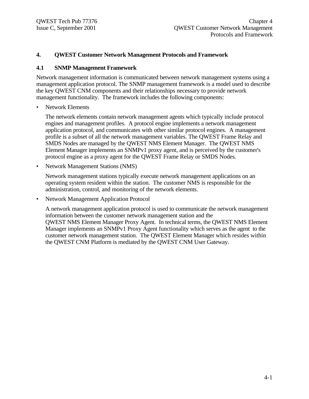#### **4. QWEST Customer Network Management Protocols and Framework**

#### **4.1 SNMP Management Framework**

Network management information is communicated between network management systems using a management application protocol. The SNMP management framework is a model used to describe the key QWEST CNM components and their relationships necessary to provide network management functionality. The framework includes the following components:

Network Elements

The network elements contain network management agents which typically include protocol engines and management profiles. A protocol engine implements a network management application protocol, and communicates with other similar protocol engines. A management profile is a subset of all the network management variables. The QWEST Frame Relay and SMDS Nodes are managed by the QWEST NMS Element Manager. The QWEST NMS Element Manager implements an SNMPv1 proxy agent, and is perceived by the customer's protocol engine as a proxy agent for the QWEST Frame Relay or SMDS Nodes.

• Network Management Stations (NMS)

Network management stations typically execute network management applications on an operating system resident within the station. The customer NMS is responsible for the administration, control, and monitoring of the network elements.

• Network Management Application Protocol

A network management application protocol is used to communicate the network management information between the customer network management station and the QWEST NMS Element Manager Proxy Agent. In technical terms, the QWEST NMS Element Manager implements an SNMPv1 Proxy Agent functionality which serves as the agent to the customer network management station. The QWEST Element Manager which resides within the QWEST CNM Platform is mediated by the QWEST CNM User Gateway.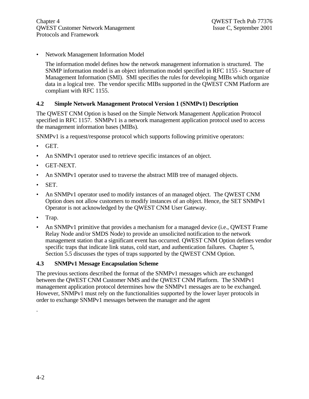• Network Management Information Model

The information model defines how the network management information is structured. The SNMP information model is an object information model specified in RFC 1155 - Structure of Management Information (SMI). SMI specifies the rules for developing MIBs which organize data in a logical tree. The vendor specific MIBs supported in the QWEST CNM Platform are compliant with RFC 1155.

# **4.2 Simple Network Management Protocol Version 1 (SNMPv1) Description**

The QWEST CNM Option is based on the Simple Network Management Application Protocol specified in RFC 1157. SNMPv1 is a network management application protocol used to access the management information bases (MIBs).

SNMPv1 is a request/response protocol which supports following primitive operators:

- GET.
- An SNMPv1 operator used to retrieve specific instances of an object.
- GET-NEXT.
- An SNMPv1 operator used to traverse the abstract MIB tree of managed objects.
- SET.
- An SNMPv1 operator used to modify instances of an managed object. The QWEST CNM Option does not allow customers to modify instances of an object. Hence, the SET SNMPv1 Operator is not acknowledged by the QWEST CNM User Gateway.
- Trap.
- An SNMPv1 primitive that provides a mechanism for a managed device (i.e., QWEST Frame Relay Node and/or SMDS Node) to provide an unsolicited notification to the network management station that a significant event has occurred. QWEST CNM Option defines vendor specific traps that indicate link status, cold start, and authentication failures. Chapter 5, Section 5.5 discusses the types of traps supported by the QWEST CNM Option.

### **4.3 SNMPv1 Message Encapsulation Scheme**

The previous sections described the format of the SNMPv1 messages which are exchanged between the QWEST CNM Customer NMS and the QWEST CNM Platform. The SNMPv1 management application protocol determines how the SNMPv1 messages are to be exchanged. However, SNMPv1 must rely on the functionalities supported by the lower layer protocols in order to exchange SNMPv1 messages between the manager and the agent

.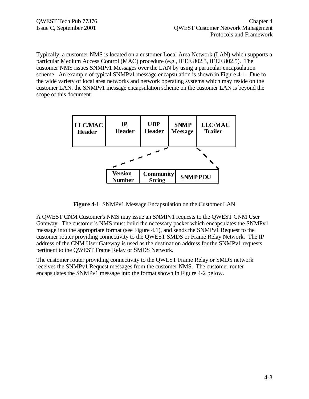Typically, a customer NMS is located on a customer Local Area Network (LAN) which supports a particular Medium Access Control (MAC) procedure (e.g., IEEE 802.3, IEEE 802.5). The customer NMS issues SNMPv1 Messages over the LAN by using a particular encapsulation scheme. An example of typical SNMPv1 message encapsulation is shown in Figure 4-1. Due to the wide variety of local area networks and network operating systems which may reside on the customer LAN, the SNMPv1 message encapsulation scheme on the customer LAN is beyond the scope of this document.



**Figure 4-1** SNMPv1 Message Encapsulation on the Customer LAN

A QWEST CNM Customer's NMS may issue an SNMPv1 requests to the QWEST CNM User Gateway. The customer's NMS must build the necessary packet which encapsulates the SNMPv1 message into the appropriate format (see Figure 4.1), and sends the SNMPv1 Request to the customer router providing connectivity to the QWEST SMDS or Frame Relay Network. The IP address of the CNM User Gateway is used as the destination address for the SNMPv1 requests pertinent to the QWEST Frame Relay or SMDS Network.

The customer router providing connectivity to the QWEST Frame Relay or SMDS network receives the SNMPv1 Request messages from the customer NMS. The customer router encapsulates the SNMPv1 message into the format shown in Figure 4-2 below.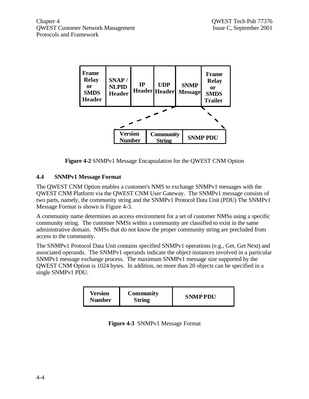

**Figure 4-2** SNMPv1 Message Encapsulation for the QWEST CNM Option

# **4.4 SNMPv1 Message Format**

The QWEST CNM Option enables a customer's NMS to exchange SNMPv1 messages with the QWEST CNM Platform via the QWEST CNM User Gateway. The SNMPv1 message consists of two parts, namely, the community string and the SNMPv1 Protocol Data Unit (PDU) The SNMPv1 Message Format is shown is Figure 4-3.

A community name determines an access environment for a set of customer NMSs using a specific community string. The customer NMSs within a community are classified to exist in the same administrative domain. NMSs that do not know the proper community string are precluded from access to the community.

The SNMPv1 Protocol Data Unit contains specified SNMPv1 operations (e.g., Get, Get Next) and associated operands. The SNMPv1 operands indicate the object instances involved in a particular SNMPv1 message exchange process. The maximum SNMPv1 message size supported by the QWEST CNM Option is 1024 bytes. In addition, no more than 20 objects can be specified in a single SNMPv1 PDU.

| Version<br><b>Number</b> | Community<br><b>String</b> | <b>SNMPPDU</b> |
|--------------------------|----------------------------|----------------|
|--------------------------|----------------------------|----------------|

| Figure 4-3 SNMPv1 Message Format |  |  |
|----------------------------------|--|--|
|                                  |  |  |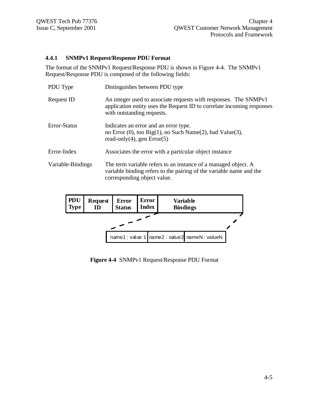#### **4.4.1 SNMPv1 Request/Response PDU Format**

The format of the SNMPv1 Request/Response PDU is shown in Figure 4-4. The SNMPv1 Request/Response PDU is composed of the following fields:

| PDU Type          | Distinguishes between PDU type                                                                                                                                           |
|-------------------|--------------------------------------------------------------------------------------------------------------------------------------------------------------------------|
| Request ID        | An integer used to associate requests with responses. The SNMPv1<br>application entity uses the Request ID to correlate incoming responses<br>with outstanding requests. |
| Error-Status      | Indicates an error and an error type.<br>no Error $(0)$ , too Big $(1)$ , no Such Name $(2)$ , bad Value $(3)$ ,<br>read-only(4), gen $Error(5)$                         |
| Error-Index       | Associates the error with a particular object instance                                                                                                                   |
| Variable-Bindings | The term variable refers to an instance of a managed object. A<br>variable binding refers to the pairing of the variable name and the<br>corresponding object value.     |

| <b>PDU</b><br><b>Type</b>                      | <b>Request</b><br><b>ID</b> | <b>Error</b><br><b>Status</b> | Error<br><b>Index</b> |  |  | Variable<br><b>Bindings</b> |  |
|------------------------------------------------|-----------------------------|-------------------------------|-----------------------|--|--|-----------------------------|--|
|                                                |                             |                               |                       |  |  |                             |  |
| name1: value 1   name2: value2   nameN: valueN |                             |                               |                       |  |  |                             |  |

**Figure 4-4** SNMPv1 Request/Response PDU Format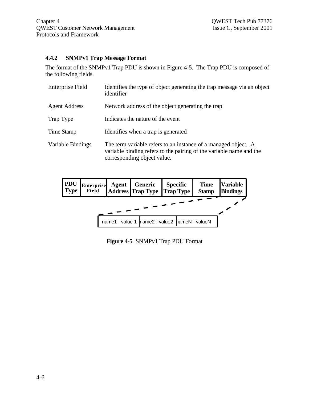#### **4.4.2 SNMPv1 Trap Message Format**

The format of the SNMPv1 Trap PDU is shown in Figure 4-5. The Trap PDU is composed of the following fields.

| <b>Enterprise Field</b> | Identifies the type of object generating the trap message via an object<br>identifier                                                                                |
|-------------------------|----------------------------------------------------------------------------------------------------------------------------------------------------------------------|
| <b>Agent Address</b>    | Network address of the object generating the trap                                                                                                                    |
| Trap Type               | Indicates the nature of the event                                                                                                                                    |
| Time Stamp              | Identifies when a trap is generated                                                                                                                                  |
| Variable Bindings       | The term variable refers to an instance of a managed object. A<br>variable binding refers to the pairing of the variable name and the<br>corresponding object value. |



**Figure 4-5** SNMPv1 Trap PDU Format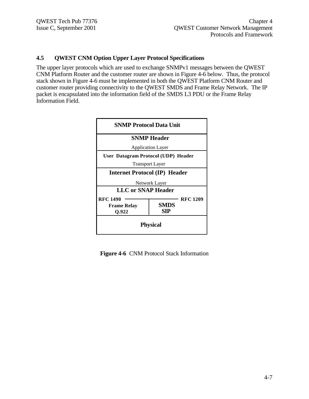#### **4.5 QWEST CNM Option Upper Layer Protocol Specifications**

The upper layer protocols which are used to exchange SNMPv1 messages between the QWEST CNM Platform Router and the customer router are shown in Figure 4-6 below. Thus, the protocol stack shown in Figure 4-6 must be implemented in both the QWEST Platform CNM Router and customer router providing connectivity to the QWEST SMDS and Frame Relay Network. The IP packet is encapsulated into the information field of the SMDS L3 PDU or the Frame Relay Information Field.



**Figure 4-6** CNM Protocol Stack Information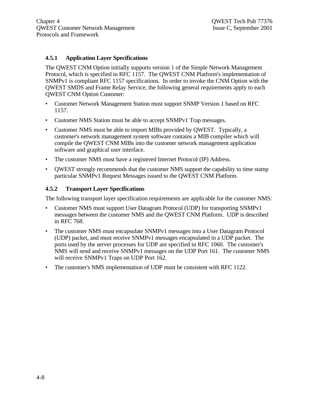#### **4.5.1 Application Layer Specifications**

The QWEST CNM Option initially supports version 1 of the Simple Network Management Protocol, which is specified in RFC 1157. The QWEST CNM Platform's implementation of SNMPv1 is compliant RFC 1157 specifications. In order to invoke the CNM Option with the QWEST SMDS and Frame Relay Service, the following general requirements apply to each QWEST CNM Option Customer:

- Customer Network Management Station must support SNMP Version 1 based on RFC 1157.
- Customer NMS Station must be able to accept SNMPv1 Trap messages.
- Customer NMS must be able to import MIBs provided by QWEST. Typically, a customer's network management system software contains a MIB compiler which will compile the QWEST CNM MIBs into the customer network management application software and graphical user interface.
- The customer NMS must have a registered Internet Protocol (IP) Address.
- OWEST strongly recommends that the customer NMS support the capability to time stamp particular SNMPv1 Request Messages issued to the QWEST CNM Platform.

### **4.5.2 Transport Layer Specifications**

The following transport layer specification requirements are applicable for the customer NMS:

- Customer NMS must support User Datagram Protocol (UDP) for transporting SNMPv1 messages between the customer NMS and the QWEST CNM Platform. UDP is described in RFC 768.
- The customer NMS must encapsulate SNMPv1 messages into a User Datagram Protocol (UDP) packet, and must receive SNMPv1 messages encapsulated in a UDP packet. The ports used by the server processes for UDP are specified in RFC 1060. The customer's NMS will send and receive SNMPv1 messages on the UDP Port 161. The customer NMS will receive SNMPv1 Traps on UDP Port 162.
- The customer's NMS implementation of UDP must be consistent with RFC 1122.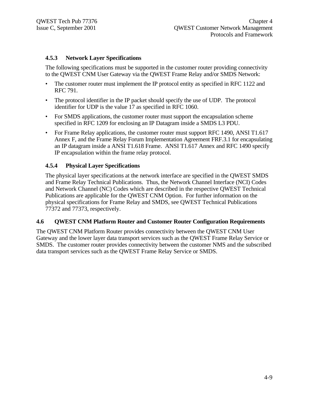#### **4.5.3 Network Layer Specifications**

The following specifications must be supported in the customer router providing connectivity to the QWEST CNM User Gateway via the QWEST Frame Relay and/or SMDS Network:

- The customer router must implement the IP protocol entity as specified in RFC 1122 and RFC 791.
- The protocol identifier in the IP packet should specify the use of UDP. The protocol identifier for UDP is the value 17 as specified in RFC 1060.
- For SMDS applications, the customer router must support the encapsulation scheme specified in RFC 1209 for enclosing an IP Datagram inside a SMDS L3 PDU.
- For Frame Relay applications, the customer router must support RFC 1490, ANSI T1.617 Annex F, and the Frame Relay Forum Implementation Agreement FRF.3.1 for encapsulating an IP datagram inside a ANSI T1.618 Frame. ANSI T1.617 Annex and RFC 1490 specify IP encapsulation within the frame relay protocol.

#### **4.5.4 Physical Layer Specifications**

The physical layer specifications at the network interface are specified in the QWEST SMDS and Frame Relay Technical Publications. Thus, the Network Channel Interface (NCI) Codes and Network Channel (NC) Codes which are described in the respective QWEST Technical Publications are applicable for the QWEST CNM Option. For further information on the physical specifications for Frame Relay and SMDS, see QWEST Technical Publications 77372 and 77373, respectively.

#### **4.6 QWEST CNM Platform Router and Customer Router Configuration Requirements**

The QWEST CNM Platform Router provides connectivity between the QWEST CNM User Gateway and the lower layer data transport services such as the QWEST Frame Relay Service or SMDS. The customer router provides connectivity between the customer NMS and the subscribed data transport services such as the QWEST Frame Relay Service or SMDS.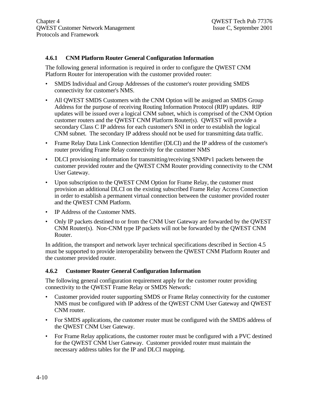#### **4.6.1 CNM Platform Router General Configuration Information**

The following general information is required in order to configure the QWEST CNM Platform Router for interoperation with the customer provided router:

- SMDS Individual and Group Addresses of the customer's router providing SMDS connectivity for customer's NMS.
- All OWEST SMDS Customers with the CNM Option will be assigned an SMDS Group Address for the purpose of receiving Routing Information Protocol (RIP) updates. RIP updates will be issued over a logical CNM subnet, which is comprised of the CNM Option customer routers and the QWEST CNM Platform Router(s). QWEST will provide a secondary Class C IP address for each customer's SNI in order to establish the logical CNM subnet. The secondary IP address should not be used for transmitting data traffic.
- Frame Relay Data Link Connection Identifier (DLCI) and the IP address of the customer's router providing Frame Relay connectivity for the customer NMS
- DLCI provisioning information for transmitting/receiving SNMPv1 packets between the customer provided router and the QWEST CNM Router providing connectivity to the CNM User Gateway.
- Upon subscription to the QWEST CNM Option for Frame Relay, the customer must provision an additional DLCI on the existing subscribed Frame Relay Access Connection in order to establish a permanent virtual connection between the customer provided router and the QWEST CNM Platform.
- IP Address of the Customer NMS.
- Only IP packets destined to or from the CNM User Gateway are forwarded by the QWEST CNM Router(s). Non-CNM type IP packets will not be forwarded by the QWEST CNM Router.

In addition, the transport and network layer technical specifications described in Section 4.5 must be supported to provide interoperability between the QWEST CNM Platform Router and the customer provided router.

#### **4.6.2 Customer Router General Configuration Information**

The following general configuration requirement apply for the customer router providing connectivity to the QWEST Frame Relay or SMDS Network:

- Customer provided router supporting SMDS or Frame Relay connectivity for the customer NMS must be configured with IP address of the QWEST CNM User Gateway and QWEST CNM router.
- For SMDS applications, the customer router must be configured with the SMDS address of the QWEST CNM User Gateway.
- For Frame Relay applications, the customer router must be configured with a PVC destined for the QWEST CNM User Gateway. Customer provided router must maintain the necessary address tables for the IP and DLCI mapping.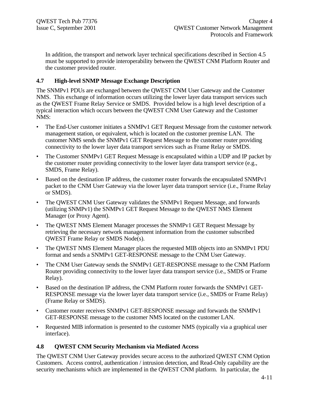In addition, the transport and network layer technical specifications described in Section 4.5 must be supported to provide interoperability between the QWEST CNM Platform Router and the customer provided router.

### **4.7 High-level SNMP Message Exchange Description**

The SNMPv1 PDUs are exchanged between the QWEST CNM User Gateway and the Customer NMS. This exchange of information occurs utilizing the lower layer data transport services such as the QWEST Frame Relay Service or SMDS. Provided below is a high level description of a typical interaction which occurs between the QWEST CNM User Gateway and the Customer NMS:

- The End-User customer initiates a SNMPv1 GET Request Message from the customer network management station, or equivalent, which is located on the customer premise LAN. The customer NMS sends the SNMPv1 GET Request Message to the customer router providing connectivity to the lower layer data transport services such as Frame Relay or SMDS.
- The Customer SNMPv1 GET Request Message is encapsulated within a UDP and IP packet by the customer router providing connectivity to the lower layer data transport service (e.g., SMDS, Frame Relay).
- Based on the destination IP address, the customer router forwards the encapsulated SNMPv1 packet to the CNM User Gateway via the lower layer data transport service (i.e., Frame Relay or SMDS).
- The QWEST CNM User Gateway validates the SNMPv1 Request Message, and forwards (utilizing SNMPv1) the SNMPv1 GET Request Message to the QWEST NMS Element Manager (or Proxy Agent).
- The QWEST NMS Element Manager processes the SNMPv1 GET Request Message by retrieving the necessary network management information from the customer subscribed QWEST Frame Relay or SMDS Node(s).
- The OWEST NMS Element Manager places the requested MIB objects into an SNMPv1 PDU format and sends a SNMPv1 GET-RESPONSE message to the CNM User Gateway.
- The CNM User Gateway sends the SNMPv1 GET-RESPONSE message to the CNM Platform Router providing connectivity to the lower layer data transport service (i.e., SMDS or Frame Relay).
- Based on the destination IP address, the CNM Platform router forwards the SNMPv1 GET-RESPONSE message via the lower layer data transport service (i.e., SMDS or Frame Relay) (Frame Relay or SMDS).
- Customer router receives SNMPv1 GET-RESPONSE message and forwards the SNMPv1 GET-RESPONSE message to the customer NMS located on the customer LAN.
- Requested MIB information is presented to the customer NMS (typically via a graphical user interface).

### **4.8 QWEST CNM Security Mechanism via Mediated Access**

The QWEST CNM User Gateway provides secure access to the authorized QWEST CNM Option Customers. Access control, authentication / intrusion detection, and Read-Only capability are the security mechanisms which are implemented in the QWEST CNM platform. In particular, the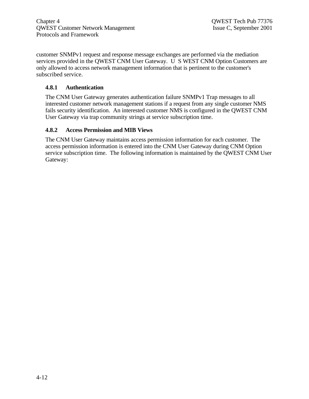customer SNMPv1 request and response message exchanges are performed via the mediation services provided in the QWEST CNM User Gateway. U S WEST CNM Option Customers are only allowed to access network management information that is pertinent to the customer's subscribed service.

## **4.8.1 Authentication**

The CNM User Gateway generates authentication failure SNMPv1 Trap messages to all interested customer network management stations if a request from any single customer NMS fails security identification. An interested customer NMS is configured in the QWEST CNM User Gateway via trap community strings at service subscription time.

#### **4.8.2 Access Permission and MIB Views**

The CNM User Gateway maintains access permission information for each customer. The access permission information is entered into the CNM User Gateway during CNM Option service subscription time. The following information is maintained by the QWEST CNM User Gateway: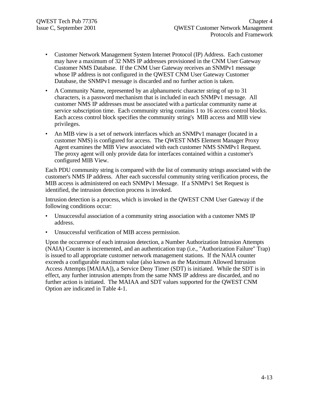- Customer Network Management System Internet Protocol (IP) Address. Each customer may have a maximum of 32 NMS IP addresses provisioned in the CNM User Gateway Customer NMS Database. If the CNM User Gateway receives an SNMPv1 message whose IP address is not configured in the QWEST CNM User Gateway Customer Database, the SNMPv1 message is discarded and no further action is taken.
- A Community Name, represented by an alphanumeric character string of up to 31 characters, is a password mechanism that is included in each SNMPv1 message. All customer NMS IP addresses must be associated with a particular community name at service subscription time. Each community string contains 1 to 16 access control blocks. Each access control block specifies the community string's MIB access and MIB view privileges.
- An MIB view is a set of network interfaces which an SNMPv1 manager (located in a customer NMS) is configured for access. The QWEST NMS Element Manager Proxy Agent examines the MIB View associated with each customer NMS SNMPv1 Request. The proxy agent will only provide data for interfaces contained within a customer's configured MIB View.

Each PDU community string is compared with the list of community strings associated with the customer's NMS IP address. After each successful community string verification process, the MIB access is administered on each SNMPv1 Message. If a SNMPv1 Set Request is identified, the intrusion detection process is invoked.

Intrusion detection is a process, which is invoked in the QWEST CNM User Gateway if the following conditions occur:

- Unsuccessful association of a community string association with a customer NMS IP address.
- Unsuccessful verification of MIB access permission.

Upon the occurrence of each intrusion detection, a Number Authorization Intrusion Attempts (NAIA) Counter is incremented, and an authentication trap (i.e., "Authorization Failure" Trap) is issued to all appropriate customer network management stations. If the NAIA counter exceeds a configurable maximum value (also known as the Maximum Allowed Intrusion Access Attempts [MAIAA]), a Service Deny Timer (SDT) is initiated. While the SDT is in effect, any further intrusion attempts from the same NMS IP address are discarded, and no further action is initiated. The MAIAA and SDT values supported for the QWEST CNM Option are indicated in Table 4-1.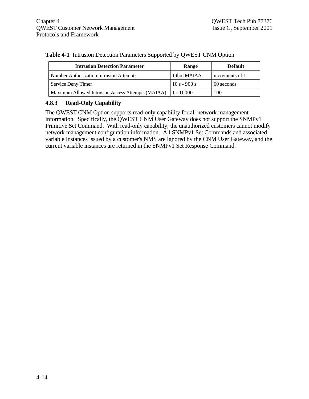| <b>Intrusion Detection Parameter</b>              | Range          | <b>Default</b>  |
|---------------------------------------------------|----------------|-----------------|
| Number Authorization Intrusion Attempts           | 1 thru MAIAA   | increments of 1 |
| Service Deny Timer                                | $10 s - 900 s$ | 60 seconds      |
| Maximum Allowed Intrusion Access Attempts (MAIAA) | $1 - 10000$    | 100             |

#### **Table 4-1** Intrusion Detection Parameters Supported by QWEST CNM Option

## **4.8.3 Read-Only Capability**

The QWEST CNM Option supports read-only capability for all network management information. Specifically, the QWEST CNM User Gateway does not support the SNMPv1 Primitive Set Command. With read-only capability, the unauthorized customers cannot modify network management configuration information. All SNMPv1 Set Commands and associated variable instances issued by a customer's NMS are ignored by the CNM User Gateway, and the current variable instances are returned in the SNMPv1 Set Response Command.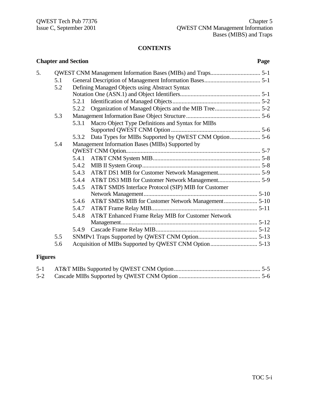# **CONTENTS**

|                | <b>Chapter and Section</b> |       |                                                     | Page |
|----------------|----------------------------|-------|-----------------------------------------------------|------|
| 5.             |                            |       |                                                     |      |
|                | 5.1                        |       |                                                     |      |
|                | 5.2                        |       | Defining Managed Objects using Abstract Syntax      |      |
|                |                            |       |                                                     |      |
|                |                            | 5.2.1 |                                                     |      |
|                |                            | 5.2.2 |                                                     |      |
|                | 5.3                        |       |                                                     |      |
|                |                            | 5.3.1 | Macro Object Type Definitions and Syntax for MIBs   |      |
|                |                            |       |                                                     |      |
|                |                            | 5.3.2 |                                                     |      |
|                | 5.4                        |       | Management Information Bases (MIBs) Supported by    |      |
|                |                            |       |                                                     |      |
|                |                            | 5.4.1 |                                                     |      |
|                |                            | 5.4.2 |                                                     |      |
|                |                            | 5.4.3 |                                                     |      |
|                |                            | 5.4.4 |                                                     |      |
|                |                            | 5.4.5 | AT&T SMDS Interface Protocol (SIP) MIB for Customer |      |
|                |                            |       |                                                     |      |
|                |                            | 5.4.6 |                                                     |      |
|                |                            | 5.4.7 |                                                     |      |
|                |                            | 5.4.8 | AT&T Enhanced Frame Relay MIB for Customer Network  |      |
|                |                            |       |                                                     |      |
|                |                            |       |                                                     |      |
|                | 5.5                        |       |                                                     |      |
|                | 5.6                        |       |                                                     |      |
| <b>Figures</b> |                            |       |                                                     |      |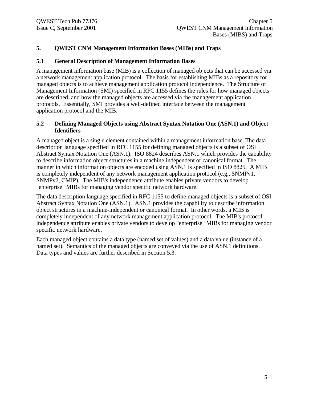## **5. QWEST CNM Management Information Bases (MIBs) and Traps**

#### **5.1 General Description of Management Information Bases**

A management information base (MIB) is a collection of managed objects that can be accessed via a network management application protocol. The basis for establishing MIBs as a repository for managed objects is to achieve management application protocol independence. The Structure of Management Information (SMI) specified in RFC 1155 defines the rules for how managed objects are described, and how the managed objects are accessed via the management application protocols. Essentially, SMI provides a well-defined interface between the management application protocol and the MIB.

#### **5.2 Defining Managed Objects using Abstract Syntax Notation One (ASN.1) and Object Identifiers**

A managed object is a single element contained within a management information base. The data description language specified in RFC 1155 for defining managed objects is a subset of OSI Abstract Syntax Notation One (ASN.1). ISO 8824 describes ASN.1 which provides the capability to describe information object structures in a machine independent or canonical format. The manner in which information objects are encoded using ASN.1 is specified in ISO 8825. A MIB is completely independent of any network management application protocol (e.g., SNMPv1, SNMPv2, CMIP). The MIB's independence attribute enables private vendors to develop "enterprise" MIBs for managing vendor specific network hardware.

The data description language specified in RFC 1155 to define managed objects is a subset of OSI Abstract Syntax Notation One (ASN.1). ASN.1 provides the capability to describe information object structures in a machine-independent or canonical format. In other words, a MIB is completely independent of any network management application protocol. The MIB's protocol independence attribute enables private vendors to develop "enterprise" MIBs for managing vendor specific network hardware.

Each managed object contains a data type (named set of values) and a data value (instance of a named set). Semantics of the managed objects are conveyed via the use of ASN.1 definitions. Data types and values are further described in Section 5.3.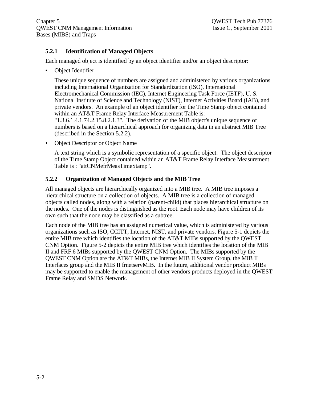## **5.2.1 Identification of Managed Objects**

Each managed object is identified by an object identifier and/or an object descriptor:

• Object Identifier

These unique sequence of numbers are assigned and administered by various organizations including International Organization for Standardization (ISO), International Electromechanical Commission (IEC), Internet Engineering Task Force (IETF), U. S. National Institute of Science and Technology (NIST), Internet Activities Board (IAB), and private vendors. An example of an object identifier for the Time Stamp object contained within an AT&T Frame Relay Interface Measurement Table is: "1.3.6.1.4.1.74.2.15.8.2.1.3". The derivation of the MIB object's unique sequence of numbers is based on a hierarchical approach for organizing data in an abstract MIB Tree (described in the Section 5.2.2).

• Object Descriptor or Object Name

A text string which is a symbolic representation of a specific object. The object descriptor of the Time Stamp Object contained within an AT&T Frame Relay Interface Measurement Table is : "attCNMefrMeasTimeStamp".

#### **5.2.2 Organization of Managed Objects and the MIB Tree**

All managed objects are hierarchically organized into a MIB tree. A MIB tree imposes a hierarchical structure on a collection of objects. A MIB tree is a collection of managed objects called nodes, along with a relation (parent-child) that places hierarchical structure on the nodes. One of the nodes is distinguished as the root. Each node may have children of its own such that the node may be classified as a subtree.

Each node of the MIB tree has an assigned numerical value, which is administered by various organizations such as ISO, CCITT, Internet, NIST, and private vendors. Figure 5-1 depicts the entire MIB tree which identifies the location of the AT&T MIBs supported by the QWEST CNM Option. Figure 5-2 depicts the entire MIB tree which identifies the location of the MIB II and FRF.6 MIBs supported by the QWEST CNM Option. The MIBs supported by the QWEST CNM Option are the AT&T MIBs, the Internet MIB II System Group, the MIB II Interfaces group and the MIB II frnetservMIB. In the future, additional vendor product MIBs may be supported to enable the management of other vendors products deployed in the QWEST Frame Relay and SMDS Network.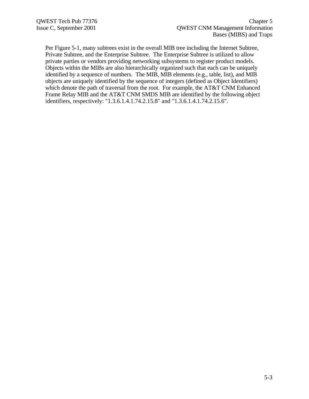Per Figure 5-1, many subtrees exist in the overall MIB tree including the Internet Subtree, Private Subtree, and the Enterprise Subtree. The Enterprise Subtree is utilized to allow private parties or vendors providing networking subsystems to register product models. Objects within the MIBs are also hierarchically organized such that each can be uniquely identified by a sequence of numbers. The MIB, MIB elements (e.g., table, list), and MIB objects are uniquely identified by the sequence of integers (defined as Object Identifiers) which denote the path of traversal from the root. For example, the AT&T CNM Enhanced Frame Relay MIB and the AT&T CNM SMDS MIB are identified by the following object identifiers, respectively: "1.3.6.1.4.1.74.2.15.8" and "1.3.6.1.4.1.74.2.15.6".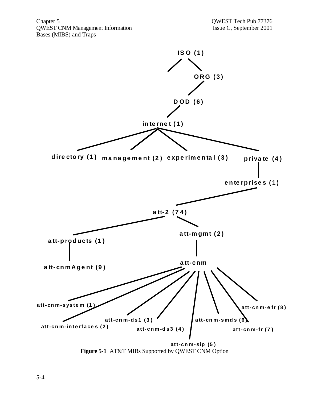Chapter 5 QWEST Tech Pub 77376<br>
QWEST CNM Management Information Issue C, September 2001 QWEST CNM Management Information Bases (MIBS) and Traps



**Figure 5-1** AT&T MIBs Supported by QWEST CNM Option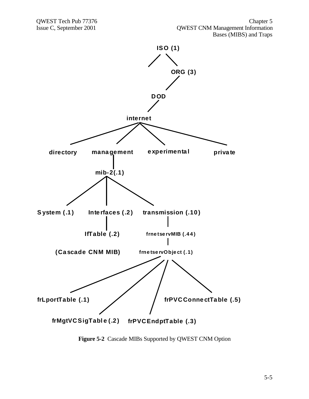

**Figure 5-2** Cascade MIBs Supported by QWEST CNM Option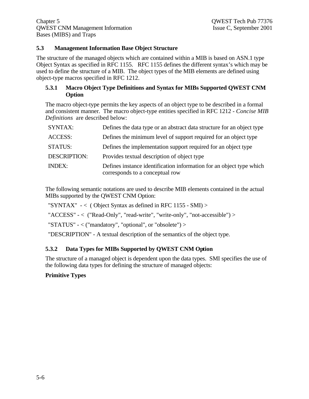## **5.3 Management Information Base Object Structure**

The structure of the managed objects which are contained within a MIB is based on ASN.1 type Object Syntax as specified in RFC 1155. RFC 1155 defines the different syntax's which may be used to define the structure of a MIB. The object types of the MIB elements are defined using object-type macros specified in RFC 1212.

#### **5.3.1 Macro Object Type Definitions and Syntax for MIBs Supported QWEST CNM Option**

The macro object-type permits the key aspects of an object type to be described in a formal and consistent manner. The macro object-type entities specified in RFC 1212 - *Concise MIB Definitions* are described below:

| <b>SYNTAX:</b>      | Defines the data type or an abstract data structure for an object type                                  |
|---------------------|---------------------------------------------------------------------------------------------------------|
| <b>ACCESS:</b>      | Defines the minimum level of support required for an object type                                        |
| <b>STATUS:</b>      | Defines the implementation support required for an object type                                          |
| <b>DESCRIPTION:</b> | Provides textual description of object type                                                             |
| <b>INDEX:</b>       | Defines instance identification information for an object type which<br>corresponds to a conceptual row |

The following semantic notations are used to describe MIB elements contained in the actual MIBs supported by the QWEST CNM Option:

"SYNTAX"  $\sim$  (Object Syntax as defined in RFC 1155 - SMI) >

"ACCESS" - < ("Read-Only", "read-write", "write-only", "not-accessible") >

"STATUS" - < ("mandatory", "optional", or "obsolete") >

"DESCRIPTION" - A textual description of the semantics of the object type.

## **5.3.2 Data Types for MIBs Supported by QWEST CNM Option**

The structure of a managed object is dependent upon the data types. SMI specifies the use of the following data types for defining the structure of managed objects:

## **Primitive Types**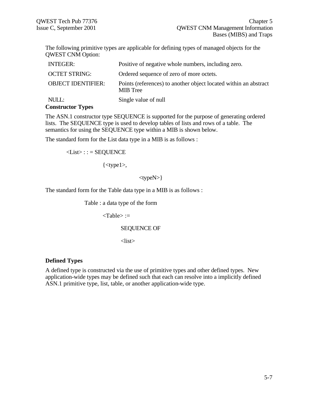The following primitive types are applicable for defining types of managed objects for the QWEST CNM Option:

| <b>INTEGER:</b>            | Positive of negative whole numbers, including zero.                          |
|----------------------------|------------------------------------------------------------------------------|
| <b>OCTET STRING:</b>       | Ordered sequence of zero of more octets.                                     |
| <b>OBJECT IDENTIFIER:</b>  | Points (references) to another object located within an abstract<br>MIB Tree |
| NULL:<br>Constructor Types | Single value of null                                                         |

#### **Constructor Types**

The ASN.1 constructor type SEQUENCE is supported for the purpose of generating ordered lists. The SEQUENCE type is used to develop tables of lists and rows of a table. The semantics for using the SEQUENCE type within a MIB is shown below.

The standard form for the List data type in a MIB is as follows :

 $\langle List \rangle$ ::= SEQUENCE

 $\{\text{type1}$ 

<typeN>}

The standard form for the Table data type in a MIB is as follows :

Table : a data type of the form

<Table> :=

#### SEQUENCE OF

<list>

#### **Defined Types**

A defined type is constructed via the use of primitive types and other defined types. New application-wide types may be defined such that each can resolve into a implicitly defined ASN.1 primitive type, list, table, or another application-wide type.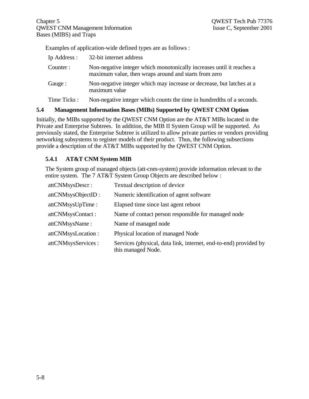Examples of application-wide defined types are as follows :

| Ip Address : | 32-bit internet address                                                                                                        |
|--------------|--------------------------------------------------------------------------------------------------------------------------------|
| Counter:     | Non-negative integer which monotonically increases until it reaches a<br>maximum value, then wraps around and starts from zero |
| Gauge :      | Non-negative integer which may increase or decrease, but latches at a<br>maximum value                                         |
| Time Ticks:  | Non-negative integer which counts the time in hundred the of a seconds.                                                        |

## **5.4 Management Information Bases (MIBs) Supported by QWEST CNM Option**

Initially, the MIBs supported by the QWEST CNM Option are the AT&T MIBs located in the Private and Enterprise Subtrees. In addition, the MIB II System Group will be supported. As previously stated, the Enterprise Subtree is utilized to allow private parties or vendors providing networking subsystems to register models of their product. Thus, the following subsections provide a description of the AT&T MIBs supported by the QWEST CNM Option.

## **5.4.1 AT&T CNM System MIB**

The System group of managed objects (att-cnm-system) provide information relevant to the entire system. The 7 AT&T System Group Objects are described below :

| attCNMsysDescr:     | Textual description of device                                                          |
|---------------------|----------------------------------------------------------------------------------------|
| attCNMsysObjectID:  | Numeric identification of agent software                                               |
| attCNMsysUpTime:    | Elapsed time since last agent reboot                                                   |
| attCNMsysContact:   | Name of contact person responsible for managed node                                    |
| attCNMsysName:      | Name of managed node                                                                   |
| attCNMsysLocation:  | Physical location of managed Node                                                      |
| attCNMsysServices : | Services (physical, data link, internet, end-to-end) provided by<br>this managed Node. |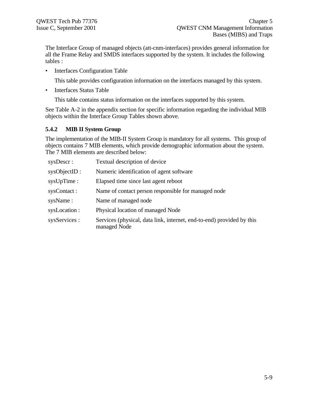The Interface Group of managed objects (att-cnm-interfaces) provides general information for all the Frame Relay and SMDS interfaces supported by the system. It includes the following tables :

• Interfaces Configuration Table

This table provides configuration information on the interfaces managed by this system.

• Interfaces Status Table

This table contains status information on the interfaces supported by this system.

See Table A-2 in the appendix section for specific information regarding the individual MIB objects within the Interface Group Tables shown above.

## **5.4.2 MIB II System Group**

The implementation of the MIB-II System Group is mandatory for all systems. This group of objects contains 7 MIB elements, which provide demographic information about the system. The 7 MIB elements are described below:

| sysDescr:     | Textual description of device                                                         |
|---------------|---------------------------------------------------------------------------------------|
| sysObjectID : | Numeric identification of agent software                                              |
| sysUpTime :   | Elapsed time since last agent reboot                                                  |
| sysContact:   | Name of contact person responsible for managed node                                   |
| sysName:      | Name of managed node                                                                  |
| sysLocation : | Physical location of managed Node                                                     |
| sysServices : | Services (physical, data link, internet, end-to-end) provided by this<br>managed Node |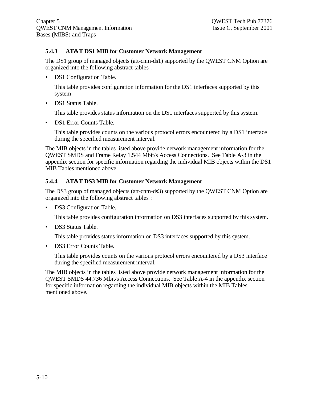## **5.4.3 AT&T DS1 MIB for Customer Network Management**

The DS1 group of managed objects (att-cnm-ds1) supported by the QWEST CNM Option are organized into the following abstract tables :

• DS1 Configuration Table.

This table provides configuration information for the DS1 interfaces supported by this system

• DS1 Status Table.

This table provides status information on the DS1 interfaces supported by this system.

• DS1 Error Counts Table.

This table provides counts on the various protocol errors encountered by a DS1 interface during the specified measurement interval.

The MIB objects in the tables listed above provide network management information for the QWEST SMDS and Frame Relay 1.544 Mbit/s Access Connections. See Table A-3 in the appendix section for specific information regarding the individual MIB objects within the DS1 MIB Tables mentioned above

## **5.4.4 AT&T DS3 MIB for Customer Network Management**

The DS3 group of managed objects (att-cnm-ds3) supported by the QWEST CNM Option are organized into the following abstract tables :

• DS3 Configuration Table.

This table provides configuration information on DS3 interfaces supported by this system.

• DS3 Status Table.

This table provides status information on DS3 interfaces supported by this system.

• DS3 Error Counts Table.

This table provides counts on the various protocol errors encountered by a DS3 interface during the specified measurement interval.

The MIB objects in the tables listed above provide network management information for the QWEST SMDS 44.736 Mbit/s Access Connections. See Table A-4 in the appendix section for specific information regarding the individual MIB objects within the MIB Tables mentioned above.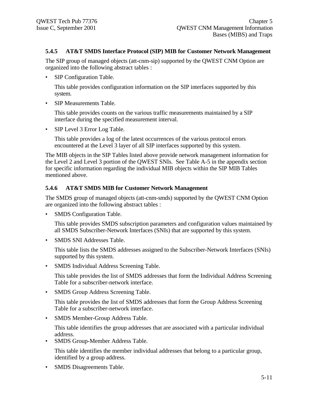## **5.4.5 AT&T SMDS Interface Protocol (SIP) MIB for Customer Network Management**

The SIP group of managed objects (att-cnm-sip) supported by the QWEST CNM Option are organized into the following abstract tables :

• SIP Configuration Table.

This table provides configuration information on the SIP interfaces supported by this system.

• SIP Measurements Table.

This table provides counts on the various traffic measurements maintained by a SIP interface during the specified measurement interval.

• SIP Level 3 Error Log Table.

This table provides a log of the latest occurrences of the various protocol errors encountered at the Level 3 layer of all SIP interfaces supported by this system.

The MIB objects in the SIP Tables listed above provide network management information for the Level 2 and Level 3 portion of the QWEST SNIs. See Table A-5 in the appendix section for specific information regarding the individual MIB objects within the SIP MIB Tables mentioned above.

## **5.4.6 AT&T SMDS MIB for Customer Network Management**

The SMDS group of managed objects (att-cnm-smds) supported by the QWEST CNM Option are organized into the following abstract tables :

• SMDS Configuration Table.

This table provides SMDS subscription parameters and configuration values maintained by all SMDS Subscriber-Network Interfaces (SNIs) that are supported by this system.

• SMDS SNI Addresses Table.

This table lists the SMDS addresses assigned to the Subscriber-Network Interfaces (SNIs) supported by this system.

• SMDS Individual Address Screening Table.

This table provides the list of SMDS addresses that form the Individual Address Screening Table for a subscriber-network interface.

• SMDS Group Address Screening Table.

This table provides the list of SMDS addresses that form the Group Address Screening Table for a subscriber-network interface.

• SMDS Member-Group Address Table.

This table identifies the group addresses that are associated with a particular individual address.

• SMDS Group-Member Address Table.

This table identifies the member individual addresses that belong to a particular group, identified by a group address.

• SMDS Disagreements Table.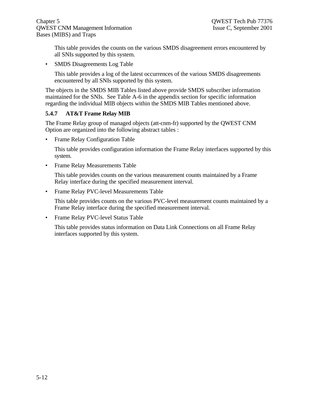This table provides the counts on the various SMDS disagreement errors encountered by all SNIs supported by this system.

• SMDS Disagreements Log Table

This table provides a log of the latest occurrences of the various SMDS disagreements encountered by all SNIs supported by this system.

The objects in the SMDS MIB Tables listed above provide SMDS subscriber information maintained for the SNIs. See Table A-6 in the appendix section for specific information regarding the individual MIB objects within the SMDS MIB Tables mentioned above.

## **5.4.7 AT&T Frame Relay MIB**

The Frame Relay group of managed objects (att-cnm-fr) supported by the QWEST CNM Option are organized into the following abstract tables :

• Frame Relay Configuration Table

This table provides configuration information the Frame Relay interfaces supported by this system.

• Frame Relay Measurements Table

This table provides counts on the various measurement counts maintained by a Frame Relay interface during the specified measurement interval.

• Frame Relay PVC-level Measurements Table

This table provides counts on the various PVC-level measurement counts maintained by a Frame Relay interface during the specified measurement interval.

• Frame Relay PVC-level Status Table

This table provides status information on Data Link Connections on all Frame Relay interfaces supported by this system.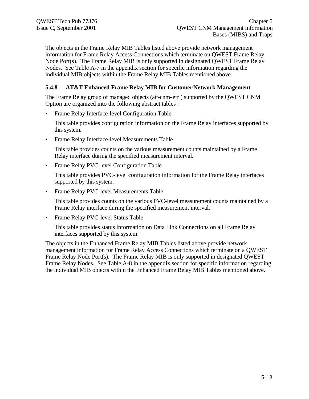The objects in the Frame Relay MIB Tables listed above provide network management information for Frame Relay Access Connections which terminate on QWEST Frame Relay Node Port(s). The Frame Relay MIB is only supported in designated QWEST Frame Relay Nodes. See Table A-7 in the appendix section for specific information regarding the individual MIB objects within the Frame Relay MIB Tables mentioned above.

## **5.4.8 AT&T Enhanced Frame Relay MIB for Customer Network Management**

The Frame Relay group of managed objects (att-cnm-efr ) supported by the QWEST CNM Option are organized into the following abstract tables :

• Frame Relay Interface-level Configuration Table

This table provides configuration information on the Frame Relay interfaces supported by this system.

• Frame Relay Interface-level Measurements Table

This table provides counts on the various measurement counts maintained by a Frame Relay interface during the specified measurement interval.

• Frame Relay PVC-level Configuration Table

This table provides PVC-level configuration information for the Frame Relay interfaces supported by this system.

• Frame Relay PVC-level Measurements Table

This table provides counts on the various PVC-level measurement counts maintained by a Frame Relay interface during the specified measurement interval.

• Frame Relay PVC-level Status Table

This table provides status information on Data Link Connections on all Frame Relay interfaces supported by this system.

The objects in the Enhanced Frame Relay MIB Tables listed above provide network management information for Frame Relay Access Connections which terminate on a QWEST Frame Relay Node Port(s). The Frame Relay MIB is only supported in designated QWEST Frame Relay Nodes. See Table A-8 in the appendix section for specific information regarding the individual MIB objects within the Enhanced Frame Relay MIB Tables mentioned above.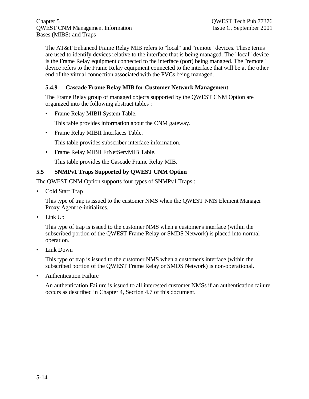Chapter 5 QWEST Tech Pub 77376 QWEST CNM Management Information Issue C, September 2001 Bases (MIBS) and Traps

The AT&T Enhanced Frame Relay MIB refers to "local" and "remote" devices. These terms are used to identify devices relative to the interface that is being managed. The "local" device is the Frame Relay equipment connected to the interface (port) being managed. The "remote" device refers to the Frame Relay equipment connected to the interface that will be at the other end of the virtual connection associated with the PVCs being managed.

## **5.4.9 Cascade Frame Relay MIB for Customer Network Management**

The Frame Relay group of managed objects supported by the QWEST CNM Option are organized into the following abstract tables :

• Frame Relay MIBII System Table.

This table provides information about the CNM gateway.

• Frame Relay MIBII Interfaces Table.

This table provides subscriber interface information.

• Frame Relay MIBII FrNetServMIB Table.

This table provides the Cascade Frame Relay MIB.

#### **5.5 SNMPv1 Traps Supported by QWEST CNM Option**

The QWEST CNM Option supports four types of SNMPv1 Traps :

• Cold Start Trap

This type of trap is issued to the customer NMS when the QWEST NMS Element Manager Proxy Agent re-initializes.

• Link Up

This type of trap is issued to the customer NMS when a customer's interface (within the subscribed portion of the QWEST Frame Relay or SMDS Network) is placed into normal operation.

• Link Down

This type of trap is issued to the customer NMS when a customer's interface (within the subscribed portion of the QWEST Frame Relay or SMDS Network) is non-operational.

• Authentication Failure

An authentication Failure is issued to all interested customer NMSs if an authentication failure occurs as described in Chapter 4, Section 4.7 of this document.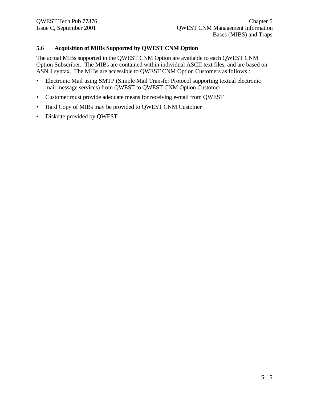## **5.6 Acquisition of MIBs Supported by QWEST CNM Option**

The actual MIBs supported in the QWEST CNM Option are available to each QWEST CNM Option Subscriber. The MIBs are contained within individual ASCII text files, and are based on ASN.1 syntax. The MIBs are accessible to QWEST CNM Option Customers as follows :

- Electronic Mail using SMTP (Simple Mail Transfer Protocol supporting textual electronic mail message services) from QWEST to QWEST CNM Option Customer
- Customer must provide adequate means for receiving e-mail from QWEST
- Hard Copy of MIBs may be provided to QWEST CNM Customer
- Diskette provided by QWEST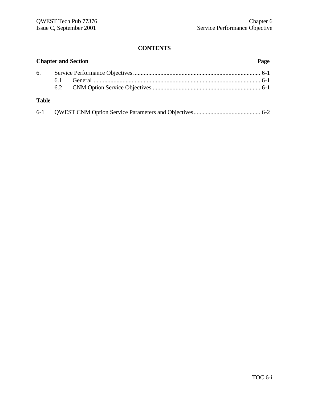# **CONTENTS**

|              | <b>Chapter and Section</b><br>Page |  |  |  |
|--------------|------------------------------------|--|--|--|
|              |                                    |  |  |  |
|              | 6.1                                |  |  |  |
|              |                                    |  |  |  |
| <b>Table</b> |                                    |  |  |  |

|--|--|--|--|--|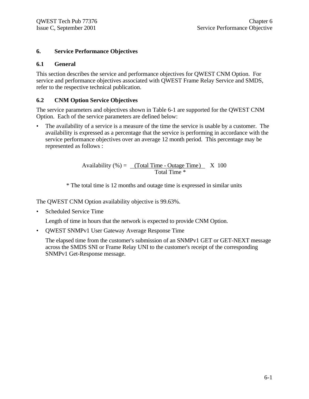## **6. Service Performance Objectives**

## **6.1 General**

This section describes the service and performance objectives for QWEST CNM Option. For service and performance objectives associated with QWEST Frame Relay Service and SMDS, refer to the respective technical publication.

# **6.2 CNM Option Service Objectives**

The service parameters and objectives shown in Table 6-1 are supported for the QWEST CNM Option. Each of the service parameters are defined below:

• The availability of a service is a measure of the time the service is usable by a customer. The availability is expressed as a percentage that the service is performing in accordance with the service performance objectives over an average 12 month period. This percentage may be represented as follows :

> Availability  $(\%) =$  (Total Time - Outage Time) X 100 Total Time \*

\* The total time is 12 months and outage time is expressed in similar units

The QWEST CNM Option availability objective is 99.63%.

• Scheduled Service Time

Length of time in hours that the network is expected to provide CNM Option.

• QWEST SNMPv1 User Gateway Average Response Time

The elapsed time from the customer's submission of an SNMPv1 GET or GET-NEXT message across the SMDS SNI or Frame Relay UNI to the customer's receipt of the corresponding SNMPv1 Get-Response message.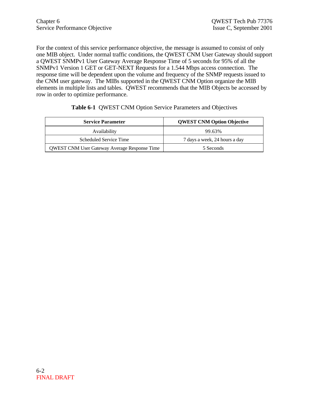For the context of this service performance objective, the message is assumed to consist of only one MIB object. Under normal traffic conditions, the QWEST CNM User Gateway should support a QWEST SNMPv1 User Gateway Average Response Time of 5 seconds for 95% of all the SNMPv1 Version 1 GET or GET-NEXT Requests for a 1.544 Mbps access connection. The response time will be dependent upon the volume and frequency of the SNMP requests issued to the CNM user gateway. The MIBs supported in the QWEST CNM Option organize the MIB elements in multiple lists and tables. QWEST recommends that the MIB Objects be accessed by row in order to optimize performance.

| <b>Service Parameter</b>                            | <b>QWEST CNM Option Objective</b> |
|-----------------------------------------------------|-----------------------------------|
| Availability                                        | 99.63%                            |
| Scheduled Service Time                              | 7 days a week, 24 hours a day     |
| <b>QWEST CNM User Gateway Average Response Time</b> | 5 Seconds                         |

#### **Table 6-1** QWEST CNM Option Service Parameters and Objectives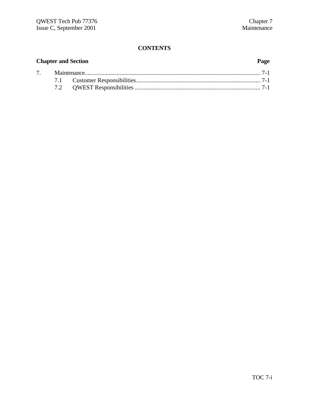# **CONTENTS**

| <b>Chapter and Section</b> |  |  | Page |  |
|----------------------------|--|--|------|--|
|                            |  |  |      |  |
|                            |  |  |      |  |
|                            |  |  |      |  |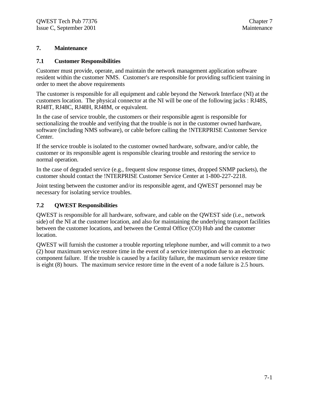### **7. Maintenance**

#### **7.1 Customer Responsibilities**

Customer must provide, operate, and maintain the network management application software resident within the customer NMS. Customer's are responsible for providing sufficient training in order to meet the above requirements

The customer is responsible for all equipment and cable beyond the Network Interface (NI) at the customers location. The physical connector at the NI will be one of the following jacks : RJ48S, RJ48T, RJ48C, RJ48H, RJ48M, or equivalent.

In the case of service trouble, the customers or their responsible agent is responsible for sectionalizing the trouble and verifying that the trouble is not in the customer owned hardware, software (including NMS software), or cable before calling the !NTERPRISE Customer Service Center.

If the service trouble is isolated to the customer owned hardware, software, and/or cable, the customer or its responsible agent is responsible clearing trouble and restoring the service to normal operation.

In the case of degraded service (e.g., frequent slow response times, dropped SNMP packets), the customer should contact the !NTERPRISE Customer Service Center at 1-800-227-2218.

Joint testing between the customer and/or its responsible agent, and QWEST personnel may be necessary for isolating service troubles.

## **7.2 QWEST Responsibilities**

QWEST is responsible for all hardware, software, and cable on the QWEST side (i.e., network side) of the NI at the customer location, and also for maintaining the underlying transport facilities between the customer locations, and between the Central Office (CO) Hub and the customer location.

QWEST will furnish the customer a trouble reporting telephone number, and will commit to a two (2) hour maximum service restore time in the event of a service interruption due to an electronic component failure. If the trouble is caused by a facility failure, the maximum service restore time is eight (8) hours. The maximum service restore time in the event of a node failure is 2.5 hours.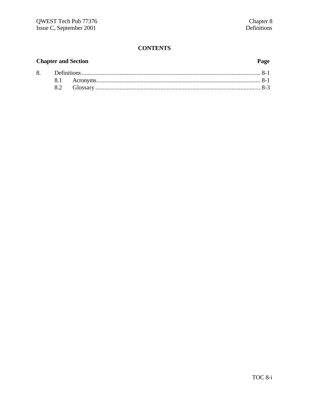# **CONTENTS**

## **Chapter and Section** 8.

### Page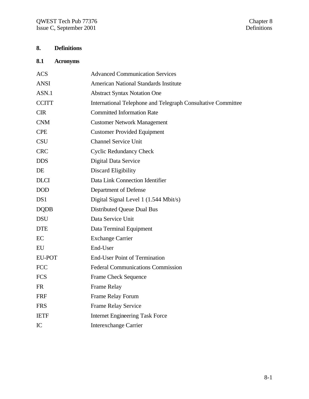# **8. Definitions**

# **8.1 Acronyms**

| <b>ACS</b>    | <b>Advanced Communication Services</b>                       |
|---------------|--------------------------------------------------------------|
| <b>ANSI</b>   | <b>American National Standards Institute</b>                 |
| ASN.1         | <b>Abstract Syntax Notation One</b>                          |
| <b>CCITT</b>  | International Telephone and Telegraph Consultative Committee |
| <b>CIR</b>    | <b>Committed Information Rate</b>                            |
| <b>CNM</b>    | <b>Customer Network Management</b>                           |
| <b>CPE</b>    | <b>Customer Provided Equipment</b>                           |
| <b>CSU</b>    | <b>Channel Service Unit</b>                                  |
| <b>CRC</b>    | <b>Cyclic Redundancy Check</b>                               |
| <b>DDS</b>    | Digital Data Service                                         |
| DE            | Discard Eligibility                                          |
| <b>DLCI</b>   | Data Link Connection Identifier                              |
| <b>DOD</b>    | Department of Defense                                        |
| DS1           | Digital Signal Level 1 (1.544 Mbit/s)                        |
| <b>DQDB</b>   | Distributed Queue Dual Bus                                   |
| <b>DSU</b>    | Data Service Unit                                            |
| <b>DTE</b>    | Data Terminal Equipment                                      |
| EC            | <b>Exchange Carrier</b>                                      |
| EU            | End-User                                                     |
| <b>EU-POT</b> | <b>End-User Point of Termination</b>                         |
| <b>FCC</b>    | <b>Federal Communications Commission</b>                     |
| <b>FCS</b>    | Frame Check Sequence                                         |
| <b>FR</b>     | Frame Relay                                                  |
| <b>FRF</b>    | Frame Relay Forum                                            |
| <b>FRS</b>    | Frame Relay Service                                          |
| <b>IETF</b>   | <b>Internet Engineering Task Force</b>                       |
| IC            | <b>Interexchange Carrier</b>                                 |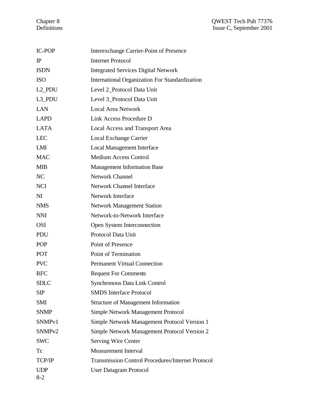| <b>IC-POP</b>         | Interexchange Carrier-Point of Presence                  |
|-----------------------|----------------------------------------------------------|
| $_{\rm IP}$           | <b>Internet Protocol</b>                                 |
| <b>ISDN</b>           | <b>Integrated Services Digital Network</b>               |
| <b>ISO</b>            | International Organization For Standardization           |
| L <sub>2_PDU</sub>    | Level 2_Protocol Data Unit                               |
| L3_PDU                | Level 3_Protocol Data Unit                               |
| LAN                   | <b>Local Area Network</b>                                |
| <b>LAPD</b>           | Link Access Procedure D                                  |
| <b>LATA</b>           | <b>Local Access and Transport Area</b>                   |
| <b>LEC</b>            | Local Exchange Carrier                                   |
| LMI                   | <b>Local Management Interface</b>                        |
| <b>MAC</b>            | <b>Medium Access Control</b>                             |
| <b>MIB</b>            | <b>Management Information Base</b>                       |
| NC                    | <b>Network Channel</b>                                   |
| <b>NCI</b>            | <b>Network Channel Interface</b>                         |
| $\overline{M}$        | <b>Network Interface</b>                                 |
| <b>NMS</b>            | <b>Network Management Station</b>                        |
| <b>NNI</b>            | Network-to-Network Interface                             |
| <b>OSI</b>            | Open System Interconnection                              |
| PDU                   | Protocol Data Unit                                       |
| <b>POP</b>            | Point of Presence                                        |
| POT                   | Point of Termination                                     |
| <b>PVC</b>            | <b>Permanent Virtual Connection</b>                      |
| <b>RFC</b>            | <b>Request For Comments</b>                              |
| <b>SDLC</b>           | Synchronous Data Link Control                            |
| <b>SIP</b>            | <b>SMDS</b> Interface Protocol                           |
| <b>SMI</b>            | <b>Structure of Management Information</b>               |
| <b>SNMP</b>           | <b>Simple Network Management Protocol</b>                |
| SNMP <sub>v1</sub>    | Simple Network Management Protocol Version 1             |
| SNMP <sub>v2</sub>    | Simple Network Management Protocol Version 2             |
| <b>SWC</b>            | <b>Serving Wire Center</b>                               |
| Tc                    | <b>Measurement Interval</b>                              |
| TCP/IP                | <b>Transmission Control Procedures/Internet Protocol</b> |
| <b>UDP</b><br>$8 - 2$ | <b>User Datagram Protocol</b>                            |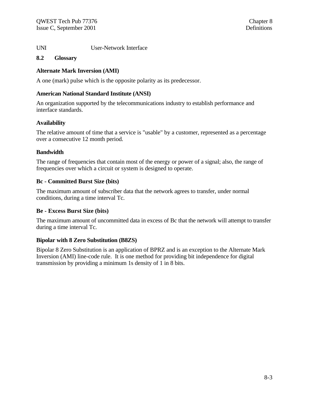UNI User-Network Interface

#### **8.2 Glossary**

### **Alternate Mark Inversion (AMI)**

A one (mark) pulse which is the opposite polarity as its predecessor.

#### **American National Standard Institute (ANSI)**

An organization supported by the telecommunications industry to establish performance and interface standards.

#### **Availability**

The relative amount of time that a service is "usable" by a customer, represented as a percentage over a consecutive 12 month period.

#### **Bandwidth**

The range of frequencies that contain most of the energy or power of a signal; also, the range of frequencies over which a circuit or system is designed to operate.

#### **Bc - Committed Burst Size (bits)**

The maximum amount of subscriber data that the network agrees to transfer, under normal conditions, during a time interval Tc.

## **Be - Excess Burst Size (bits)**

The maximum amount of uncommitted data in excess of Bc that the network will attempt to transfer during a time interval Tc.

#### **Bipolar with 8 Zero Substitution (B8ZS)**

Bipolar 8 Zero Substitution is an application of BPRZ and is an exception to the Alternate Mark Inversion (AMI) line-code rule. It is one method for providing bit independence for digital transmission by providing a minimum 1s density of 1 in 8 bits.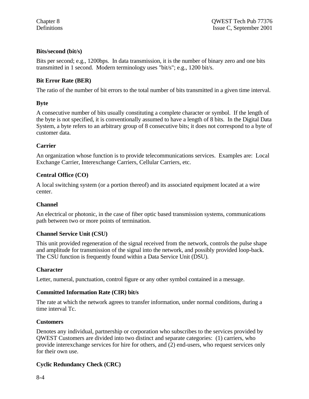## **Bits/second (bit/s)**

Bits per second; e.g., 1200bps. In data transmission, it is the number of binary zero and one bits transmitted in 1 second. Modern terminology uses "bit/s"; e.g., 1200 bit/s.

## **Bit Error Rate (BER)**

The ratio of the number of bit errors to the total number of bits transmitted in a given time interval.

## **Byte**

A consecutive number of bits usually constituting a complete character or symbol. If the length of the byte is not specified, it is conventionally assumed to have a length of 8 bits. In the Digital Data System, a byte refers to an arbitrary group of 8 consecutive bits; it does not correspond to a byte of customer data.

## **Carrier**

An organization whose function is to provide telecommunications services. Examples are: Local Exchange Carrier, Interexchange Carriers, Cellular Carriers, etc.

## **Central Office (CO)**

A local switching system (or a portion thereof) and its associated equipment located at a wire center.

## **Channel**

An electrical or photonic, in the case of fiber optic based transmission systems, communications path between two or more points of termination.

## **Channel Service Unit (CSU)**

This unit provided regeneration of the signal received from the network, controls the pulse shape and amplitude for transmission of the signal into the network, and possibly provided loop-back. The CSU function is frequently found within a Data Service Unit (DSU).

## **Character**

Letter, numeral, punctuation, control figure or any other symbol contained in a message.

## **Committed Information Rate (CIR) bit/s**

The rate at which the network agrees to transfer information, under normal conditions, during a time interval Tc.

## **Customers**

Denotes any individual, partnership or corporation who subscribes to the services provided by QWEST Customers are divided into two distinct and separate categories: (1) carriers, who provide interexchange services for hire for others, and (2) end-users, who request services only for their own use.

# **Cyclic Redundancy Check (CRC)**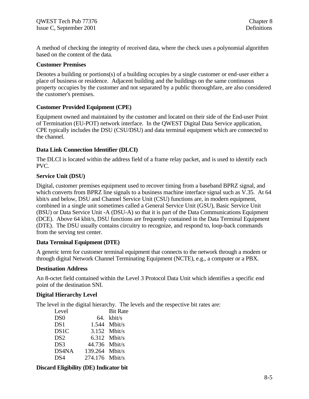A method of checking the integrity of received data, where the check uses a polynomial algorithm based on the content of the data.

#### **Customer Premises**

Denotes a building or portions(s) of a building occupies by a single customer or end-user either a place of business or residence. Adjacent building and the buildings on the same continuous property occupies by the customer and not separated by a public thoroughfare, are also considered the customer's premises.

## **Customer Provided Equipment (CPE)**

Equipment owned and maintained by the customer and located on their side of the End-user Point of Termination (EU-POT) network interface. In the QWEST Digital Data Service application, CPE typically includes the DSU (CSU/DSU) and data terminal equipment which are connected to the channel.

## **Data Link Connection Identifier (DLCI)**

The DLCI is located within the address field of a frame relay packet, and is used to identify each PVC.

#### **Service Unit (DSU)**

Digital, customer premises equipment used to recover timing from a baseband BPRZ signal, and which converts from BPRZ line signals to a business machine interface signal such as V.35. At 64 kbit/s and below, DSU and Channel Service Unit (CSU) functions are, in modern equipment, combined in a single unit sometimes called a General Service Unit (GSU), Basic Service Unit (BSU) or Data Service Unit -A (DSU-A) so that it is part of the Data Communications Equipment (DCE). Above 64 kbit/s, DSU functions are frequently contained in the Data Terminal Equipment (DTE). The DSU usually contains circuitry to recognize, and respond to, loop-back commands from the serving test center.

#### **Data Terminal Equipment (DTE)**

A generic term for customer terminal equipment that connects to the network through a modem or through digital Network Channel Terminating Equipment (NCTE), e.g., a computer or a PBX.

#### **Destination Address**

An 8-octet field contained within the Level 3 Protocol Data Unit which identifies a specific end point of the destination SNI.

#### **Digital Hierarchy Level**

The level in the digital hierarchy. The levels and the respective bit rates are:

| Level           |                | <b>Bit Rate</b> |
|-----------------|----------------|-----------------|
| DS <sub>0</sub> |                | $64.$ kbit/s    |
| DS1             |                | 1.544 Mbit/s    |
| DS1C            |                | 3.152 Mbit/s    |
| DS <sub>2</sub> |                | 6.312 Mbit/s    |
| DS <sub>3</sub> | 44.736 Mbit/s  |                 |
| DS4NA           | 139.264 Mbit/s |                 |
| DS4             | 274.176 Mbit/s |                 |

#### **Discard Eligibility (DE) Indicator bit**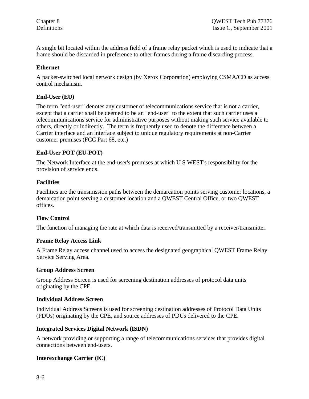A single bit located within the address field of a frame relay packet which is used to indicate that a frame should be discarded in preference to other frames during a frame discarding process.

### **Ethernet**

A packet-switched local network design (by Xerox Corporation) employing CSMA/CD as access control mechanism.

#### **End-User (EU)**

The term "end-user" denotes any customer of telecommunications service that is not a carrier, except that a carrier shall be deemed to be an "end-user" to the extent that such carrier uses a telecommunications service for administrative purposes without making such service available to others, directly or indirectly. The term is frequently used to denote the difference between a Carrier interface and an interface subject to unique regulatory requirements at non-Carrier customer premises (FCC Part 68, etc.)

#### **End-User POT (EU-POT)**

The Network Interface at the end-user's premises at which U S WEST's responsibility for the provision of service ends.

#### **Facilities**

Facilities are the transmission paths between the demarcation points serving customer locations, a demarcation point serving a customer location and a QWEST Central Office, or two QWEST offices.

#### **Flow Control**

The function of managing the rate at which data is received/transmitted by a receiver/transmitter.

#### **Frame Relay Access Link**

A Frame Relay access channel used to access the designated geographical QWEST Frame Relay Service Serving Area.

#### **Group Address Screen**

Group Address Screen is used for screening destination addresses of protocol data units originating by the CPE.

#### **Individual Address Screen**

Individual Address Screens is used for screening destination addresses of Protocol Data Units (PDUs) originating by the CPE, and source addresses of PDUs delivered to the CPE.

#### **Integrated Services Digital Network (ISDN)**

A network providing or supporting a range of telecommunications services that provides digital connections between end-users.

#### **Interexchange Carrier (IC)**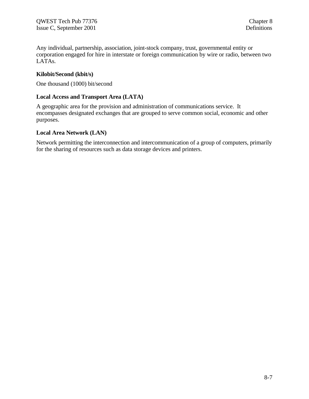Any individual, partnership, association, joint-stock company, trust, governmental entity or corporation engaged for hire in interstate or foreign communication by wire or radio, between two LATAs.

#### **Kilobit/Second (kbit/s)**

One thousand (1000) bit/second

#### **Local Access and Transport Area (LATA)**

A geographic area for the provision and administration of communications service. It encompasses designated exchanges that are grouped to serve common social, economic and other purposes.

#### **Local Area Network (LAN)**

Network permitting the interconnection and intercommunication of a group of computers, primarily for the sharing of resources such as data storage devices and printers.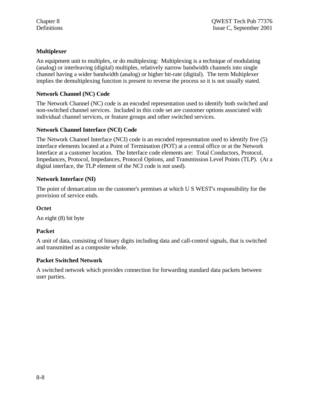## **Multiplexer**

An equipment unit to multiplex, or do multiplexing: Multiplexing is a technique of modulating (analog) or interleaving (digital) multiples, relatively narrow bandwidth channels into single channel having a wider bandwidth (analog) or higher bit-rate (digital). The term Multiplexer implies the demultiplexing function is present to reverse the process so it is not usually stated.

## **Network Channel (NC) Code**

The Network Channel (NC) code is an encoded representation used to identify both switched and non-switched channel services. Included in this code set are customer options associated with individual channel services, or feature groups and other switched services.

## **Network Channel Interface (NCI) Code**

The Network Channel Interface (NCI) code is an encoded representation used to identify five (5) interface elements located at a Point of Termination (POT) at a central office or at the Network Interface at a customer location. The Interface code elements are: Total Conductors, Protocol, Impedances, Protocol, Impedances, Protocol Options, and Transmission Level Points (TLP). (At a digital interface, the TLP element of the NCI code is not used).

## **Network Interface (NI)**

The point of demarcation on the customer's premises at which U S WEST's responsibility for the provision of service ends.

## **Octet**

An eight (8) bit byte

## **Packet**

A unit of data, consisting of binary digits including data and call-control signals, that is switched and transmitted as a composite whole.

## **Packet Switched Network**

A switched network which provides connection for forwarding standard data packets between user parties.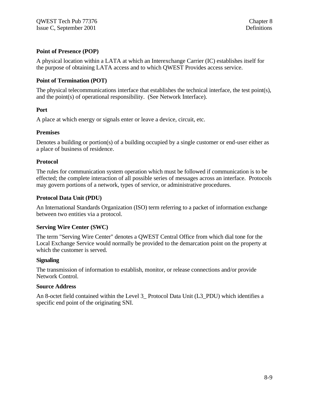## **Point of Presence (POP)**

A physical location within a LATA at which an Interexchange Carrier (IC) establishes itself for the purpose of obtaining LATA access and to which QWEST Provides access service.

## **Point of Termination (POT)**

The physical telecommunications interface that establishes the technical interface, the test point(s), and the point(s) of operational responsibility. (See Network Interface).

## **Port**

A place at which energy or signals enter or leave a device, circuit, etc.

#### **Premises**

Denotes a building or portion(s) of a building occupied by a single customer or end-user either as a place of business of residence.

#### **Protocol**

The rules for communication system operation which must be followed if communication is to be effected; the complete interaction of all possible series of messages across an interface. Protocols may govern portions of a network, types of service, or administrative procedures.

### **Protocol Data Unit (PDU)**

An International Standards Organization (ISO) term referring to a packet of information exchange between two entities via a protocol.

## **Serving Wire Center (SWC)**

The term "Serving Wire Center" denotes a QWEST Central Office from which dial tone for the Local Exchange Service would normally be provided to the demarcation point on the property at which the customer is served.

#### **Signaling**

The transmission of information to establish, monitor, or release connections and/or provide Network Control.

#### **Source Address**

An 8-octet field contained within the Level 3 Protocol Data Unit (L3 PDU) which identifies a specific end point of the originating SNI.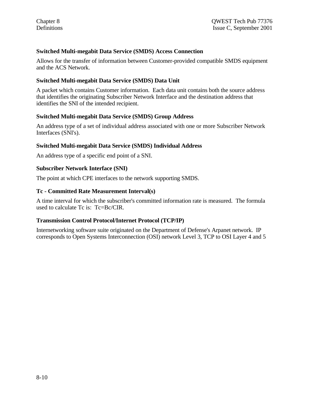## **Switched Multi-megabit Data Service (SMDS) Access Connection**

Allows for the transfer of information between Customer-provided compatible SMDS equipment and the ACS Network.

#### **Switched Multi-megabit Data Service (SMDS) Data Unit**

A packet which contains Customer information. Each data unit contains both the source address that identifies the originating Subscriber Network Interface and the destination address that identifies the SNI of the intended recipient.

#### **Switched Multi-megabit Data Service (SMDS) Group Address**

An address type of a set of individual address associated with one or more Subscriber Network Interfaces (SNI's).

#### **Switched Multi-megabit Data Service (SMDS) Individual Address**

An address type of a specific end point of a SNI.

#### **Subscriber Network Interface (SNI)**

The point at which CPE interfaces to the network supporting SMDS.

#### **Tc - Committed Rate Measurement Interval(s)**

A time interval for which the subscriber's committed information rate is measured. The formula used to calculate Tc is: Tc=Bc/CIR.

#### **Transmission Control Protocol/Internet Protocol (TCP/IP)**

Internetworking software suite originated on the Department of Defense's Arpanet network. IP corresponds to Open Systems Interconnection (OSI) network Level 3, TCP to OSI Layer 4 and 5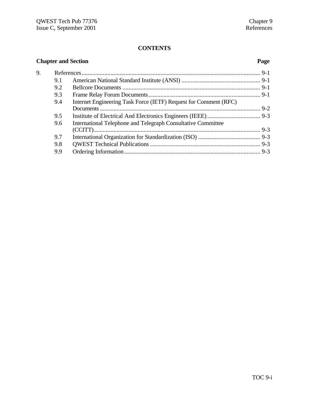# **CONTENTS**

| <b>Chapter and Section</b> |     |                                                                  |  |  |
|----------------------------|-----|------------------------------------------------------------------|--|--|
| 9.                         |     |                                                                  |  |  |
|                            | 9.1 |                                                                  |  |  |
|                            | 9.2 |                                                                  |  |  |
|                            | 9.3 |                                                                  |  |  |
|                            | 9.4 | Internet Engineering Task Force (IETF) Request for Comment (RFC) |  |  |
|                            |     |                                                                  |  |  |
|                            | 9.5 |                                                                  |  |  |
|                            | 9.6 | International Telephone and Telegraph Consultative Committee     |  |  |
|                            |     |                                                                  |  |  |
|                            | 9.7 |                                                                  |  |  |
|                            | 9.8 |                                                                  |  |  |
|                            | 9.9 |                                                                  |  |  |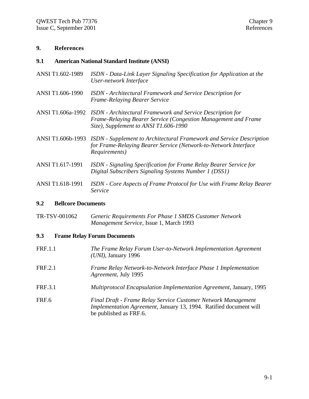#### **9. References**

#### **9.1 American National Standard Institute (ANSI)**

- ANSI T1.602-1989 *ISDN Data-Link Layer Signaling Specification for Application at the User-network Interface*
- ANSI T1.606-1990 *ISDN Architectural Framework and Service Description for Frame-Relaying Bearer Service*
- ANSI T1.606a-1992 *ISDN Architectural Framework and Service Description for Frame-Relaying Bearer Service (Congestion Management and Frame Size), Supplement to ANSI T1.606-1990*
- ANSI T1.606b-1993 *ISDN Supplement to Architectural Framework and Service Description for Frame-Relaying Bearer Service (Network-to-Network Interface Requirements)*
- ANSI T1.617-1991 *ISDN Signaling Specification for Frame Relay Bearer Service for Digital Subscribers Signaling Systems Number 1 (DSS1)*
- ANSI T1.618-1991 *ISDN Core Aspects of Frame Protocol for Use with Frame Relay Bearer Service*

#### **9.2 Bellcore Documents**

TR-TSV-001062 *Generic Requirements For Phase 1 SMDS Customer Network Management Service,* Issue 1, March 1993

#### **9.3 Frame Relay Forum Documents**

| <b>FRF.1.1</b> | The Frame Relay Forum User-to-Network Implementation Agreement<br>$(UNI)$ , January 1996                                                                             |
|----------------|----------------------------------------------------------------------------------------------------------------------------------------------------------------------|
| <b>FRF.2.1</b> | Frame Relay Network-to-Network Interface Phase 1 Implementation<br>Agreement, July 1995                                                                              |
| <b>FRF.3.1</b> | Multiprotocol Encapsulation Implementation Agreement, January, 1995                                                                                                  |
| FRF.6          | Final Draft - Frame Relay Service Customer Network Management<br><i>Implementation Agreement, January 13, 1994. Ratified document will</i><br>be published as FRF.6. |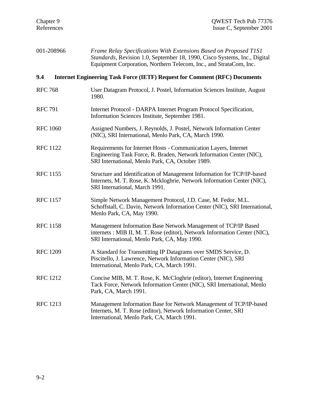| 001-208966      | Frame Relay Specifications With Extensions Based on Proposed T1S1<br>Standards, Revision 1.0, September 18, 1990, Cisco Systems, Inc., Digital<br>Equipment Corporation, Northern Telecom, Inc., and StrataCom, Inc. |
|-----------------|----------------------------------------------------------------------------------------------------------------------------------------------------------------------------------------------------------------------|
| 9.4             | <b>Internet Engineering Task Force (IETF) Request for Comment (RFC) Documents</b>                                                                                                                                    |
| <b>RFC 768</b>  | User Datagram Protocol, J. Postel, Information Sciences Institute, August<br>1980.                                                                                                                                   |
| <b>RFC 791</b>  | Internet Protocol - DARPA Internet Program Protocol Specification,<br>Information Sciences Institute, September 1981.                                                                                                |
| <b>RFC 1060</b> | Assigned Numbers, J. Reynolds, J. Postel, Network Information Center<br>(NIC), SRI International, Menlo Park, CA, March 1990.                                                                                        |
| <b>RFC 1122</b> | Requirements for Internet Hosts - Communication Layers, Internet<br>Engineering Task Force, R. Braden, Network Information Center (NIC),<br>SRI International, Menlo Park, CA, October 1989.                         |
| <b>RFC 1155</b> | Structure and Identification of Management Information for TCP/IP-based<br>Internets, M. T. Rose, K. Mckloghrie, Network Information Center (NIC),<br>SRI International, March 1991.                                 |
| <b>RFC 1157</b> | Simple Network Management Protocol, J.D. Case, M. Fedor, M.L.<br>Schoffstall, C. Davin, Network Information Center (NIC), SRI International,<br>Menlo Park, CA, May 1990.                                            |
| <b>RFC 1158</b> | Management Information Base Network Management of TCP/IP Based<br>internets: MIB II, M. T. Rose (editor), Network Information Center (NIC),<br>SRI International, Menlo Park, CA, May 1990.                          |
| <b>RFC 1209</b> | A Standard for Transmitting IP Datagrams over SMDS Service, D.<br>Piscitello, J. Lawrence, Network Information Center (NIC), SRI<br>International, Menlo Park, CA, March 1991.                                       |
| <b>RFC 1212</b> | Concise MIB, M. T. Rose, K. McCloghrie (editor), Internet Engineering<br>Tack Force, Network Information Center (NIC), SRI International, Menlo<br>Park, CA, March 1991.                                             |
| <b>RFC</b> 1213 | Management Information Base for Network Management of TCP/IP-based<br>Internets, M. T. Rose (editor), Network Information Center, SRI<br>International, Menlo Park, CA, March 1991.                                  |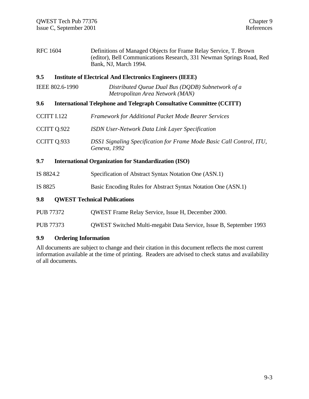RFC 1604 Definitions of Managed Objects for Frame Relay Service, T. Brown (editor), Bell Communications Research, 331 Newman Springs Road, Red Bank, NJ, March 1994.

#### **9.5 Institute of Electrical And Electronics Engineers (IEEE)**

| IEEE 802.6-1990 | Distributed Queue Dual Bus (DQDB) Subnetwork of a |
|-----------------|---------------------------------------------------|
|                 | Metropolitan Area Network (MAN)                   |

#### **9.6 International Telephone and Telegraph Consultative Committee (CCITT)**

| CCITT I.122 | Framework for Additional Packet Mode Bearer Services                                 |
|-------------|--------------------------------------------------------------------------------------|
| CCITT Q.922 | <b>ISDN User-Network Data Link Layer Specification</b>                               |
| CCITT Q.933 | DSS1 Signaling Specification for Frame Mode Basic Call Control, ITU,<br>Geneva, 1992 |

## **9.7 International Organization for Standardization (ISO)**

- IS 8824.2 Specification of Abstract Syntax Notation One (ASN.1)
- IS 8825 Basic Encoding Rules for Abstract Syntax Notation One (ASN.1)

#### **9.8 QWEST Technical Publications**

- PUB 77372 QWEST Frame Relay Service, Issue H, December 2000.
- PUB 77373 QWEST Switched Multi-megabit Data Service, Issue B, September 1993

#### **9.9 Ordering Information**

All documents are subject to change and their citation in this document reflects the most current information available at the time of printing. Readers are advised to check status and availability of all documents.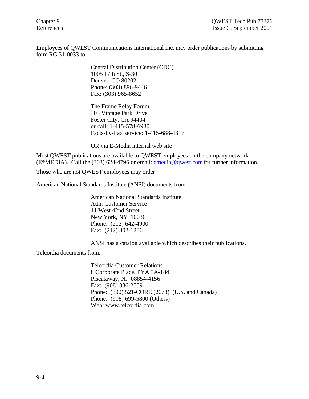Employees of QWEST Communications International Inc. may order publications by submitting form RG 31-0033 to:

> Central Distribution Center (CDC) 1005 17th St., S-30 Denver, CO 80202 Phone: (303) 896-9446 Fax: (303) 965-8652

The Frame Relay Forum 303 Vintage Park Drive Foster City, CA 94404 or call: 1-415-578-6980 Facts-by-Fax service: 1-415-688-4317

OR via E-Media internal web site

Most QWEST publications are available to QWEST employees on the company network (E\*MEDIA). Call the (303) 624-4796 or email: emedia@qwest.com for further information.

Those who are not QWEST employees may order

American National Standards Institute (ANSI) documents from:

American National Standards Institute Attn: Customer Service 11 West 42nd Street New York, NY 10036 Phone: (212) 642-4900 Fax: (212) 302-1286

ANSI has a catalog available which describes their publications.

Telcordia documents from:

Telcordia Customer Relations 8 Corporate Place, PYA 3A-184 Piscataway, NJ 08854-4156 Fax: (908) 336-2559 Phone: (800) 521-CORE (2673) (U.S. and Canada) Phone: (908) 699-5800 (Others) Web: www.telcordia.com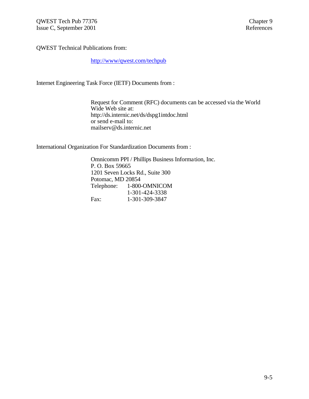QWEST Technical Publications from:

http://www/qwest.com/techpub

Internet Engineering Task Force (IETF) Documents from :

Request for Comment (RFC) documents can be accessed via the World Wide Web site at: http://ds.internic.net/ds/dspg1intdoc.html or send e-mail to: mailserv@ds.internic.net

International Organization For Standardization Documents from :

Omnicomm PPI / Phillips Business Information, Inc. P. O. Box 59665 1201 Seven Locks Rd., Suite 300 Potomac, MD 20854 Telephone: 1-800-OMNICOM 1-301-424-3338 Fax: 1-301-309-3847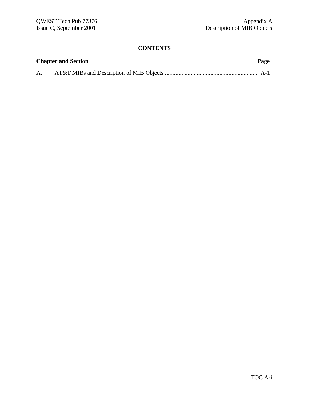# **CONTENTS**

|    | <b>Chapter and Section</b> | Page |
|----|----------------------------|------|
| A. |                            |      |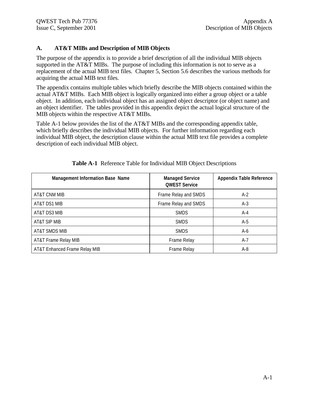# **A. AT&T MIBs and Description of MIB Objects**

The purpose of the appendix is to provide a brief description of all the individual MIB objects supported in the AT&T MIBs. The purpose of including this information is not to serve as a replacement of the actual MIB text files. Chapter 5, Section 5.6 describes the various methods for acquiring the actual MIB text files.

The appendix contains multiple tables which briefly describe the MIB objects contained within the actual AT&T MIBs. Each MIB object is logically organized into either a group object or a table object. In addition, each individual object has an assigned object descriptor (or object name) and an object identifier. The tables provided in this appendix depict the actual logical structure of the MIB objects within the respective AT&T MIBs.

Table A-1 below provides the list of the AT&T MIBs and the corresponding appendix table, which briefly describes the individual MIB objects. For further information regarding each individual MIB object, the description clause within the actual MIB text file provides a complete description of each individual MIB object.

| <b>Management Information Base Name</b> | <b>Managed Service</b><br><b>QWEST Service</b> | <b>Appendix Table Reference</b> |
|-----------------------------------------|------------------------------------------------|---------------------------------|
| AT&T CNM MIB                            | Frame Relay and SMDS                           | $A-2$                           |
| AT&T DS1 MIB                            | Frame Relay and SMDS                           | $A-3$                           |
| AT&T DS3 MIB                            | <b>SMDS</b>                                    | A-4                             |
| AT&T SIP MIB                            | <b>SMDS</b>                                    | $A-5$                           |
| AT&T SMDS MIB                           | <b>SMDS</b>                                    | A-6                             |
| AT&T Frame Relay MIB                    | Frame Relay                                    | A-7                             |
| AT&T Enhanced Frame Relay MIB           | Frame Relay                                    | A-8                             |

|  | Table A-1 Reference Table for Individual MIB Object Descriptions |  |  |  |  |  |
|--|------------------------------------------------------------------|--|--|--|--|--|
|--|------------------------------------------------------------------|--|--|--|--|--|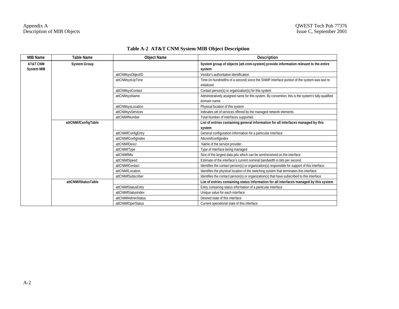| <b>MIB Name</b>                          | <b>Table Name</b>   | <b>Object Name</b>  | <b>Description</b>                                                                                                 |
|------------------------------------------|---------------------|---------------------|--------------------------------------------------------------------------------------------------------------------|
| <b>AT&amp;T CNM</b><br><b>System MIB</b> | <b>System Group</b> |                     | System group of objects (att-cnm-system) provide information relevant to the entire<br>system                      |
|                                          |                     | attCNMsysObjectID   | Vendor's authoritative identification                                                                              |
|                                          |                     | attCNMsysUpTime     | Time (in hundredths of a second) since the SNMP interface portion of the system was last re-<br>initialized        |
|                                          |                     | attCNMsysContact    | Contact person(s) or organization(s) for this system                                                               |
|                                          |                     | attCNMsysName       | Administratively assigned name for this system. By convention, this is the system's fully-qualified<br>domain name |
|                                          |                     | attCNMsysLocation   | Physical location of this system                                                                                   |
|                                          |                     | attCNMsysServices   | Indicates set of services offered by the managed network elements                                                  |
|                                          |                     | attCNMifNumber      | Total Number of interfaces supported                                                                               |
|                                          | attCNMifConfigTable |                     | List of entries containing general information for all interfaces managed by this                                  |
|                                          |                     |                     | system                                                                                                             |
|                                          |                     | attCNMifConfigEntry | General configuration information for a particular interface                                                       |
|                                          |                     | attCNMifConfigIndex | Attcnmifconfigindex                                                                                                |
|                                          |                     | attCNMifDescr       | Name of the service provider                                                                                       |
|                                          |                     | attCNMifType        | Type of interface being managed                                                                                    |
|                                          |                     | attCNMifMtu         | Size of the largest data pdu which can be sent/received on the interface                                           |
|                                          |                     | attCNMifSpeed       | Estimate of the interface's current nominal bandwidth in bits per second.                                          |
|                                          |                     | attCNMifContact     | Identifies the contact person(s) or organization(s) responsible for support of this interface.                     |
|                                          |                     | attCNMifLocation    | Identifies the physical location of the switching system that terminates this interface.                           |
|                                          |                     | attCNMifSubscriber  | Identifies the contact person(s) or organization(s) that have subscribed to this interface                         |
|                                          | attCNMifStatusTable |                     | List of entries containing status information for all interfaces managed by this system                            |
|                                          |                     | attCNMifStatusEntry | Entry containing status information of a particular interface                                                      |
|                                          |                     | attCNMifStatusIndex | Unique value for each interface                                                                                    |
|                                          |                     | attCNMifAdminStatus | Desired state of this interface                                                                                    |
|                                          |                     | attCNMifOperStatus  | Current operational state of this interface                                                                        |

# **Table A-2 AT&T CNM System MIB Object Description**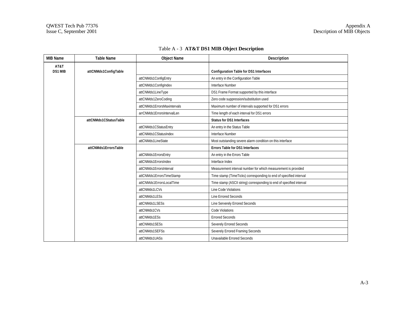| <b>MIB Name</b> | <b>Table Name</b>     | <b>Object Name</b>          | Description                                                          |
|-----------------|-----------------------|-----------------------------|----------------------------------------------------------------------|
| AT&T<br>DS1 MIB | attCNMds1ConfigTable  |                             | <b>Configuration Table for DS1 Interfaces</b>                        |
|                 |                       | attCNMds1ConfigEntry        | An entry in the Configuration Table                                  |
|                 |                       | attCNMds1ConfigIndex        | Interface Number                                                     |
|                 |                       | attCNMds1LineType           | DS1 Frame Format supported by this interface                         |
|                 |                       | attCNMds1ZeroCoding         | Zero code suppression/substitution used                              |
|                 |                       | attCNMds1ErrorsMaxintervals | Maximum number of intervals supported for DS1 errors                 |
|                 |                       | arrCNMds1ErrorsIntervalLen  | Time length of each interval for DS1 errors                          |
|                 | attCNMds1CStatusTable |                             | <b>Status for DS1 Interfaces</b>                                     |
|                 |                       | attCNMds1CStatusEntry       | An entry in the Status Table                                         |
|                 |                       | attCNMds1CStatusIndex       | Interface Number                                                     |
|                 |                       | attCNMds1LineState          | Most outstanding severe alarm condition on this interface            |
|                 | attCNMds1ErrorsTable  |                             | <b>Errors Table for DS1 Interfaces</b>                               |
|                 |                       | attCNMds1ErrorsEntry        | An entry in the Errors Table                                         |
|                 |                       | attCNMds1ErrorsIndex        | Interface Index                                                      |
|                 |                       | attCNMds1ErrorsInterval     | Measurement interval number for which measurement is provided        |
|                 |                       | attCNMds1ErrorsTimeStamp    | Time stamp (TimeTicks) corresponding to end of specified interval    |
|                 |                       | attCNMds1ErrorsLocalTime    | Time stamp (ASCII string) corresponding to end of specified interval |
|                 |                       | attCNMds1LCVs               | Line Code Violations                                                 |
|                 |                       | attCNMds1LESs               | Line Errored Seconds                                                 |
|                 |                       | attCNMds1LSESs              | Line Serverely Errored Seconds                                       |
|                 |                       | attCNMds1CVs                | Code Violations                                                      |
|                 |                       | attCNMds1ESs                | <b>Errored Seconds</b>                                               |
|                 |                       | attCNMds1SESs               | Severely Errored Seconds                                             |
|                 |                       | attCNMds1SEFSs              | Severely Errored Framing Seconds                                     |
|                 |                       | attCNMds1UASs               | <b>Unavailable Errored Seconds</b>                                   |

# Table A - 3 **AT&T DS1 MIB Object Description**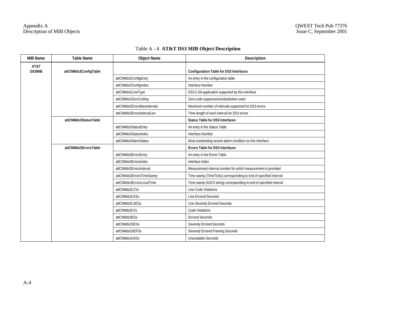| <b>MIB Name</b> | <b>Table Name</b>    | <b>Object Name</b>          | Description                                                          |
|-----------------|----------------------|-----------------------------|----------------------------------------------------------------------|
| AT&T<br>DS3MIB  | attCNMds3ConfigTable |                             | <b>Configuration Table for DS3 Interfaces</b>                        |
|                 |                      | attCNMds3ConfigEntry        | An entry in the configuration table                                  |
|                 |                      | attCNMds3ConfigIndex        | Interface Number                                                     |
|                 |                      | attCNMds3LineType           | DS3 C-bit application supported by this interface                    |
|                 |                      | attCNMds3ZeroCoding         | Zero code suppression/substitution used                              |
|                 |                      | attCNMds3ErrorsMaxIntervals | Maximum number of intervals supported for DS3 errors                 |
|                 |                      | attCNMds3ErrorsIntervalLen  | Time-length of each interval for DS3 errors                          |
|                 | attCNMds3StatusTable |                             | <b>Status Table for DS3 Interfaces</b>                               |
|                 |                      | attCNMds3StatusEntry        | An entry in the Status Table                                         |
|                 |                      | attCNMds3StatusIndex        | Interface Number                                                     |
|                 |                      | attCNMds3AlarmStatus        | Most outstanding severe alarm condition on this interface            |
|                 | attCNMds3ErrorsTable |                             | <b>Errors Table for DS3 Interfaces</b>                               |
|                 |                      | attCNMds3ErrorsEntry        | An entry in the Errors Table                                         |
|                 |                      | attCNMds3ErrorsIndex        | Interface Index                                                      |
|                 |                      | attCNMds3ErrorsInterval     | Measurement interval number for which measurement is provided        |
|                 |                      | attCNMds3ErrorsTimeStamp    | Time stamp (TimeTicks) corresponding to end of specified interval    |
|                 |                      | attCNMds3ErrorsLocalTime    | Time stamp (ASCII string) corresponding to end of specified interval |
|                 |                      | attCNMds3LCVs               | Line Code Violations                                                 |
|                 |                      | attCNMds3LESs               | Line Errored Seconds                                                 |
|                 |                      | attCNMds3LSESs              | Line Severely Errored Seconds                                        |
|                 |                      | attCNMds3CVs                | Code Violations                                                      |
|                 |                      | attCNMds3ESs                | <b>Errored Seconds</b>                                               |
|                 |                      | attCNMds3SESs               | Severely Errored Seconds                                             |
|                 |                      | attCNMds3SEFSs              | Severely Errored Framing Seconds                                     |
|                 |                      | attCNMds3UASs               | Unavailable Seconds                                                  |

# Table A - 4 **AT&T DS3 MIB Object Description**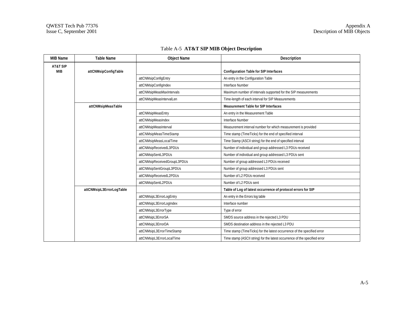| <b>MIB Name</b>        | <b>Table Name</b>        | <b>Object Name</b>           | <b>Description</b>                                                         |
|------------------------|--------------------------|------------------------------|----------------------------------------------------------------------------|
| AT&T SIP<br><b>MIB</b> | attCNMsipConfigTable     |                              | <b>Configuration Table for SIP Interfaces</b>                              |
|                        |                          | attCNMsipConfigEntry         | An entry in the Configuration Table                                        |
|                        |                          | attCNMsipConfigIndex         | Interface Number                                                           |
|                        |                          | attCNMsipMeasMaxIntervals    | Maximum number of intervals supported for the SIP measurements             |
|                        |                          | attCNMsipMeasIntervalLen     | Time-length of each interval for SIP Measurements                          |
|                        | attCNMsipMeasTable       |                              | <b>Measurement Table for SIP Interfaces</b>                                |
|                        |                          | attCNMsipMeasEntry           | An entry in the Measurement Table                                          |
|                        |                          | attCNMsipMeasIndex           | Interface Number                                                           |
|                        |                          | attCNMsipMeasInterval        | Measurement interval number for which measurement is provided              |
|                        |                          | attCNMsipMeasTimeStamp       | Time stamp (TimeTicks) for the end of specified interval                   |
|                        |                          | attCNMsipMeasLocalTime       | Time Stamp (ASCII string) for the end of specified interval                |
|                        |                          | attCNMsipReceivedL3PDUs      | Number of individual and group addressed L3 PDUs received                  |
|                        |                          | attCNMsipSentL3PDUs          | Number of individual and group addressed L3 PDUs sent                      |
|                        |                          | attCNMsipReceivedGroupL3PDUs | Number of group addressed L3 PDUs received                                 |
|                        |                          | attCNMsipSentGroupL3PDUs     | Number of group addressed L3 PDUs sent                                     |
|                        |                          | attCNMsipReceivedL2PDUs      | Number of L2 PDUs received                                                 |
|                        |                          | attCNMsipSentL2PDUs          | Number of L2 PDUs sent                                                     |
|                        | attCNMsipL3ErrorLogTable |                              | Table of Log of latest occurrence of protocol errors for SIP               |
|                        |                          | attCNMsipL3ErrorLogEntry     | An entry in the Errors log table                                           |
|                        |                          | attCNMsipL3ErrorLogIndex     | Interface number                                                           |
|                        |                          | attCNMsipL3ErrorType         | Type of error                                                              |
|                        |                          | attCNMsipL3ErrorSA           | SMDS source address in the rejected L3 PDU                                 |
|                        |                          | attCNMsipL3ErrorDA           | SMDS destination address in the rejected L3 PDU                            |
|                        |                          | attCNMsipL3ErrorTimeStamp    | Time stamp (TimeTicks) for the latest occurrence of the specified error    |
|                        |                          | attCNMsipL3ErrorLocalTime    | Time stamp (ASCII string) for the latest occurrence of the specified error |

# Table A-5 **AT&T SIP MIB Object Description**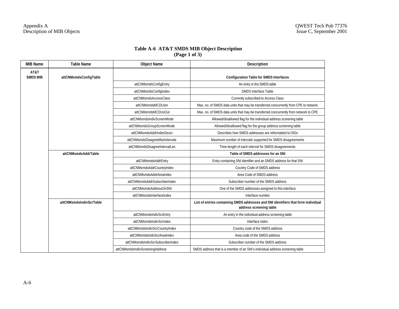#### **Table A-6 AT&T SMDS MIB Object Description (Page 1 of 3)**

| <b>MIB Name</b>         | <b>Table Name</b>       | <b>Object Name</b>                | Description                                                                                                   |
|-------------------------|-------------------------|-----------------------------------|---------------------------------------------------------------------------------------------------------------|
| AT&T<br><b>SMDS MIB</b> | attCNMsmdsConfigTable   |                                   | <b>Configuration Table for SMDS Interfaces</b>                                                                |
|                         |                         | attCNMsmdsConfigEntry             | An entry in the SMDS table                                                                                    |
|                         |                         | attCNMsmdsConfigIndex             | <b>SMDS Interface Table</b>                                                                                   |
|                         |                         | attCNMsmdsAccessClass             | Currently subscribed to Access Class                                                                          |
|                         |                         | attCNMsmdsMCDUsIn                 | Max. no. of SMDS data units that may be transferred concurrently from CPE to network                          |
|                         |                         | attCNMsmdsMCDUsOut                | Max. no. of SMDS data units that may be transferred concurrently from network to CPE                          |
|                         |                         | attCNMsmdsIndivScreenMode         | Allowed/disallowed flag for the individual address screening table                                            |
|                         |                         | attCNMsmdsGroupScreenMode         | Allowed/disallowed flag for the group address screening table                                                 |
|                         |                         | attCNMsmdsAddrIndexDescr          | Describes how SMDS addresses are reformatted to OIDs                                                          |
|                         |                         | attCNMsmdsDisagreeMaxIntervals    | Maximum number of intervals supported for SMDS disagreements                                                  |
|                         |                         | attCNMsmdsDisagreeIntervalLen     | Time-length of each interval for SMDS disagreements                                                           |
|                         | attCNMsmdsAddrTable     |                                   | Table of SMDS addresses for an SNI                                                                            |
|                         |                         | attCNMsmdsAddrEntry               | Entry containing SNI identifier and an SMDS address for that SNI                                              |
|                         |                         | attCNMsmdsAddrCountryIndex        | Country Code of SMDS address                                                                                  |
|                         |                         | attCNMsmdsAddrAreaIndex           | Area Code of SMDS address                                                                                     |
|                         |                         | attCNMsmdsAddrSubscriberIndex     | Subscriber number of the SMDS address                                                                         |
|                         |                         | attCNMsmdsAddressOnSNI            | One of the SMDS addresses assigned to this interface                                                          |
|                         |                         | attCNMsmdsInterfaceIndex          | Interface number                                                                                              |
|                         | attCNMsmdsIndivScrTable |                                   | List of entries containing SMDS addresses and SNI identifiers that form individual<br>address screening table |
|                         |                         | attCNMsmdsIndivScrEntry           | An entry in the individual address screening table                                                            |
|                         |                         | attCNMsmdsIndivScrIndex           | Interface index                                                                                               |
|                         |                         | attCNMsmdsIndivScrCountryIndex    | Country code of the SMDS address                                                                              |
|                         |                         | attCNMsmdsIndivScrAreaIndex       | Area code of the SMDS address                                                                                 |
|                         |                         | attCNMsmdsIndivScrSubscriberIndex | Subscriber number of the SMDS address                                                                         |
|                         |                         | attCNMsmdsIndivScreeningAddress   | SMDS address that is a member of an SNI's individual address screening table                                  |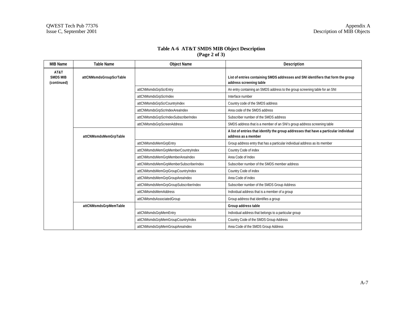### **Table A-6 AT&T SMDS MIB Object Description (Page 2 of 3)**

| <b>MIB Name</b>                        | <b>Table Name</b>       | <b>Object Name</b>                    | Description                                                                                                  |
|----------------------------------------|-------------------------|---------------------------------------|--------------------------------------------------------------------------------------------------------------|
| AT&T<br><b>SMDS MIB</b><br>(continued) | attCNMsmdsGroupScrTable |                                       | List of entries containing SMDS addresses and SNI identifiers that form the group<br>address screening table |
|                                        |                         | attCNMsmdsGrpScrEntry                 | An entry containing an SMDS address to the group screening table for an SNI                                  |
|                                        |                         | attCNMsmdsGrpScrIndex                 | Interface number                                                                                             |
|                                        |                         | attCNMsmdsGrpScrCountryIndex          | Country code of the SMDS address                                                                             |
|                                        |                         | attCNMsmdsGrpScrIndexAreaIndex        | Area code of the SMDS address                                                                                |
|                                        |                         | attCNMsmdsGrpScrIndexSubscriberIndex  | Subscriber number of the SMDS address                                                                        |
|                                        |                         | attCNMsmdsGrpScreenAddress            | SMDS address that is a member of an SNI's group address screening table                                      |
|                                        | attCNMsmdsMemGrpTable   |                                       | A list of entries that identify the group addresses that have a particular individual<br>address as a member |
|                                        |                         | attCNMsmdsMemGrpEntry                 | Group address entry that has a particular individual address as its member                                   |
|                                        |                         | attCNMsmdsMemGrpMemberCountryIndex    | Country Code of index                                                                                        |
|                                        |                         | attCNMsmdsMemGrpMemberAreaIndex       | Area Code of Index                                                                                           |
|                                        |                         | attCNMsmdsMemGrpMemberSubscriberIndex | Subscriber number of the SMDS member address                                                                 |
|                                        |                         | attCNMsmdsMemGrpGroupCountryIndex     | Country Code of index                                                                                        |
|                                        |                         | attCNMsmdsMemGrpGroupAreaIndex        | Area Code of index                                                                                           |
|                                        |                         | attCNMsmdsMemGrpGroupSubscriberIndex  | Subscriber number of the SMDS Group Address                                                                  |
|                                        |                         | attCNMsmdsMemAddress                  | Individual address that is a member of a group                                                               |
|                                        |                         | attCNMsmdsAssociatedGroup             | Group address that identifies a group                                                                        |
|                                        | attCNMsmdsGrpMemTable   |                                       | Group address table                                                                                          |
|                                        |                         | attCNMsmdsGrpMemEntry                 | Individual address that belongs to a particular group                                                        |
|                                        |                         | attCNMsmdsGrpMemGroupCountryIndex     | Country Code of the SMDS Group Address                                                                       |
|                                        |                         | attCNMsmdsGrpMemGroupAreaIndex        | Area Code of the SMDS Group Address                                                                          |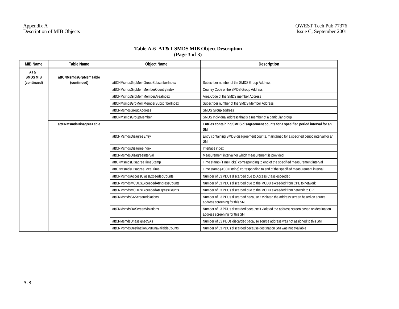## **Table A-6 AT&T SMDS MIB Object Description (Page 3 of 3)**

| <b>MIB Name</b>         | <b>Table Name</b>       | <b>Object Name</b>                        | <b>Description</b>                                                                                                        |
|-------------------------|-------------------------|-------------------------------------------|---------------------------------------------------------------------------------------------------------------------------|
| AT&T<br><b>SMDS MIB</b> | attCNMsmdsGrpMemTable   |                                           |                                                                                                                           |
| (continued)             | (continued)             | attCNMsmdsGrpMemGroupSubscriberIndex      | Subscriber number of the SMDS Group Address                                                                               |
|                         |                         | attCNMsmdsGrpMemMemberCountryIndex        | Country Code of the SMDS Group Address                                                                                    |
|                         |                         | attCNMsmdsGrpMemMemberAreaIndex           | Area Code of the SMDS member Address                                                                                      |
|                         |                         | attCNMsmdsGrpMemMemberSubscriberIndex     | Subscriber number of the SMDS Member Address                                                                              |
|                         |                         | attCNMsmdsGroupAddress                    | SMDS Group address                                                                                                        |
|                         |                         | attCNMsmdsGroupMember                     | SMDS Individual address that is a member of a particular group                                                            |
|                         | attCNMsmdsDisagreeTable |                                           | Entries containing SMDS disagreement counts for a specified period interval for an<br>SNI                                 |
|                         |                         | attCNMsmdsDisagreeEntry                   | Entry containing SMDS disagreement counts, maintained for a specified period interval for an<br>SNI                       |
|                         |                         | attCNMsmdsDisagreeIndex                   | Interface index                                                                                                           |
|                         |                         | attCNMsmdsDisagreeInterval                | Measurement interval for which measurement is provided                                                                    |
|                         |                         | attCNMsmdsDisagreeTimeStamp               | Time stamp (TimeTicks) corresponding to end of the specified measurement interval                                         |
|                         |                         | attCNMsmdsDisagreeLocalTime               | Time stamp (ASCII string) corresponding to end of the specified measurement interval                                      |
|                         |                         | attCNMsmdsAccessClassExceededCounts       | Number of L3 PDUs discarded due to Access Class esceeded                                                                  |
|                         |                         | attCNMsmdsMCDUsExceededAtIngressCounts    | Number of L3 PDUs discarded due to the MCDU exceeded from CPE to network                                                  |
|                         |                         | attCNMsmdsMCDUsExceededAtEgressCounts     | Number of L3 PDUs discarded due to the MCDU exceeded from network to CPE                                                  |
|                         |                         | attCNMsmdsSAScreenViolations              | Number of L3 PDUs discarded because it violated the address screen based on source<br>address screening for this SNI      |
|                         |                         | attCNMsmdsDAScreenViolations              | Number of L3 PDUs discarded because it violated the address screen based on destination<br>address screening for this SNI |
|                         |                         | attCNMsmdsUnassignedSAs                   | Number of L3 PDUs discarded bacause source address was not assigned to this SNI                                           |
|                         |                         | attCNMsmdsDestinationSNIUnavailableCounts | Number of L3 PDUs discarded because destination SNI was not available                                                     |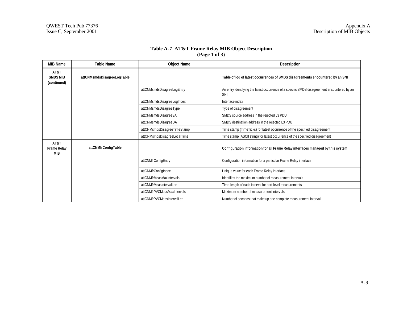| Table A-7 AT&T Frame Relay MIB Object Description |
|---------------------------------------------------|
| $\left(Page\ 1 of\ 3\right)$                      |

| <b>MIB Name</b>                        | <b>Table Name</b>          | <b>Object Name</b>          | <b>Description</b>                                                                                  |
|----------------------------------------|----------------------------|-----------------------------|-----------------------------------------------------------------------------------------------------|
| AT&T<br><b>SMDS MIB</b><br>(continued) | attCNMsmdsDisagreeLogTable |                             | Table of log of latest occurrences of SMDS disagreements encountered by an SNI                      |
|                                        |                            | attCNMsmdsDisagreeLogEntry  | An entry identifying the latest occurrence of a specific SMDS disagreement encountered by an<br>SNI |
|                                        |                            | attCNMsmdsDisagreeLogIndex  | Interface index                                                                                     |
|                                        |                            | attCNMsmdsDisagreeType      | Type of disagreement                                                                                |
|                                        |                            | attCNMsmdsDisagreeSA        | SMDS source address in the rejected L3 PDU                                                          |
|                                        |                            | attCNMsmdsDisagreeDA        | SMDS destination address in the rejected L3 PDU                                                     |
|                                        |                            | attCNMsmdsDisagreeTimeStamp | Time stamp (TimeTicks) for latest occurrence of the specified disagreement                          |
|                                        |                            | attCNMsmdsDisagreeLocalTime | Time stamp (ASCII string) for latest occurrence of the specified disagreement                       |
| AT&T<br><b>Frame Relay</b><br>MIB      | attCNMfrConfigTable        |                             | Configuration information for all Frame Relay interfaces managed by this system                     |
|                                        |                            | attCNMfrConfigEntry         | Configuration information for a particular Frame Relay interface                                    |
|                                        |                            | attCNMfrConfigIndex         | Unique value for each Frame Relay interface                                                         |
|                                        |                            | attCNMfrMeasMaxIntervals    | Identifies the maximum number of measurement intervals                                              |
|                                        |                            | attCNMfrMeasIntervalLen     | Time-length of each interval for port-level measurements                                            |
|                                        |                            | attCNMfrPVCMeasMaxIntervals | Maximum number of measurement intervals                                                             |
|                                        |                            | attCNMfrPVCMeasIntervalLen  | Number of seconds that make up one complete measurement interval                                    |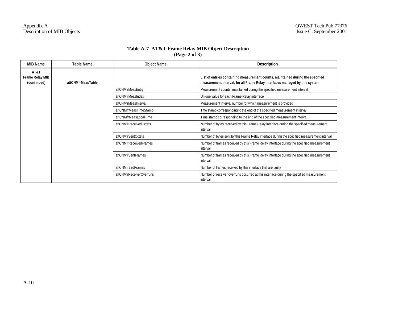| Table A-7 AT&T Frame Relay MIB Object Description |
|---------------------------------------------------|
| $\left(\text{Page } 2 \text{ of } 3\right)$       |

| <b>MIB Name</b>                               | <b>Table Name</b> | <b>Object Name</b>       | <b>Description</b>                                                                                                                                            |
|-----------------------------------------------|-------------------|--------------------------|---------------------------------------------------------------------------------------------------------------------------------------------------------------|
| AT&T<br><b>Frame Relay MIB</b><br>(continued) | attCNMfrMeasTable |                          | List of entries containing measurement counts, maintained during the specified<br>measurement interval, for all Frame Relay interfaces managed by this system |
|                                               |                   | attCNMfrMeasEntry        | Measurement counts, maintained during the specified measurement interval                                                                                      |
|                                               |                   | attCNMfrMeasIndex        | Unique value for each Frame Relay interface                                                                                                                   |
|                                               |                   | attCNMfrMeasInterval     | Measurement interval number for which measurement is provided                                                                                                 |
|                                               |                   | attCNMfrMeasTimeStamp    | Tme stamp corresponding to the end of the specified measurement interval                                                                                      |
|                                               |                   | attCNMfrMeasLocalTime    | Time stamp corresponding to the end of the specified measurement interval                                                                                     |
|                                               |                   | attCNMfrReceivedOctets   | Number of bytes received by this Frame Relay interface during the specified measurement<br>interval                                                           |
|                                               |                   | attCNMfrSentOctets       | Number of bytes sent by this Frame Relay interface during the specified measurement interval                                                                  |
|                                               |                   | attCNMfrReceivedFrames   | Number of frames received by this Frame Relay interface during the specified measurement<br>interval                                                          |
|                                               |                   | attCNMfrSentFrames       | Number of frames received by this Frame Relay interface during the specified measurement<br>interval                                                          |
|                                               |                   | attCNMfrBadFrames        | Number of frames received by this interface that are faulty                                                                                                   |
|                                               |                   | attCNMfrReceiverOverruns | Number of receiver overruns occurred at this interface during the specified measurement<br>interval                                                           |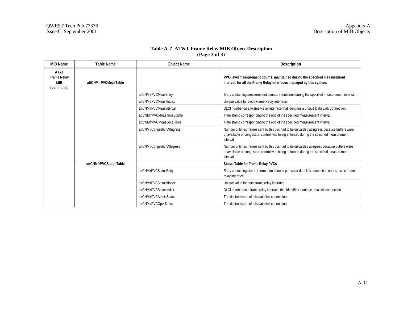| Table A-7 AT&T Frame Relay MIB Object Description |  |
|---------------------------------------------------|--|
| $\left(\text{Page } 3 \text{ of } 3\right)$       |  |

| <b>MIB Name</b>                                  | <b>Table Name</b>      | <b>Object Name</b>          | <b>Description</b>                                                                                                                                                                               |
|--------------------------------------------------|------------------------|-----------------------------|--------------------------------------------------------------------------------------------------------------------------------------------------------------------------------------------------|
| AT&T<br><b>Frame Relay</b><br>MIB<br>(continued) | attCNMfrPVCMeasTable   |                             | PVC-level measurement counts, maintained during the specified measurement<br>interval, for all the Frame Relay interfaces managed by this system.                                                |
|                                                  |                        | attCNMfrPVCMeasEntry        | Entry containing measurement counts, maintained during the specified measurement interval                                                                                                        |
|                                                  |                        | attCNMfrPVCMeasIfIndex      | Unique value for each Frame Relay interface.                                                                                                                                                     |
|                                                  |                        | attCNMfrPVCMeasInterval     | DLCI number on a Frame Relay interface that identifies a unique Data Link Connection.                                                                                                            |
|                                                  |                        | attCNMfrPVCMeasTimeStamp    | Time stamp corresponding to the end of the specified measurement interval                                                                                                                        |
|                                                  |                        | attCNMfrPVCMeasLocalTime    | Time stamp corresponding to the end of the specified measurement interval                                                                                                                        |
|                                                  |                        | attCNMfrCongestionAtIngress | Number of times frames sent by this pvc had to be discarded at ingress because buffers were<br>unavailable or congestion control was being enforced during the specified measurement<br>interval |
|                                                  |                        | attCNMfrCongestionAtEgress  | Number of times frames sent by this pvc had to be discarded at egress because buffers were<br>unavailable or congestion control was being enforced during the specified measurement<br>interval  |
|                                                  | attCNMfrPVCStatusTable |                             | Status Table for Frame Relay PVCs                                                                                                                                                                |
|                                                  |                        | attCNMfrPVCStatusEntry      | Entry containing status information about a particular data link connection on a specific frame<br>relay interface                                                                               |
|                                                  |                        | attCNMfrPVCStatusIfIndex    | Unique value for each frame relay interface                                                                                                                                                      |
|                                                  |                        | attCNMfrPVCStatusIndex      | DLCI number on a frame relay interface that identifies a unique data link connection                                                                                                             |
|                                                  |                        | attCNMfrPVCAdminStatus      | The desired state of this data link connection                                                                                                                                                   |
|                                                  |                        | attCNMfrPVCOperStatus       | The desired state of this data link connection                                                                                                                                                   |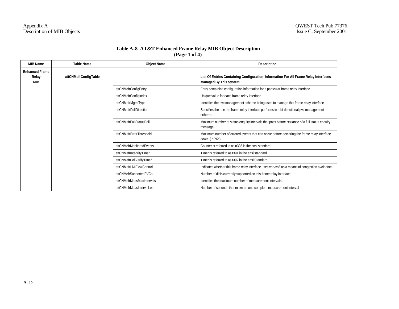## **Table A-8 AT&T Enhanced Frame Relay MIB Object Description (Page 1 of 4)**

| <b>MIB Name</b>                       | <b>Table Name</b>    | <b>Object Name</b>        | Description                                                                                                          |
|---------------------------------------|----------------------|---------------------------|----------------------------------------------------------------------------------------------------------------------|
| <b>Enhanced Frame</b><br>Relay<br>MIB | attCNMefrConfigTable |                           | List Of Entries Containing Configuration Information For All Frame Relay Interfaces<br><b>Managed By This System</b> |
|                                       |                      | attCNMefrConfigEntry      | Entry containing configuration information for a particular frame relay interface                                    |
|                                       |                      | attCNMefrConfigIndex      | Unique value for each frame relay interface                                                                          |
|                                       |                      | attCNMefrMgmtType         | Identifies the pvc management scheme being used to manage this frame relay interface                                 |
|                                       |                      | attCNMefrPollDirection    | Specifies the role the frame relay interface performs in a bi-directional pvc management<br>scheme                   |
|                                       |                      | attCNMefrFullStatusPoll   | Maximum number of status enquiry intervals that pass before issuance of a full status enquiry<br>message             |
|                                       |                      | attCNMefrErrorThreshold   | Maximum number of errored events that can occur before declaring the frame relay interface<br>down. (n392)           |
|                                       |                      | attCNMefrMonitoredEvents  | Counter is referred to as n393 in the ansi standard                                                                  |
|                                       |                      | attCNMefrIntegrityTimer   | Timer is referred to as t391 in the ansi standard                                                                    |
|                                       |                      | attCNMefrPollVerifyTimer  | Timer is referred to as t392 in the ansi Standard                                                                    |
|                                       |                      | attCNMefrLMIFlowControl   | Indicates whether this frame relay interface uses xon/xoff as a means of congestion avoidance                        |
|                                       |                      | attCNMefrSupportedPVCs    | Number of dlcis currently supported on this frame relay interface                                                    |
|                                       |                      | attCNMefrMeasMaxIntervals | Identifies the maximum number of measurement intervals                                                               |
|                                       |                      | attCNMefrMeasIntervalLen  | Number of seconds that make up one complete measurement interval                                                     |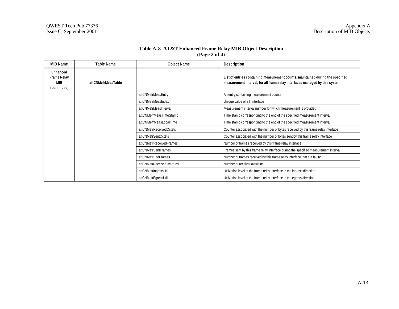| Table A-8 AT&T Enhanced Frame Relay MIB Object Description |
|------------------------------------------------------------|
| $\left( \text{Page } 2 \text{ of } 4 \right)$              |

| <b>MIB Name</b>                                      | <b>Table Name</b>  | <b>Object Name</b>        | <b>Description</b>                                                                                                                                            |
|------------------------------------------------------|--------------------|---------------------------|---------------------------------------------------------------------------------------------------------------------------------------------------------------|
| Enhanced<br><b>Frame Relay</b><br>MIB<br>(continued) | attCNMefrMeasTable |                           | List of entries containing measurement counts, maintained during the specified<br>measurement interval, for all frame relay interfaces managed by this system |
|                                                      |                    | attCNMefrMeasEntry        | An entry containing measurement counts                                                                                                                        |
|                                                      |                    | attCNMefrMeasIndex        | Unique value of a fr interface                                                                                                                                |
|                                                      |                    | attCNMefrMeasInterval     | Measurement interval number for which measurement is provided                                                                                                 |
|                                                      |                    | attCNMefrMeasTimeStamp    | Time stamp corresponding to the end of the specified measurement interval                                                                                     |
|                                                      |                    | attCNMefrMeasLocalTime    | Time stamp corresponding to the end of the specified measurement interval                                                                                     |
|                                                      |                    | attCNMefrReceivedOctets   | Counter associated with the number of bytes received by this frame relay interface                                                                            |
|                                                      |                    | attCNMefrSentOctets       | Counter associated with the number of bytes sent by this frame relay interface                                                                                |
|                                                      |                    | attCNMefrReceivedFrames   | Number of frames received by this frame relay interface                                                                                                       |
|                                                      |                    | attCNMefrSentFrames       | Frames sent by this frame relay interface during the specified measurement interval                                                                           |
|                                                      |                    | attCNMefrBadFrames        | Number of frames received by this frame relay interface that are faulty                                                                                       |
|                                                      |                    | attCNMefrReceiverOverruns | Number of receiver overruns                                                                                                                                   |
|                                                      |                    | attCNMefrIngressUtil      | Utilization level of the frame relay interface in the ingress direction                                                                                       |
|                                                      |                    | attCNMefrEgressUtil       | Utilization level of the frame relay interface in the egress direction                                                                                        |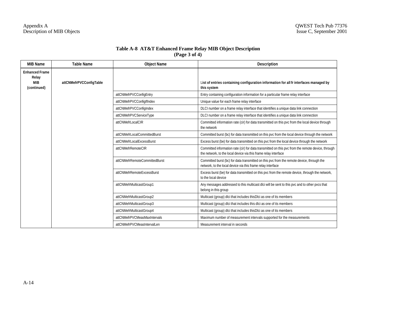## **Table A-8 AT&T Enhanced Frame Relay MIB Object Description (Page 3 of 4)**

| <b>MIB Name</b>                                             | <b>Table Name</b>       | <b>Object Name</b>            | <b>Description</b>                                                                                                                                                   |
|-------------------------------------------------------------|-------------------------|-------------------------------|----------------------------------------------------------------------------------------------------------------------------------------------------------------------|
| <b>Enhanced Frame</b><br>Relay<br><b>MIB</b><br>(continued) | attCNMefrPVCConfigTable |                               | List of entries containing configuration information for all fr interfaces managed by<br>this system                                                                 |
|                                                             |                         | attCNMefrPVCConfigEntry       | Entry containing configuration information for a particular frame relay interface                                                                                    |
|                                                             |                         | attCNMefrPVCConfigIfIndex     | Unique value for each frame relay interface                                                                                                                          |
|                                                             |                         | attCNMefrPVCConfigIndex       | DLCI number on a frame relay interface that identifies a unique data link connection                                                                                 |
|                                                             |                         | attCNMefrPVCServiceType       | DLCI number on a frame relay interface that identifies a unique data link connection                                                                                 |
|                                                             |                         | attCNMefrLocalCIR             | Committed information rate (cir) for data transmitted on this pvc from the local device through<br>the network                                                       |
|                                                             |                         | attCNMefrLocalCommittedBurst  | Committed burst (bc) for data transmitted on this pvc from the local device through the network                                                                      |
|                                                             |                         | attCNMefrLocalExcessBurst     | Excess burst (be) for data transmitted on this pvc from the local device through the network                                                                         |
|                                                             |                         | attCNMefrRemoteCIR            | Committed information rate (cir) for data transmitted on this pvc from the remote device, through<br>the network, to the local device via this frame relay interface |
|                                                             |                         | attCNMefrRemoteCommittedBurst | Committed burst (bc) for data transmitted on this pvc from the remote device, through the<br>network, to the local device via this frame relay interface             |
|                                                             |                         | attCNMefrRemoteExcessBurst    | Excess burst (be) for data transmitted on this pvc from the remote device, through the network,<br>to the local device                                               |
|                                                             |                         | attCNMefrMulticastGroup1      | Any messages addressed to this multicast dlci will be sent to this pvc and to other pvcs that<br>belong in this group                                                |
|                                                             |                         | attCNMefrMulticastGroup2      | Multicast (group) dlci that includes thisDlci as one of its members                                                                                                  |
|                                                             |                         | attCNMefrMulticastGroup3      | Multicast (group) dlci that includes this dlci as one of its members                                                                                                 |
|                                                             |                         | attCNMefrMulticastGroup4      | Multicast (group) dlci that includes thisDlci as one of its members                                                                                                  |
|                                                             |                         | attCNMefrPVCMeasMaxIntervals  | Maximum number of measurement intervals supported for the measurements                                                                                               |
|                                                             |                         | attCNMefrPVCMeasIntervalLen   | Measurement interval in seconds                                                                                                                                      |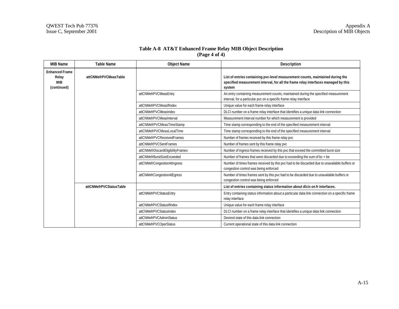| Table A-8 AT&T Enhanced Frame Relay MIB Object Description |
|------------------------------------------------------------|
| $(\text{Page } 4 \text{ of } 4)$                           |

| <b>MIB Name</b>                                             | <b>Table Name</b>       | <b>Object Name</b>                                                                                                 | Description                                                                                                                                                                    |
|-------------------------------------------------------------|-------------------------|--------------------------------------------------------------------------------------------------------------------|--------------------------------------------------------------------------------------------------------------------------------------------------------------------------------|
| <b>Enhanced Frame</b><br>Relay<br><b>MIB</b><br>(continued) | attCNMefrPVCMeasTable   |                                                                                                                    | List of entries containing pvc-level measurement counts, maintained during the<br>specified measurement interval, for all the frame relay interfaces managed by this<br>system |
|                                                             |                         | attCNMefrPVCMeasEntry                                                                                              | An entry containing measurement counts, maintained during the specified measurement<br>interval, for a particular pvc on a specific frame relay interface                      |
|                                                             |                         | attCNMefrPVCMeasIfIndex                                                                                            | Unique value for each frame relay interface                                                                                                                                    |
|                                                             |                         | attCNMefrPVCMeasIndex                                                                                              | DLCI number on a frame relay interface that identifies a unique data link connection                                                                                           |
|                                                             |                         | attCNMefrPVCMeasInterval                                                                                           | Measurement interval number for which measurement is provided                                                                                                                  |
|                                                             |                         | attCNMefrPVCMeasTimeStamp                                                                                          | Time stamp corresponding to the end of the specified measurement interval                                                                                                      |
|                                                             |                         | attCNMefrPVCMeasLocalTime                                                                                          | Time stamp corresponding to the end of the specified measurement interval                                                                                                      |
|                                                             |                         | attCNMefrPVCReceivedFrames                                                                                         | Number of frames received by this frame relay pvc                                                                                                                              |
|                                                             |                         | attCNMefrPVCSentFrames                                                                                             | Number of frames sent by this frame relay pvc                                                                                                                                  |
|                                                             |                         | attCNMefrDiscardEligibilityFrames                                                                                  | Number of ingress frames received by this pvc that exceed the committed burst size                                                                                             |
|                                                             |                         | attCNMefrBurstSizeExceeded                                                                                         | Number of frames that were discarded due to exceeding the sum of bc + be                                                                                                       |
|                                                             |                         | attCNMefrCongestionAtIngress                                                                                       | Number of times frames received by this pvc had to be discarded due to unavailable buffers or<br>congestion control was being enforced                                         |
|                                                             |                         | attCNMefrCongestionAtEgress                                                                                        | Number of times frames sent by this pvc had to be discarded due to unavailable buffers or<br>congestion control was being enforced                                             |
|                                                             | attCNMefrPVCStatusTable |                                                                                                                    | List of entries containing status information about dlcis on fr interfaces.                                                                                                    |
|                                                             | attCNMefrPVCStatusEntry | Entry containing status information about a particular data link connection on a specific frame<br>relay interface |                                                                                                                                                                                |
|                                                             |                         | attCNMefrPVCStatusIfIndex                                                                                          | Unique value for each frame relay interface                                                                                                                                    |
|                                                             |                         | attCNMefrPVCStatusIndex                                                                                            | DLCI number on a frame relay interface that identifies a unique data link connection                                                                                           |
|                                                             |                         | attCNMefrPVCAdminStatus                                                                                            | Desired state of this data link connection                                                                                                                                     |
|                                                             |                         | attCNMefrPVCOperStatus                                                                                             | Current operational state of this data link connection                                                                                                                         |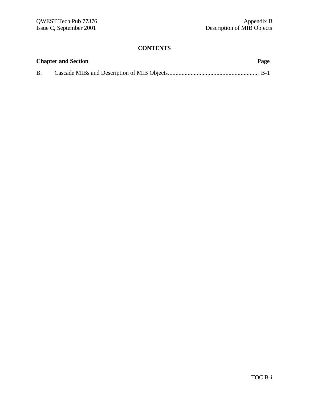# **CONTENTS**

|           | <b>Chapter and Section</b> | Page |
|-----------|----------------------------|------|
| <b>B.</b> |                            |      |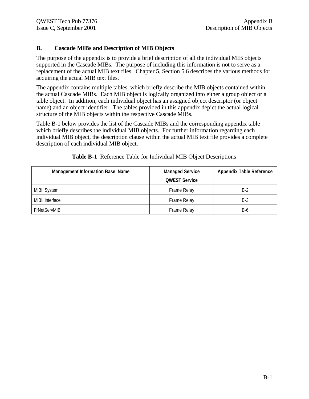## **B. Cascade MIBs and Description of MIB Objects**

The purpose of the appendix is to provide a brief description of all the individual MIB objects supported in the Cascade MIBs. The purpose of including this information is not to serve as a replacement of the actual MIB text files. Chapter 5, Section 5.6 describes the various methods for acquiring the actual MIB text files.

The appendix contains multiple tables, which briefly describe the MIB objects contained within the actual Cascade MIBs. Each MIB object is logically organized into either a group object or a table object. In addition, each individual object has an assigned object descriptor (or object name) and an object identifier. The tables provided in this appendix depict the actual logical structure of the MIB objects within the respective Cascade MIBs.

Table B-1 below provides the list of the Cascade MIBs and the corresponding appendix table which briefly describes the individual MIB objects. For further information regarding each individual MIB object, the description clause within the actual MIB text file provides a complete description of each individual MIB object.

| <b>Management Information Base Name</b> | <b>Managed Service</b><br><b>QWEST Service</b> | <b>Appendix Table Reference</b> |
|-----------------------------------------|------------------------------------------------|---------------------------------|
| <b>MIBII System</b>                     | Frame Relay                                    | $B-2$                           |
| <b>MIBII Interface</b>                  | Frame Relay                                    | B-3                             |
| <b>FrNetServMIB</b>                     | Frame Relay                                    | B-6                             |

**Table B-1** Reference Table for Individual MIB Object Descriptions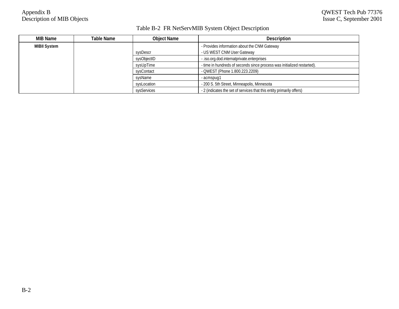# Table B-2 FR NetServMIB System Object Description

| MIB Name     | Table Name | <b>Object Name</b> | <b>Description</b>                                                      |
|--------------|------------|--------------------|-------------------------------------------------------------------------|
| MIBII System |            |                    | - Provides information about the CNM Gateway                            |
|              |            | sysDescr           | - US WEST CNM User Gateway                                              |
|              |            | sysObjectID        | - .iso.org.dod.internatprivate.enterprises                              |
|              |            | sysUpTime          | - time in hundreds of seconds since process was initialized restarted). |
|              |            | sysContact         | - QWEST (Phone 1.800.223.2209)                                          |
|              |            | sysName            | acmspug1 -                                                              |
|              |            | sysLocation        | - 200 S. 5th Street, Minneapolis, Minnesota                             |
|              |            | sysServices        | - 2 (indicates the set of services that this entity primarily offers)   |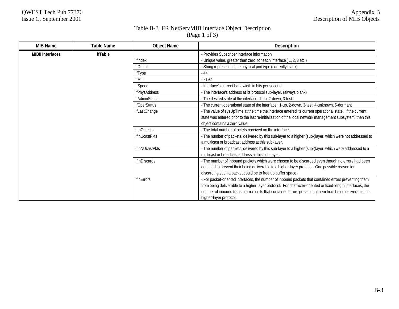# Table B-3 FR NetServMIB Interface Object Description

(Page 1 of 3)

| <b>MIB Name</b>         | <b>Table Name</b> | <b>Object Name</b>   | <b>Description</b>                                                                                         |
|-------------------------|-------------------|----------------------|------------------------------------------------------------------------------------------------------------|
| <b>MIBII Interfaces</b> | ifTable           |                      | - Provides Subscriber interface information                                                                |
|                         |                   | ifIndex              | - Unique value, greater than zero, for each interface.(1, 2, 3 etc.)                                       |
|                         |                   | ifDescr              | - String representing the physical port type (currently blank).                                            |
|                         |                   | ifType               | $-44$                                                                                                      |
|                         |                   | ifMtu                | $-8192$                                                                                                    |
|                         |                   | ifSpeed              | interface's current bandwidth in bits per second.                                                          |
|                         |                   | <i>ifPhysAddress</i> | - The interface's address at its protocol sub-layer. (always blank)                                        |
|                         |                   | <b>ifAdminStatus</b> | - The desired state of the interface. 1-up, 2-down, 3-test.                                                |
|                         |                   | <i>ifOperStatus</i>  | - The current operational state of the interface. 1-up, 2-down, 3-test, 4-unknown, 5-dormant               |
|                         |                   | ifLastChange         | - The value of sysUpTime at the time the interface entered its current operational state. If the current   |
|                         |                   |                      | state was entered prior to the last re-initialization of the local network management subsystem, then this |
|                         |                   |                      | object contains a zero value.                                                                              |
|                         |                   | ifInOctects          | - The total number of octets received on the interface.                                                    |
|                         |                   | ifInUcastPkts        | - The number of packets, delivered by this sub-layer to a higher (sub-)layer, which were not addressed to  |
|                         |                   |                      | a multicast or broadcast address at this sub-layer.                                                        |
|                         |                   | ifInNUcastPkts       | - The number of packets, delivered by this sub-layer to a higher (sub-)layer, which were addressed to a    |
|                         |                   |                      | multicast or broadcast address at this sub-layer.                                                          |
|                         |                   | ifInDiscards         | - The number of inbound packets which were chosen to be discarded even though no errors had been           |
|                         |                   |                      | detected to prevent their being deliverable to a higher-layer protocol. One possible reason for            |
|                         |                   |                      | discarding such a packet could be to free up buffer space.                                                 |
|                         |                   | ifInErrors           | - For packet-oriented interfaces, the number of inbound packets that contained errors preventing them      |
|                         |                   |                      | from being deliverable to a higher-layer protocol. For character-oriented or fixed-length interfaces, the  |
|                         |                   |                      | number of inbound transmission units that contained errors preventing them from being deliverable to a     |
|                         |                   |                      | higher-layer protocol.                                                                                     |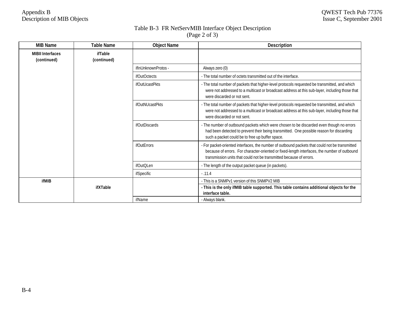# Table B-3 FR NetServMIB Interface Object Description

| (Page 2 of 3) |  |  |
|---------------|--|--|
|               |  |  |

| <b>MIB Name</b>                        | <b>Table Name</b>      | <b>Object Name</b>     | <b>Description</b>                                                                                                                                                                                                                                                    |
|----------------------------------------|------------------------|------------------------|-----------------------------------------------------------------------------------------------------------------------------------------------------------------------------------------------------------------------------------------------------------------------|
| <b>MIBII Interfaces</b><br>(continued) | ifTable<br>(continued) |                        |                                                                                                                                                                                                                                                                       |
|                                        |                        | ifInUnknownProtos -    | Always zero (0)                                                                                                                                                                                                                                                       |
|                                        |                        | <b>ifOutOctects</b>    | - The total number of octets transmitted out of the interface.                                                                                                                                                                                                        |
|                                        |                        | <i>ifOutUcastPkts</i>  | - The total number of packets that higher-level protocols requested be transmitted, and which<br>were not addressed to a multicast or broadcast address at this sub-layer, including those that<br>were discarded or not sent.                                        |
|                                        |                        | <b>ifOutNUcastPkts</b> | - The total number of packets that higher-level protocols requested be transmitted, and which<br>were not addressed to a multicast or broadcast address at this sub-layer, including those that<br>were discarded or not sent.                                        |
|                                        |                        | ifOutDiscards          | - The number of outbound packets which were chosen to be discarded even though no errors<br>had been detected to prevent their being transmitted. One possible reason for discarding<br>such a packet could be to free up buffer space.                               |
|                                        |                        | <b>ifOutErrors</b>     | - For packet-oriented interfaces, the number of outbound packets that could not be transmitted<br>because of errors. For character-oriented or fixed-length interfaces, the number of outbound<br>transmission units that could not be transmitted because of errors. |
|                                        |                        | ifOutOLen              | - The length of the output packet queue (in packets).                                                                                                                                                                                                                 |
|                                        |                        | <i>ifSpecific</i>      | $-0.11.4$                                                                                                                                                                                                                                                             |
| ifMIB                                  |                        |                        | - This is a SNMPv1 version of this SNMPV2 MIB                                                                                                                                                                                                                         |
|                                        | ifXTable               |                        | - This is the only ifMIB table supported. This table contains additional objects for the<br>interface table.                                                                                                                                                          |
|                                        |                        | ifName                 | - Always blank.                                                                                                                                                                                                                                                       |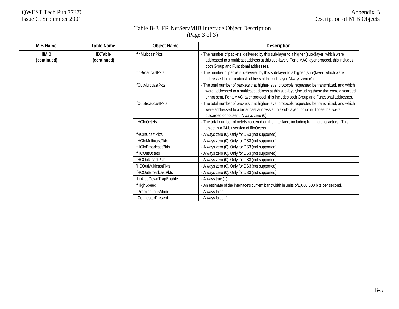# Table B-3 FR NetServMIB Interface Object Description

| <b>MIB Name</b>      | <b>Table Name</b>       | <b>Object Name</b>         | <b>Description</b>                                                                                                                                                                                                                                                                         |
|----------------------|-------------------------|----------------------------|--------------------------------------------------------------------------------------------------------------------------------------------------------------------------------------------------------------------------------------------------------------------------------------------|
| ifMIB<br>(continued) | ifXTable<br>(continued) | ifInMulticastPkts          | - The number of packets, delivered by this sub-layer to a higher (sub-)layer, which were<br>addressed to a multicast address at this sub-layer. For a MAC layer protocol, this includes<br>both Group and Functional addresses.                                                            |
|                      |                         | ifInBroadcastPkts          | - The number of packets, delivered by this sub-layer to a higher (sub-)layer, which were<br>addressed to a broadcast address at this sub-layer Always zero (0).                                                                                                                            |
|                      |                         | ifOutMulticastPkts         | - The total number of packets that higher-level protocols requested be transmitted, and which<br>were addressed to a multicast address at this sub-layer, including those that were discarded<br>or not sent. For a MAC layer protocol, this includes both Group and Functional addresses. |
|                      |                         | ifOutBroadcastPkts         | - The total number of packets that higher-level protocols requested be transmitted, and which<br>were addressed to a broadcast address at this sub-layer, including those that were<br>discarded or not sent. Always zero (0).                                                             |
|                      |                         | ifHCInOctets               | - The total number of octets received on the interface, including framing characters. This<br>object is a 64-bit version of if nOctets.                                                                                                                                                    |
|                      |                         | <b>ifHCInUcastPkts</b>     | - Always zero (0). Only for DS3 (not supported).                                                                                                                                                                                                                                           |
|                      |                         | ifHCInMulticastPkts        | - Always zero (0). Only for DS3 (not supported).                                                                                                                                                                                                                                           |
|                      |                         | <b>ifHCInBroadcastPkts</b> | - Always zero (0). Only for DS3 (not supported).                                                                                                                                                                                                                                           |
|                      |                         | <b>ifHCOutOctets</b>       | - Always zero (0). Only for DS3 (not supported).                                                                                                                                                                                                                                           |
|                      |                         | ifHCOutUcastPkts           | - Always zero (0). Only for DS3 (not supported).                                                                                                                                                                                                                                           |
|                      |                         | fHCOutMulticastPkts        | - Always zero (0). Only for DS3 (not supported).                                                                                                                                                                                                                                           |
|                      |                         | ifHCOutBroadcastPkts       | - Always zero (0). Only for DS3 (not supported).                                                                                                                                                                                                                                           |
|                      |                         | fLinkUpDownTrapEnable      | - Always true (1).                                                                                                                                                                                                                                                                         |
|                      |                         | ifHighSpeed                | - An estimate of the interface's current bandwidth in units of1,000,000 bits per second.                                                                                                                                                                                                   |
|                      |                         | ifPromiscuousMode          | - Always false (2).                                                                                                                                                                                                                                                                        |
|                      |                         | <i>ifConnectorPresent</i>  | - Always false (2).                                                                                                                                                                                                                                                                        |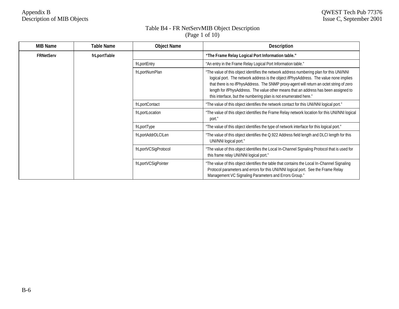#### Table B4 - FR NetServMIB Object Description (Page 1 of 10)

| <b>MIB Name</b>  | Table Name          | <b>Object Name</b>                                                                                                                                                                                                                        | <b>Description</b>                                                                                                                                                                                                                                                                                                                                                                                                                       |
|------------------|---------------------|-------------------------------------------------------------------------------------------------------------------------------------------------------------------------------------------------------------------------------------------|------------------------------------------------------------------------------------------------------------------------------------------------------------------------------------------------------------------------------------------------------------------------------------------------------------------------------------------------------------------------------------------------------------------------------------------|
| <b>FRNetServ</b> | frLportTable        |                                                                                                                                                                                                                                           | "The Frame Relay Logical Port Information table."                                                                                                                                                                                                                                                                                                                                                                                        |
|                  |                     | frLportEntry                                                                                                                                                                                                                              | "An entry in the Frame Relay Logical Port Information table."                                                                                                                                                                                                                                                                                                                                                                            |
|                  |                     | frLportNumPlan                                                                                                                                                                                                                            | "The value of this object identifies the network address numbering plan for this UNI/NNI<br>logical port. The network address is the object ifPhysAddress. The value none implies<br>that there is no ifPhysAddress. The SNMP proxy-agent will return an octet string of zero<br>length for ifPhysAddress. The value other means that an address has been assigned to<br>this interface, but the numbering plan is not enumerated here." |
|                  |                     | frLportContact                                                                                                                                                                                                                            | "The value of this object identifies the network contact for this UNI/NNI logical port."                                                                                                                                                                                                                                                                                                                                                 |
|                  |                     | frLportLocation                                                                                                                                                                                                                           | "The value of this object identifies the Frame Relay network location for this UNI/NNI logical<br>port."                                                                                                                                                                                                                                                                                                                                 |
|                  |                     | frLportType                                                                                                                                                                                                                               | "The value of this object identifies the type of network interface for this logical port."                                                                                                                                                                                                                                                                                                                                               |
|                  |                     | frLportAddrDLCILen                                                                                                                                                                                                                        | "The value of this object identifies the Q.922 Address field length and DLCI length for this<br>UNI/NNI logical port."                                                                                                                                                                                                                                                                                                                   |
|                  |                     | frLportVCSigProtocol                                                                                                                                                                                                                      | "The value of this object identifies the Local In-Channel Signaling Protocol that is used for<br>this frame relay UNI/NNI logical port."                                                                                                                                                                                                                                                                                                 |
|                  | frLportVCSigPointer | "The value of this object identifies the table that contains the Local In-Channel Signaling<br>Protocol parameters and errors for this UNI/NNI logical port. See the Frame Relay<br>Management VC Signaling Parameters and Errors Group." |                                                                                                                                                                                                                                                                                                                                                                                                                                          |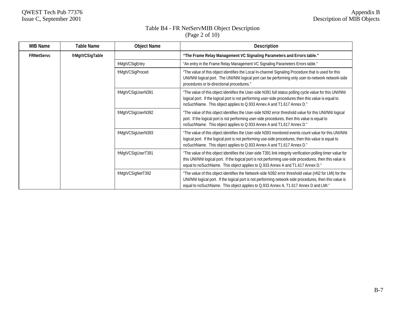### Table B4 - FR NetServMIB Object Description (Page 2 of 10)

| <b>MIB Name</b>   | Table Name      | <b>Object Name</b> | <b>Description</b>                                                                                                                                                                                                                                                                                        |
|-------------------|-----------------|--------------------|-----------------------------------------------------------------------------------------------------------------------------------------------------------------------------------------------------------------------------------------------------------------------------------------------------------|
| <b>FRNetServc</b> | frMgtVCSigTable |                    | "The Frame Relay Management VC Signaling Parameters and Errors table."                                                                                                                                                                                                                                    |
|                   |                 | frMgtVCSigEntry    | "An entry in the Frame Relay Management VC Signaling Parameters Errors table."                                                                                                                                                                                                                            |
|                   |                 | frMgtVCSigProced   | "The value of this object identifies the Local In-channel Signaling Procedure that is used for this<br>UNI/NNI logical port. The UNI/NNI logical port can be performing only user-to-network network-side<br>procedures or bi-directional procedures."                                                    |
|                   |                 | frMgtVCSigUserN391 | "The value of this object identifies the User-side N391 full status polling cycle value for this UNI/NNI<br>logical port. If the logical port is not performing user-side procedures then this value is equal to<br>noSuchName. This object applies to Q.933 Annex A and T1.617 Annex D."                 |
|                   |                 | frMgtVCSigUserN392 | "The value of this object identifies the User-side N392 error threshold value for this UNI/NNI logical<br>port. If the logical port is not performing user-side procedures, then this value is equal to<br>noSuchName. This object applies to Q.933 Annex A and T1.617 Annex D."                          |
|                   |                 | frMgtVCSigUserN393 | "The value of this object identifies the User-side N393 monitored events count value for this UNI/NNI<br>logical port. If the logical port is not performing use-side procedures, then this value is equal to<br>noSuchName. This object applies to Q.933 Annex A and T1.617 Annex D."                    |
|                   |                 | frMgtVCSigUserT391 | "The value of this object identifies the User-side T391 link integrity verification polling timer value for<br>this UNI/NNI logical port. If the logical port is not performing use-side procedures, then this value is<br>equal to noSuchName. This object applies to Q.933 Annex A and T1.617 Annex D." |
|                   |                 | frMgtVCSigNetT392  | "The value of this object identifies the Network-side N392 error threshold value (nN2 for LMI) for the<br>UNI/NNI logical port. If the logical port is not performing network-side procedures, then this value is<br>equal to noSuchName. This object applies to Q.933 Annex A, T1.617 Annex D and LMI."  |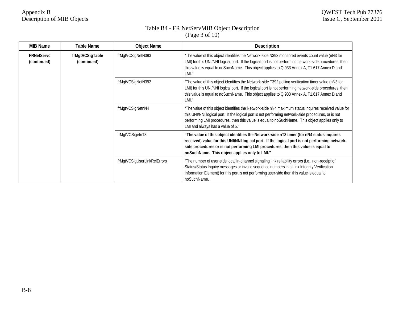### Table B4 - FR NetServMIB Object Description (Page 3 of 10)

| <b>MIB Name</b>                  | Table Name                     | <b>Object Name</b>          | <b>Description</b>                                                                                                                                                                                                                                                                                                                                 |
|----------------------------------|--------------------------------|-----------------------------|----------------------------------------------------------------------------------------------------------------------------------------------------------------------------------------------------------------------------------------------------------------------------------------------------------------------------------------------------|
| <b>FRNetServc</b><br>(continued) | frMgtVCSigTable<br>(continued) | frMgtVCSigNetN393           | "The value of this object identifies the Network-side N393 monitored events count value (nN3 for<br>LMI) for this UNI/NNI logical port. If the logical port is not performing network-side procedures, then<br>this value is equal to noSuchName. This object applies to Q.933 Annex A, T1.617 Annex D and<br>LMI."                                |
|                                  |                                | frMgtVCSigNetN392           | "The value of this object identifies the Network-side T392 polling verification timer value (nN3 for<br>LMI) for this UNI/NNI logical port. If the logical port is not performing network-side procedures, then<br>this value is equal to noSuchName. This object applies to Q.933 Annex A, T1.617 Annex D and<br>LMI."                            |
|                                  |                                | frMgtVCSigNetnN4            | "The value of this object identifies the Network-side nN4 maximum status inquires received value for<br>this UNI/NNI logical port. If the logical port is not performing network-side procedures, or is not<br>performing LMI procedures, then this value is equal to noSuchName. This object applies only to<br>LMI and always has a value of 5." |
|                                  |                                | frMgtVCSigetnT3             | "The value of this object identifies the Network-side nT3 timer (for nN4 status inquires<br>received) value for this UNI/NNI logical port. If the logical port is not performing network-<br>side procedures or is not performing LMI procedures, then this value is equal to<br>noSuchName. This object applies only to LMI."                     |
|                                  |                                | frMgtVCSigUserLinkRelErrors | "The number of user-side local in-channel signaling link reliability errors (i.e., non-receipt of<br>Status/Status Inquiry messages or invalid sequence numbers in a Link Integrity Verification<br>Information Element) for this port is not performing user-side then this value is equal to<br>noSuchName.                                      |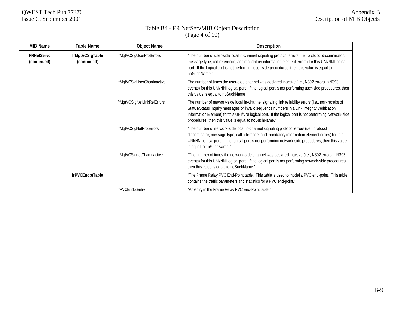#### Table B4 - FR NetServMIB Object Description (Page 4 of 10)

| <b>MIB Name</b>                  | <b>Table Name</b>              | <b>Object Name</b>         | <b>Description</b>                                                                                                                                                                                                                                                                                                                                                   |
|----------------------------------|--------------------------------|----------------------------|----------------------------------------------------------------------------------------------------------------------------------------------------------------------------------------------------------------------------------------------------------------------------------------------------------------------------------------------------------------------|
| <b>FRNetServc</b><br>(continued) | frMgtVCSigTable<br>(continued) | frMgtVCSigUserProtErrors   | "The number of user-side local in-channel signaling protocol errors (i.e., protocol discriminator,<br>message type, call reference, and mandatory information element errors) for this UNI/NNI logical<br>port. If the logical port is not performing user-side procedures, then this value is equal to<br>noSuchName."                                              |
|                                  |                                | frMgtVCSigUserChanInactive | The number of times the user-side channel was declared inactive (i.e., N392 errors in N393<br>events) for this UNI/NNI logical port. If the logical port is not performing user-side procedures, then<br>this value is equal to noSuchName.                                                                                                                          |
|                                  |                                | frMgtVCSigNetLinkRelErrors | The number of network-side local in-channel signaling link reliability errors (i.e., non-receipt of<br>Status/Status Inquiry messages or invalid sequence numbers in a Link Integrity Verification<br>Information Element) for this UNI/NNI logical port. If the logical port is not performing Network-side<br>procedures, then this value is equal to noSuchName." |
|                                  |                                | frMgtVCSigNetProtErrors    | "The number of network-side local in-channel signaling protocol errors (i.e., protocol<br>discriminator, message type, call reference, and mandatory information element errors) for this<br>UNI/NNI logical port. If the logical port is not performing network-side procedures, then this value<br>is equal to noSuchName."                                        |
|                                  |                                | frMgtVCSignetChanInactive  | "The number of times the network-side channel was declared inactive (i.e., N392 errors in N393<br>events) for this UNI/NNI logical port. If the logical port is not performing network-side procedures,<br>then this value is equal to noSuchName."                                                                                                                  |
|                                  | frPVCEndptTable                |                            | "The Frame Relay PVC End-Point table. This table is used to model a PVC end-point. This table<br>contains the traffic parameters and statistics for a PVC end-point."                                                                                                                                                                                                |
|                                  |                                | frPVCEndptEntry            | "An entry in the Frame Relay PVC End-Point table."                                                                                                                                                                                                                                                                                                                   |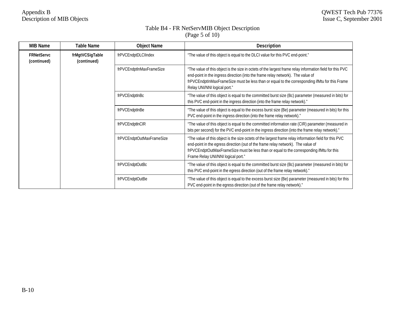### Table B4 - FR NetServMIB Object Description (Page 5 of 10)

| <b>MIB Name</b>                  | Table Name                     | <b>Object Name</b>        | <b>Description</b>                                                                                                                                                                                                                                                                                                            |
|----------------------------------|--------------------------------|---------------------------|-------------------------------------------------------------------------------------------------------------------------------------------------------------------------------------------------------------------------------------------------------------------------------------------------------------------------------|
| <b>FRNetServc</b><br>(continued) | frMgtVCSigTable<br>(continued) | frPVCEndptDLCIIndex       | "The value of this object is equal to the DLCI value for this PVC end-point."                                                                                                                                                                                                                                                 |
|                                  |                                | frPVCEndptInMaxFrameSize  | "The value of this object is the size in octets of the largest frame relay information field for this PVC<br>end-point in the ingress direction (into the frame relay network). The value of<br>frPVCEndptInMaxFrameSize must be less than or equal to the corresponding ifMtu for this Frame<br>Relay UNI/NNI logical port." |
|                                  |                                | frPVCEndptInBc            | "The value of this object is equal to the committed burst size (Bc) parameter (measured in bits) for<br>this PVC end-point in the ingress direction (into the frame relay network)."                                                                                                                                          |
|                                  |                                | frPVCEndptInBe            | "The value of this object is equal to the excess burst size (Be) parameter (measured in bits) for this<br>PVC end-point in the ingress direction (into the frame relay network)."                                                                                                                                             |
|                                  |                                | frPVCEndptInCIR           | "The value of this object is equal to the committed information rate (CIR) parameter (measured in<br>bits per second) for the PVC end-point in the ingress direction (into the frame relay network)."                                                                                                                         |
|                                  |                                | frPVCEndptOutMaxFrameSize | "The value of this object is the size octets of the largest frame relay information field for this PVC<br>end-point in the egress direction (out of the frame relay network). The value of<br>frPVCEndptOutMaxFrameSize must be less than or equal to the corresponding ifMtu for this<br>Frame Relay UNI/NNI logical port."  |
|                                  |                                | frPVCEndptOutBc           | "The value of this object is equal to the committed burst size (Bc) parameter (measured in bits) for<br>this PVC end-point in the egress direction (out of the frame relay network)."                                                                                                                                         |
|                                  |                                | frPVCEndptOutBe           | "The value of this object is equal to the excess burst size (Be) parameter (measured in bits) for this<br>PVC end-point in the egress direction (out of the frame relay network)."                                                                                                                                            |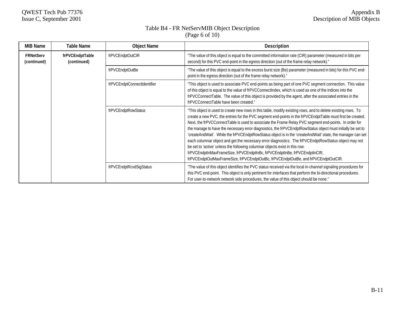## Table B4 - FR NetServMIB Object Description (Page 6 of 10)

| <b>MIB Name</b>                 | <b>Table Name</b>              | <b>Object Name</b>          | <b>Description</b>                                                                                                                                                                                                                                                                                                                                                                                                                                                                                                                                                                                                                                                                                                                                                                                                                                                                                                          |
|---------------------------------|--------------------------------|-----------------------------|-----------------------------------------------------------------------------------------------------------------------------------------------------------------------------------------------------------------------------------------------------------------------------------------------------------------------------------------------------------------------------------------------------------------------------------------------------------------------------------------------------------------------------------------------------------------------------------------------------------------------------------------------------------------------------------------------------------------------------------------------------------------------------------------------------------------------------------------------------------------------------------------------------------------------------|
| <b>FRNetServ</b><br>(continued) | frPVCEndptTable<br>(continued) | frPVCEndptOutCIR            | "The value of this object is equal to the committed information rate (CIR) parameter (measured in bits per<br>second) for this PVC end-point in the egress direction (out of the frame relay network)."                                                                                                                                                                                                                                                                                                                                                                                                                                                                                                                                                                                                                                                                                                                     |
|                                 |                                | frPVCEndptOutBe             | "The value of this object is equal to the excess burst size (Be) parameter (measured in bits) for this PVC end-<br>point in the egress direction (out of the frame relay network)."                                                                                                                                                                                                                                                                                                                                                                                                                                                                                                                                                                                                                                                                                                                                         |
|                                 |                                | frPVCEndptConnectIdentifier | "This object is used to associate PVC end-points as being part of one PVC segment connection. This value<br>of this object is equal to the value of frPVCConnectIndex, which is used as one of the indices into the<br>frPVCConnectTable. The value of this object is provided by the agent, after the associated entries in the<br>frPVCConnectTable have been created."                                                                                                                                                                                                                                                                                                                                                                                                                                                                                                                                                   |
|                                 |                                | frPVCEndptRowStatus         | "This object is used to create new rows in this table, modify existing rows, and to delete existing rows. To<br>create a new PVC, the entries for the PVC segment end-points in the frPVCEndptTable must first be created.<br>Next, the frPVCConnectTable is used to associate the Frame Relay PVC segment end-points. In order for<br>the manage to have the necessary error diagnostics, the frPVCEndptRowStatus object must initially be set to<br>'createAndWait'. While the frPVCEndptRowStatus object is in the 'createAndWait' state, the manager can set<br>each columnar object and get the necessary error diagnostics. The frPVCEndptRowStatus object may not<br>be set to 'active' unless the following columnar objects exist in this row:<br>frPVCEndptInMaxFrameSize, frPVCEndptInBc, frPVCEndptInBe, frPVCEndptInCIR,<br>frPVCEndptOutMaxFrameSize, frPVCEndptOutBc, frPVCEndptOutBe, and frPVCEndptOutCIR. |
|                                 |                                | frPVCEndptRcvdSigStatus     | "The value of this object identifies the PVC status received via the local in-channel signaling procedures for<br>this PVC end-point. This object is only pertinent for interfaces that perform the bi-directional procedures.<br>For user-to-network network side procedures, the value of this object should be none."                                                                                                                                                                                                                                                                                                                                                                                                                                                                                                                                                                                                    |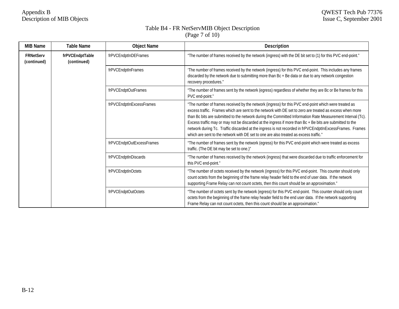#### Table B4 - FR NetServMIB Object Description (Page 7 of 10)

| <b>MIB Name</b>                 | Table Name                     | <b>Object Name</b>        | <b>Description</b>                                                                                                                                                                                                                                                                                                                                                                                                                                                                                                                                                                                                                             |
|---------------------------------|--------------------------------|---------------------------|------------------------------------------------------------------------------------------------------------------------------------------------------------------------------------------------------------------------------------------------------------------------------------------------------------------------------------------------------------------------------------------------------------------------------------------------------------------------------------------------------------------------------------------------------------------------------------------------------------------------------------------------|
| <b>FRNetServ</b><br>(continued) | frPVCEndptTable<br>(continued) | frPVCEndptInDEFrames      | "The number of frames received by the network (ingress) with the DE bit set to (1) for this PVC end-point."                                                                                                                                                                                                                                                                                                                                                                                                                                                                                                                                    |
|                                 |                                | frPVCEndptInFrames        | 'The number of frames received by the network (ingress) for this PVC end-point. This includes any frames<br>discarded by the network due to submitting more than Bc + Be data or due to any network congestion<br>recovery procedures."                                                                                                                                                                                                                                                                                                                                                                                                        |
|                                 |                                | frPVCEndptOutFrames       | "The number of frames sent by the network (egress) regardless of whether they are Bc or Be frames for this<br>PVC end-point."                                                                                                                                                                                                                                                                                                                                                                                                                                                                                                                  |
|                                 |                                | frPVCEndptInExcessFrames  | "The number of frames received by the network (ingress) for this PVC end-point which were treated as<br>excess traffic. Frames which are sent to the network with DE set to zero are treated as excess when more<br>than Bc bits are submitted to the network during the Committed Information Rate Measurement Interval (Tc).<br>Excess traffic may or may not be discarded at the ingress if more than Bc + Be bits are submitted to the<br>network during Tc. Traffic discarded at the ingress is not recorded in frPVCEndptInExcessFrames. Frames<br>which are sent to the network with DE set to one are also treated as excess traffic." |
|                                 |                                | frPVCEndptOutExcessFrames | "The number of frames sent by the network (egress) for this PVC end-point which were treated as excess<br>traffic. (The DE bit may be set to one.)"                                                                                                                                                                                                                                                                                                                                                                                                                                                                                            |
|                                 |                                | frPVCEndptInDiscards      | "The number of frames received by the network (ingress) that were discarded due to traffic enforcement for<br>this PVC end-point."                                                                                                                                                                                                                                                                                                                                                                                                                                                                                                             |
|                                 |                                | frPVCEndptInOctets        | "The number of octets received by the network (ingress) for this PVC end-point. This counter should only<br>count octets from the beginning of the frame relay header field to the end of user data. If the network<br>supporting Frame Relay can not count octets, then this count should be an approximation."                                                                                                                                                                                                                                                                                                                               |
|                                 |                                | frPVCEndptOutOctets       | "The number of octets sent by the network (egress) for this PVC end-point. This counter should only count<br>octets from the beginning of the frame relay header field to the end user data. If the network supporting<br>Frame Relay can not count octets, then this count should be an approximation."                                                                                                                                                                                                                                                                                                                                       |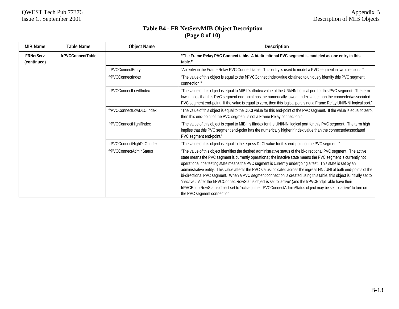## **Table B4 - FR NetServMIB Object Description (Page 8 of 10)**

| <b>MIB Name</b>                 | <b>Table Name</b> | <b>Object Name</b>        | <b>Description</b>                                                                                                                                                                                                                                                                                                                                                                                                                                                                                                                                                                                                                                                                                                                                                                                                                                                            |
|---------------------------------|-------------------|---------------------------|-------------------------------------------------------------------------------------------------------------------------------------------------------------------------------------------------------------------------------------------------------------------------------------------------------------------------------------------------------------------------------------------------------------------------------------------------------------------------------------------------------------------------------------------------------------------------------------------------------------------------------------------------------------------------------------------------------------------------------------------------------------------------------------------------------------------------------------------------------------------------------|
| <b>FRNetServ</b><br>(continued) | frPVCConnectTable |                           | "The Frame Relay PVC Connect table. A bi-directional PVC segment is modeled as one entry in this<br>table."                                                                                                                                                                                                                                                                                                                                                                                                                                                                                                                                                                                                                                                                                                                                                                   |
|                                 |                   | frPVCConnectEntry         | "An entry in the Frame Relay PVC Connect table. This entry is used to model a PVC segment in two directions."                                                                                                                                                                                                                                                                                                                                                                                                                                                                                                                                                                                                                                                                                                                                                                 |
|                                 |                   | frPVCConnectIndex         | "The value of this object is equal to the frPVCConnectIndexValue obtained to uniquely identify this PVC segment<br>connection."                                                                                                                                                                                                                                                                                                                                                                                                                                                                                                                                                                                                                                                                                                                                               |
|                                 |                   | frPVCConnectLowIfIndex    | "The value of this object is equal to MIB II's ifIndex value of the UNI/NNI logical port for this PVC segment. The term<br>low implies that this PVC segment end-point has the numerically lower if ndex value than the connected/associated<br>PVC segment end-point. If the value is equal to zero, then this logical port is not a Frame Relay UNI/NNI logical port."                                                                                                                                                                                                                                                                                                                                                                                                                                                                                                      |
|                                 |                   | frPVCConnectLowDLCIIndex  | "The value of this object is equal to the DLCI value for this end-point of the PVC segment. If the value is equal to zero,<br>then this end-point of the PVC segment is not a Frame Relay connection."                                                                                                                                                                                                                                                                                                                                                                                                                                                                                                                                                                                                                                                                        |
|                                 |                   | frPVCConnectHighlfIndex   | "The value of this object is equal to MIB II's ifIndex for the UNI/NNI logical port for this PVC segment. The term high<br>implies that this PVC segment end-point has the numerically higher ifIndex value than the connected/associated<br>PVC segment end-point."                                                                                                                                                                                                                                                                                                                                                                                                                                                                                                                                                                                                          |
|                                 |                   | frPVCConnectHighDLCIIndex | "The value of this object is equal to the egress DLCI value for this end-point of the PVC segment."                                                                                                                                                                                                                                                                                                                                                                                                                                                                                                                                                                                                                                                                                                                                                                           |
|                                 |                   | frPVCConnectAdminStatus   | "The value of this object identifies the desired administrative status of the bi-directional PVC segment. The active<br>state means the PVC segment is currently operational; the inactive state means the PVC segment is currently not<br>operational; the testing state means the PVC segment is currently undergoing a test. This state is set by an<br>administrative entity. This value affects the PVC status indicated across the ingress NNI/UNI of both end-points of the<br>bi-directional PVC segment. When a PVC segment connection is created using this table, this object is initially set to<br>'inactive'. After the frPVCConnectRowStatus object is set to 'active' (and the frPVCEndptTable have their<br>frPVCEndptRowStatus object set to 'active'), the frPVCConnectAdminStatus object may be set to 'active' to turn on<br>the PVC segment connection. |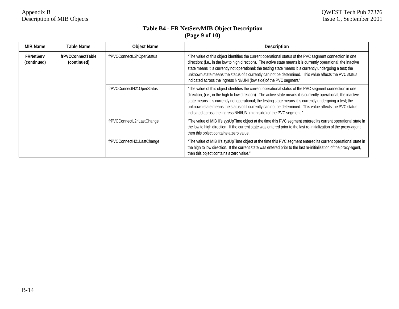## **Table B4 - FR NetServMIB Object Description (Page 9 of 10)**

| <b>MIB Name</b>                 | Table Name                       | <b>Object Name</b>        | <b>Description</b>                                                                                                                                                                                                                                                                                                                                                                                                                                                                                                               |
|---------------------------------|----------------------------------|---------------------------|----------------------------------------------------------------------------------------------------------------------------------------------------------------------------------------------------------------------------------------------------------------------------------------------------------------------------------------------------------------------------------------------------------------------------------------------------------------------------------------------------------------------------------|
| <b>FRNetServ</b><br>(continued) | frPVCConnectTable<br>(continued) | frPVCConnectL2hOperStatus | "The value of this object identifies the current operational status of the PVC segment connection in one<br>direction; (i.e., in the low to high direction). The active state means it is currently operational; the inactive<br>state means it is currently not operational; the testing state means it is currently undergoing a test; the<br>unknown state means the status of it currently can not be determined. This value affects the PVC status<br>indicated across the ingress NNI/UNI (low side) of the PVC segment."  |
|                                 |                                  | frPVCConnectH21OperStatus | "The value of this object identifies the current operational status of the PVC segment connection in one<br>direction; (i.e., in the high to low direction). The active state means it is currently operational; the inactive<br>state means it is currently not operational; the testing state means it is currently undergoing a test; the<br>unknown state means the status of it currently can not be determined. This value affects the PVC status<br>indicated across the ingress NNI/UNI (high side) of the PVC segment." |
|                                 |                                  | frPVCConnectL2hLastChange | "The value of MIB II's sysUpTime object at the time this PVC segment entered its current operational state in<br>the low to high direction. If the current state was entered prior to the last re-initialization of the proxy-agent<br>then this object contains a zero value.                                                                                                                                                                                                                                                   |
|                                 |                                  | frPVCConnectH21LastChange | "The value of MIB II's sysUpTime object at the time this PVC segment entered its current operational state in<br>the high to low direction. If the current state was entered prior to the last re-initialization of the proxy-agent,<br>then this object contains a zero value."                                                                                                                                                                                                                                                 |